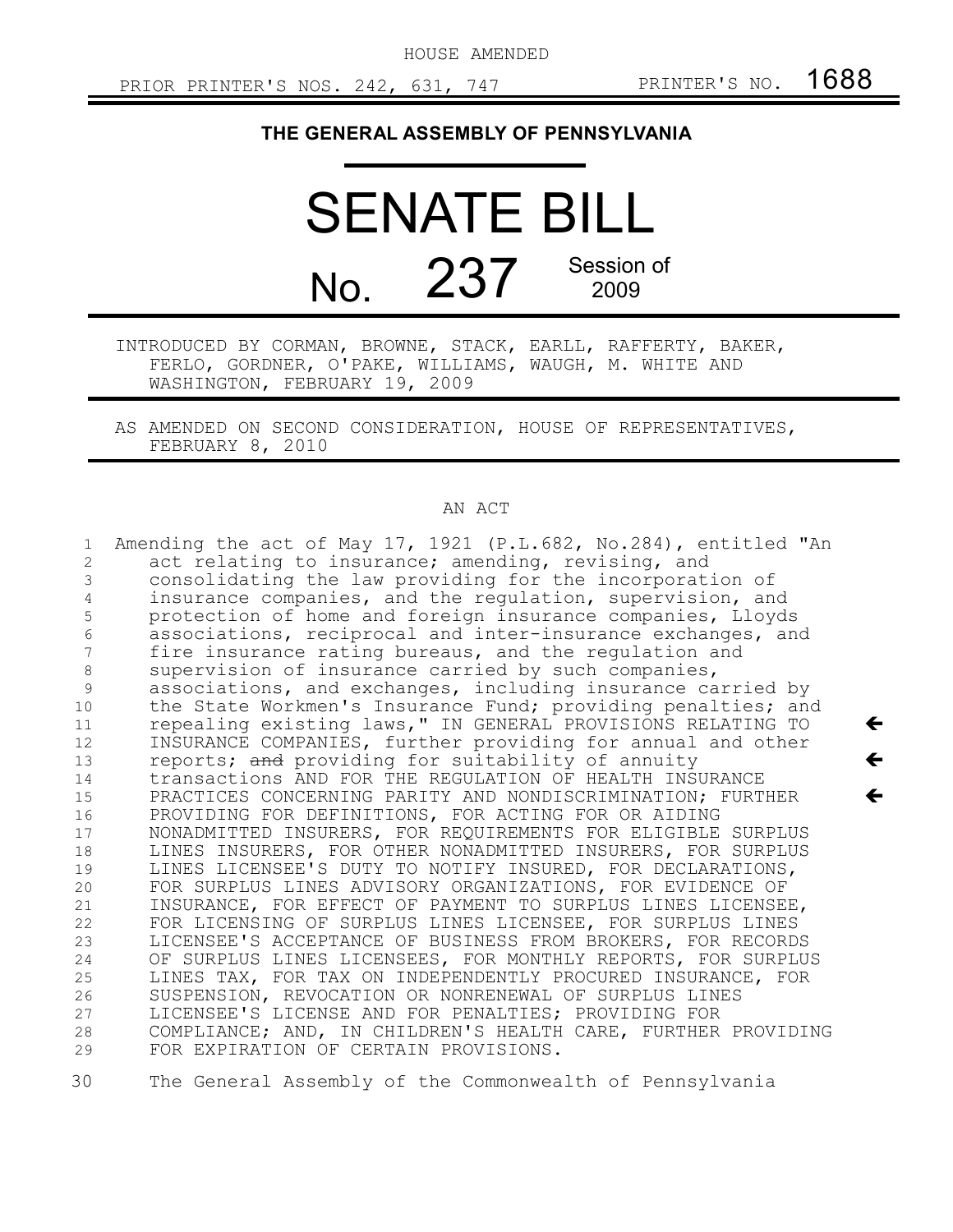HOUSE AMENDED

 $\blacklozenge$ 

ç

 $\leftarrow$ 

## **THE GENERAL ASSEMBLY OF PENNSYLVANIA**

SENATE BILL No. 237 Session of 2009

INTRODUCED BY CORMAN, BROWNE, STACK, EARLL, RAFFERTY, BAKER, FERLO, GORDNER, O'PAKE, WILLIAMS, WAUGH, M. WHITE AND WASHINGTON, FEBRUARY 19, 2009

AS AMENDED ON SECOND CONSIDERATION, HOUSE OF REPRESENTATIVES, FEBRUARY 8, 2010

## AN ACT

| 1  | Amending the act of May 17, 1921 (P.L.682, No.284), entitled "An |
|----|------------------------------------------------------------------|
| 2  | act relating to insurance; amending, revising, and               |
| 3  | consolidating the law providing for the incorporation of         |
| 4  | insurance companies, and the regulation, supervision, and        |
| 5  | protection of home and foreign insurance companies, Lloyds       |
| 6  | associations, reciprocal and inter-insurance exchanges, and      |
| 7  | fire insurance rating bureaus, and the regulation and            |
| 8  | supervision of insurance carried by such companies,              |
| 9  | associations, and exchanges, including insurance carried by      |
| 10 | the State Workmen's Insurance Fund; providing penalties; and     |
| 11 | repealing existing laws, " IN GENERAL PROVISIONS RELATING TO     |
| 12 | INSURANCE COMPANIES, further providing for annual and other      |
| 13 | reports; and providing for suitability of annuity                |
| 14 | transactions AND FOR THE REGULATION OF HEALTH INSURANCE          |
| 15 | PRACTICES CONCERNING PARITY AND NONDISCRIMINATION; FURTHER       |
| 16 | PROVIDING FOR DEFINITIONS, FOR ACTING FOR OR AIDING              |
| 17 | NONADMITTED INSURERS, FOR REQUIREMENTS FOR ELIGIBLE SURPLUS      |
| 18 | LINES INSURERS, FOR OTHER NONADMITTED INSURERS, FOR SURPLUS      |
| 19 | LINES LICENSEE'S DUTY TO NOTIFY INSURED, FOR DECLARATIONS,       |
| 20 | FOR SURPLUS LINES ADVISORY ORGANIZATIONS, FOR EVIDENCE OF        |
| 21 | INSURANCE, FOR EFFECT OF PAYMENT TO SURPLUS LINES LICENSEE,      |
| 22 | FOR LICENSING OF SURPLUS LINES LICENSEE, FOR SURPLUS LINES       |
| 23 | LICENSEE'S ACCEPTANCE OF BUSINESS FROM BROKERS, FOR RECORDS      |
| 24 | OF SURPLUS LINES LICENSEES, FOR MONTHLY REPORTS, FOR SURPLUS     |
| 25 | LINES TAX, FOR TAX ON INDEPENDENTLY PROCURED INSURANCE, FOR      |
| 26 | SUSPENSION, REVOCATION OR NONRENEWAL OF SURPLUS LINES            |
| 27 | LICENSEE'S LICENSE AND FOR PENALTIES; PROVIDING FOR              |
| 28 | COMPLIANCE; AND, IN CHILDREN'S HEALTH CARE, FURTHER PROVIDING    |
| 29 | FOR EXPIRATION OF CERTAIN PROVISIONS.                            |

The General Assembly of the Commonwealth of Pennsylvania 30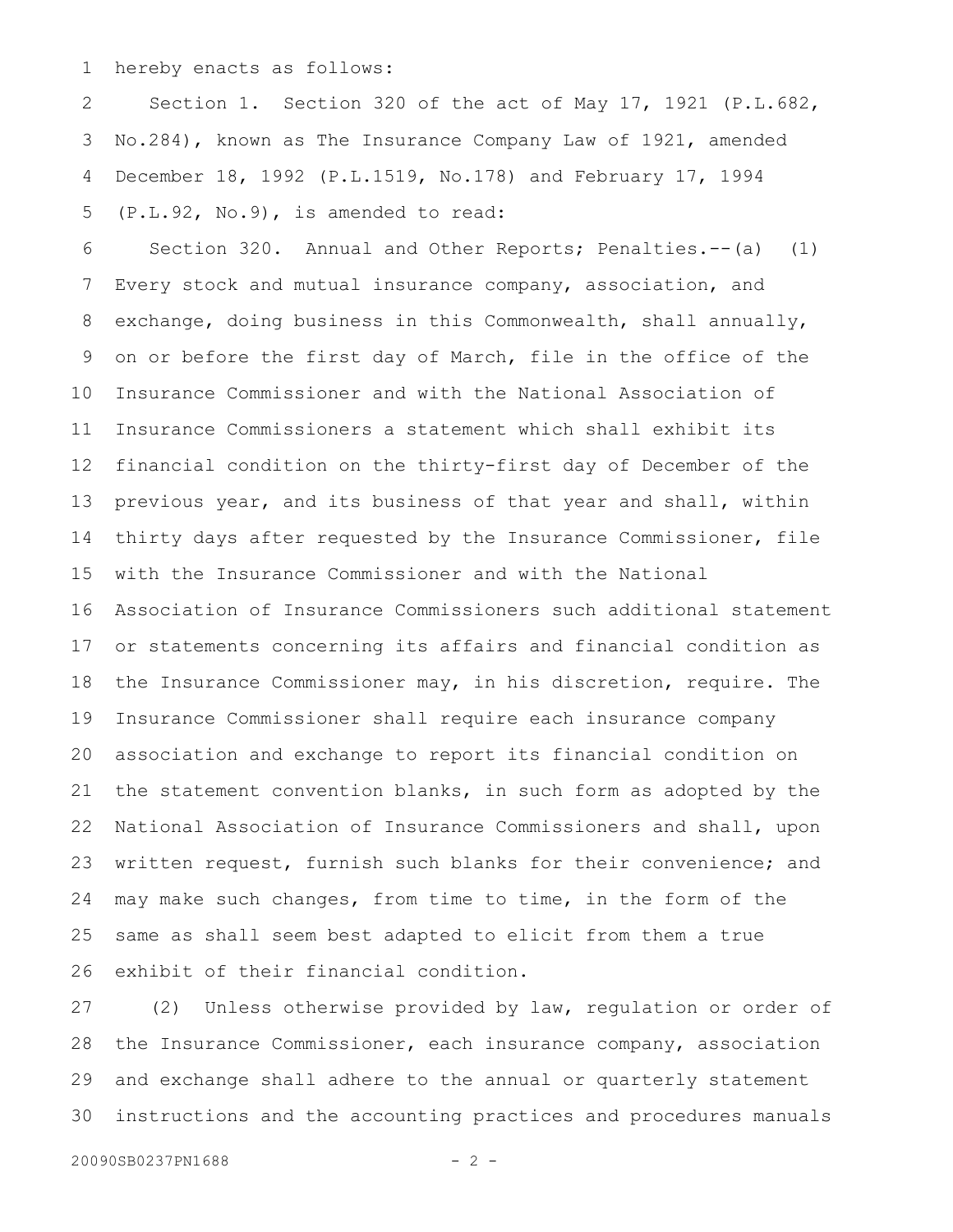hereby enacts as follows: 1

Section 1. Section 320 of the act of May 17, 1921 (P.L.682, No.284), known as The Insurance Company Law of 1921, amended December 18, 1992 (P.L.1519, No.178) and February 17, 1994 (P.L.92, No.9), is amended to read: 2 3 4 5

Section 320. Annual and Other Reports; Penalties.--(a) (1) Every stock and mutual insurance company, association, and exchange, doing business in this Commonwealth, shall annually, on or before the first day of March, file in the office of the Insurance Commissioner and with the National Association of Insurance Commissioners a statement which shall exhibit its financial condition on the thirty-first day of December of the previous year, and its business of that year and shall, within thirty days after requested by the Insurance Commissioner, file with the Insurance Commissioner and with the National Association of Insurance Commissioners such additional statement or statements concerning its affairs and financial condition as the Insurance Commissioner may, in his discretion, require. The Insurance Commissioner shall require each insurance company association and exchange to report its financial condition on the statement convention blanks, in such form as adopted by the National Association of Insurance Commissioners and shall, upon written request, furnish such blanks for their convenience; and 6 7 8 9 10 11 12 13 14 15 16 17 18 19 20 21 22 23

same as shall seem best adapted to elicit from them a true exhibit of their financial condition. 25 26

(2) Unless otherwise provided by law, regulation or order of the Insurance Commissioner, each insurance company, association and exchange shall adhere to the annual or quarterly statement instructions and the accounting practices and procedures manuals 27 28 29 30

may make such changes, from time to time, in the form of the

24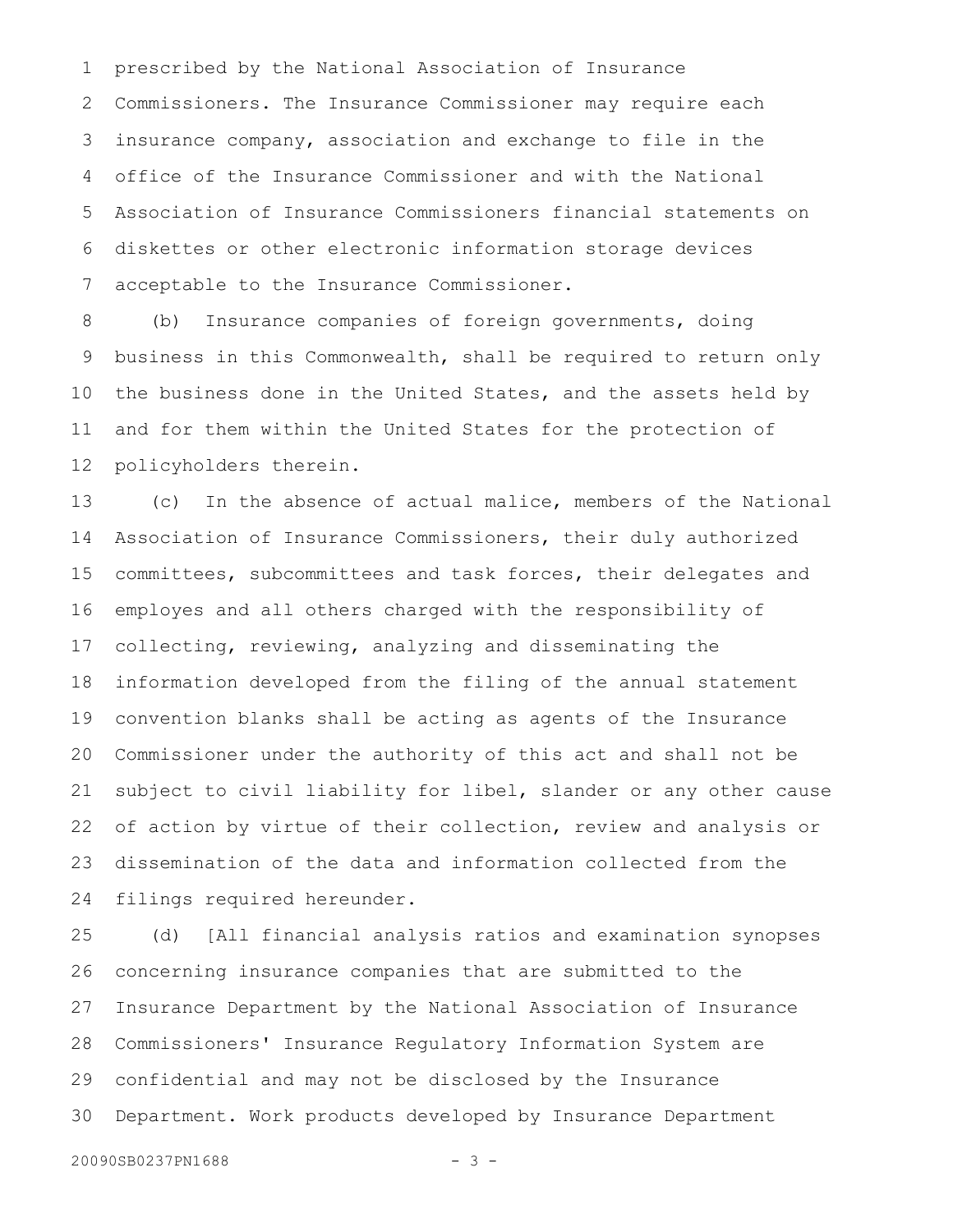prescribed by the National Association of Insurance Commissioners. The Insurance Commissioner may require each insurance company, association and exchange to file in the office of the Insurance Commissioner and with the National Association of Insurance Commissioners financial statements on diskettes or other electronic information storage devices acceptable to the Insurance Commissioner. 1 2 3 4 5 6 7

(b) Insurance companies of foreign governments, doing business in this Commonwealth, shall be required to return only the business done in the United States, and the assets held by and for them within the United States for the protection of policyholders therein. 8 9 10 11 12

(c) In the absence of actual malice, members of the National Association of Insurance Commissioners, their duly authorized committees, subcommittees and task forces, their delegates and employes and all others charged with the responsibility of collecting, reviewing, analyzing and disseminating the information developed from the filing of the annual statement convention blanks shall be acting as agents of the Insurance Commissioner under the authority of this act and shall not be subject to civil liability for libel, slander or any other cause of action by virtue of their collection, review and analysis or dissemination of the data and information collected from the filings required hereunder. 13 14 15 16 17 18 19 20 21 22 23 24

(d) [All financial analysis ratios and examination synopses concerning insurance companies that are submitted to the Insurance Department by the National Association of Insurance Commissioners' Insurance Regulatory Information System are confidential and may not be disclosed by the Insurance Department. Work products developed by Insurance Department 25 26 27 28 29 30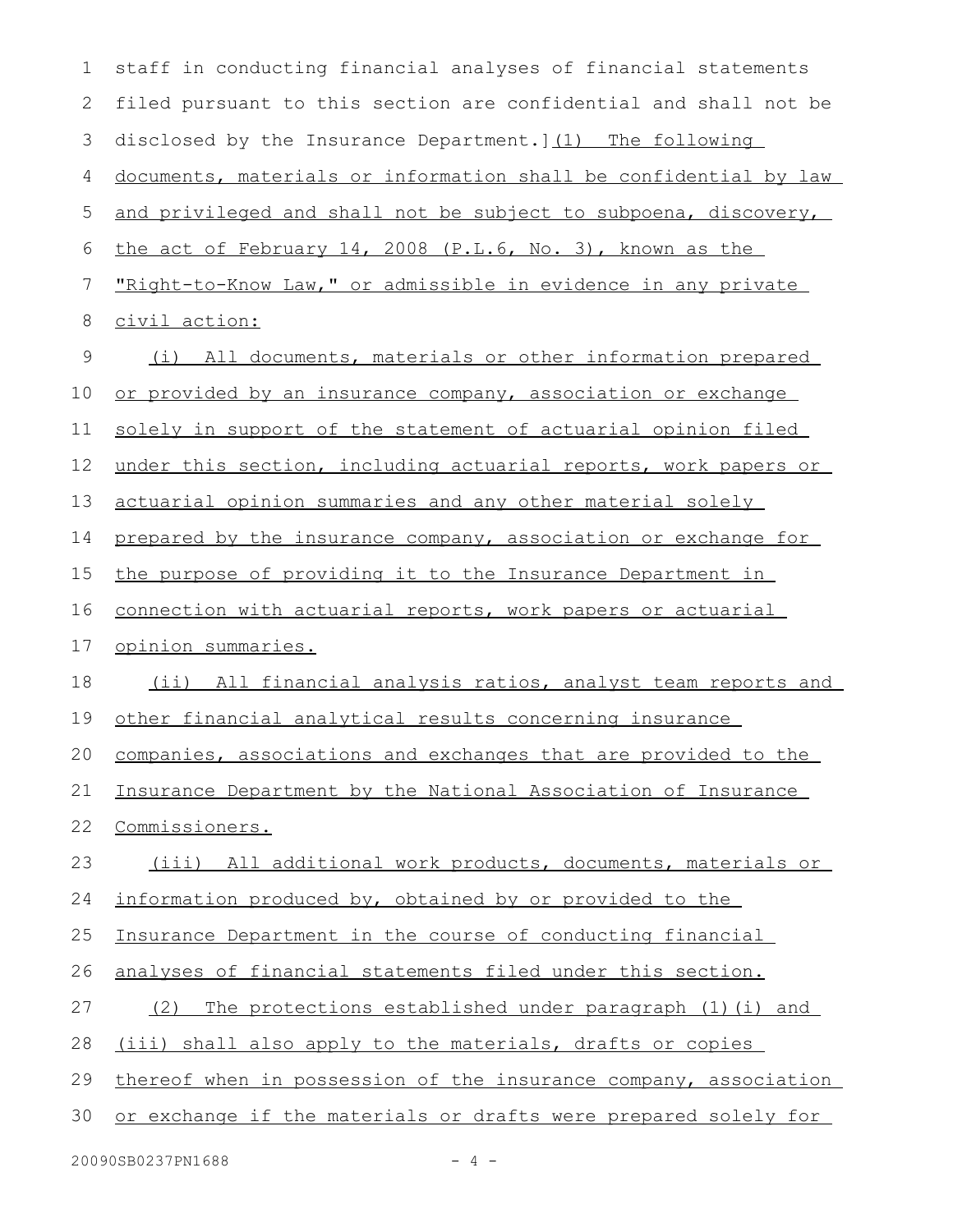| 1  | staff in conducting financial analyses of financial statements    |
|----|-------------------------------------------------------------------|
| 2  | filed pursuant to this section are confidential and shall not be  |
| 3  | disclosed by the Insurance Department. 1(1) The following         |
| 4  | documents, materials or information shall be confidential by law  |
| 5  | and privileged and shall not be subject to subpoena, discovery,   |
| 6  | the act of February 14, 2008 (P.L.6, No. 3), known as the         |
| 7  | "Right-to-Know Law," or admissible in evidence in any private     |
| 8  | <u>civil action:</u>                                              |
| 9  | All documents, materials or other information prepared<br>(i)     |
| 10 | or provided by an insurance company, association or exchange      |
| 11 | solely in support of the statement of actuarial opinion filed     |
| 12 | under this section, including actuarial reports, work papers or   |
| 13 | actuarial opinion summaries and any other material solely         |
| 14 | prepared by the insurance company, association or exchange for    |
| 15 | the purpose of providing it to the Insurance Department in        |
| 16 | connection with actuarial reports, work papers or actuarial       |
| 17 | opinion summaries.                                                |
| 18 | (ii) All financial analysis ratios, analyst team reports and      |
| 19 | other financial analytical results concerning insurance           |
|    | 20 companies, associations and exchanges that are provided to the |
| 21 | Insurance Department by the National Association of Insurance     |
| 22 | Commissioners.                                                    |
| 23 | (iii) All additional work products, documents, materials or       |
| 24 | information produced by, obtained by or provided to the           |
| 25 | Insurance Department in the course of conducting financial        |
| 26 | analyses of financial statements filed under this section.        |
| 27 | The protections established under paragraph (1) (i) and<br>(2)    |
| 28 | (iii) shall also apply to the materials, drafts or copies         |
| 29 | thereof when in possession of the insurance company, association  |
| 30 | or exchange if the materials or drafts were prepared solely for   |
|    |                                                                   |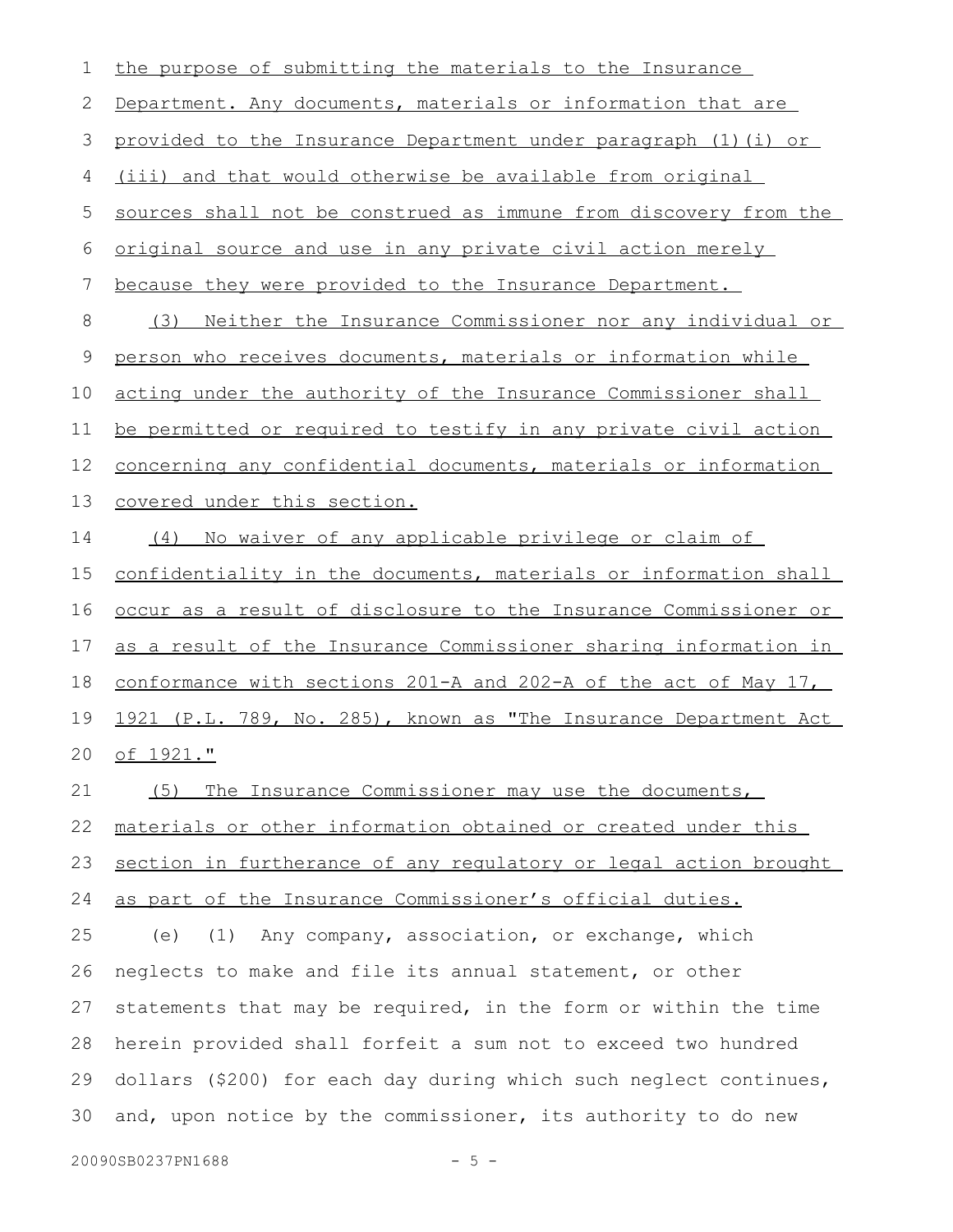| 1           | the purpose of submitting the materials to the Insurance          |
|-------------|-------------------------------------------------------------------|
| 2           | Department. Any documents, materials or information that are      |
| 3           | provided to the Insurance Department under paragraph (1) (i) or   |
| 4           | (iii) and that would otherwise be available from original         |
| 5           | sources shall not be construed as immune from discovery from the  |
| 6           | <u>original source and use in any private civil action merely</u> |
| 7           | because they were provided to the Insurance Department.           |
| 8           | Neither the Insurance Commissioner nor any individual or<br>(3)   |
| $\mathsf 9$ | person who receives documents, materials or information while     |
| 10          | acting under the authority of the Insurance Commissioner shall    |
| 11          | be permitted or required to testify in any private civil action   |
| 12          | concerning any confidential documents, materials or information   |
| 13          | covered under this section.                                       |
| 14          | No waiver of any applicable privilege or claim of<br>(4)          |
| 15          | confidentiality in the documents, materials or information shall  |
| 16          | occur as a result of disclosure to the Insurance Commissioner or  |
| 17          | as a result of the Insurance Commissioner sharing information in  |
| 18          | conformance with sections 201-A and 202-A of the act of May 17,   |
| 19          | 1921 (P.L. 789, No. 285), known as "The Insurance Department Act  |
| 20          | of 1921."                                                         |
| 21          | The Insurance Commissioner may use the documents,<br>(5)          |
| 22          | materials or other information obtained or created under this     |
| 23          | section in furtherance of any requlatory or legal action brought  |
| 24          | as part of the Insurance Commissioner's official duties.          |
| 25          | (1) Any company, association, or exchange, which<br>(e)           |
| 26          | neglects to make and file its annual statement, or other          |
| 27          | statements that may be required, in the form or within the time   |
| 28          | herein provided shall forfeit a sum not to exceed two hundred     |
| 29          | dollars (\$200) for each day during which such neglect continues, |
| 30          | and, upon notice by the commissioner, its authority to do new     |
|             |                                                                   |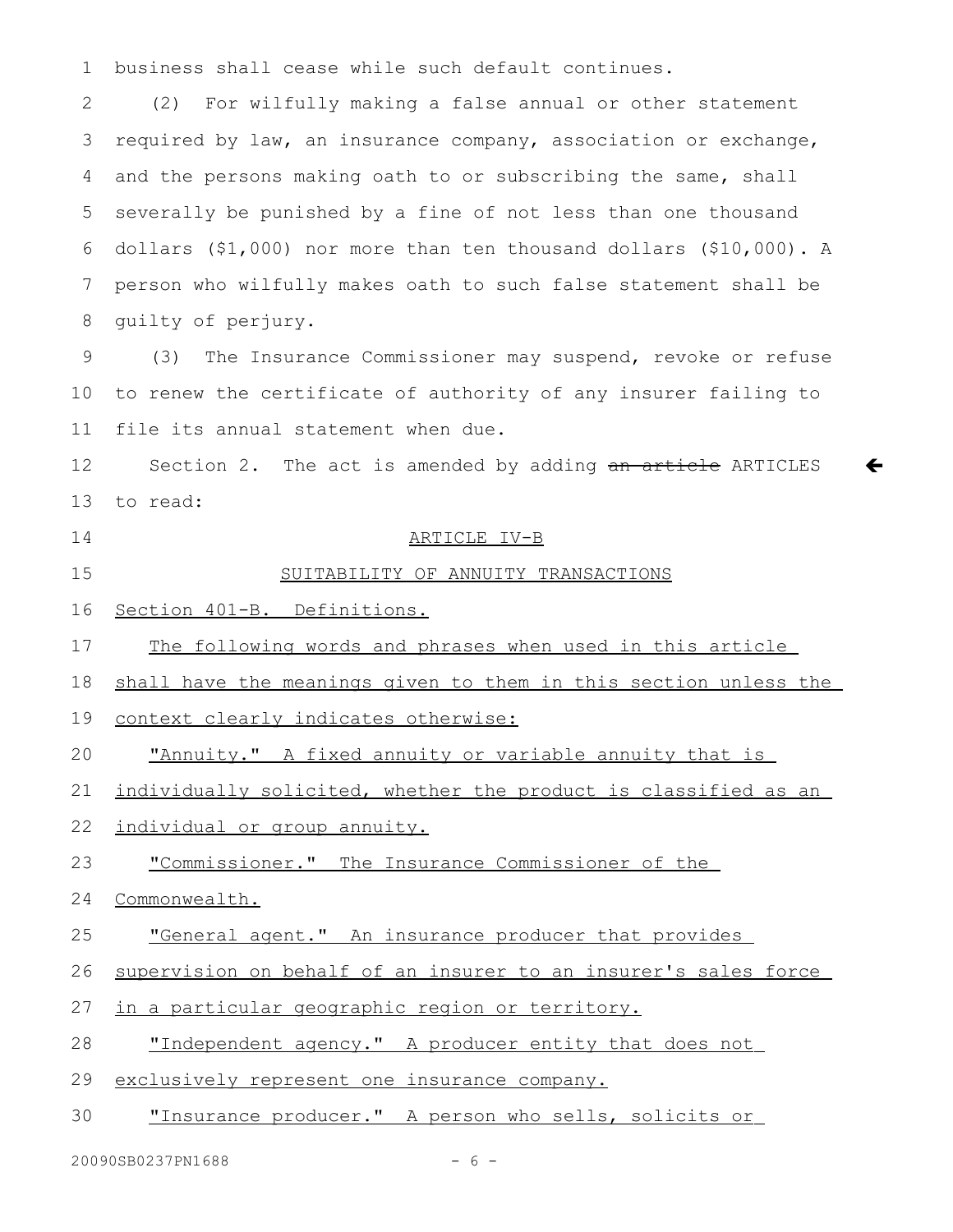business shall cease while such default continues. 1

(2) For wilfully making a false annual or other statement required by law, an insurance company, association or exchange, and the persons making oath to or subscribing the same, shall severally be punished by a fine of not less than one thousand dollars (\$1,000) nor more than ten thousand dollars (\$10,000). A person who wilfully makes oath to such false statement shall be guilty of perjury. 2 3 4 5 6 7 8

(3) The Insurance Commissioner may suspend, revoke or refuse to renew the certificate of authority of any insurer failing to file its annual statement when due. 9 10 11

Section 2. The act is amended by adding an article ARTICLES to read: 12 13

14

15

## ARTICLE IV-B

 $\leftarrow$ 

SUITABILITY OF ANNUITY TRANSACTIONS

Section 401-B. Definitions. 16

The following words and phrases when used in this article 17

shall have the meanings given to them in this section unless the 18

context clearly indicates otherwise: 19

"Annuity." A fixed annuity or variable annuity that is 20

individually solicited, whether the product is classified as an 21

individual or group annuity. 22

"Commissioner." The Insurance Commissioner of the 23

Commonwealth. 24

" General agent. " An insurance producer that provides 25

supervision on behalf of an insurer to an insurer's sales force 26

in a particular geographic region or territory. 27

"Independent agency." A producer entity that does not 28

exclusively represent one insurance company. 29

"Insurance producer." A person who sells, solicits or 30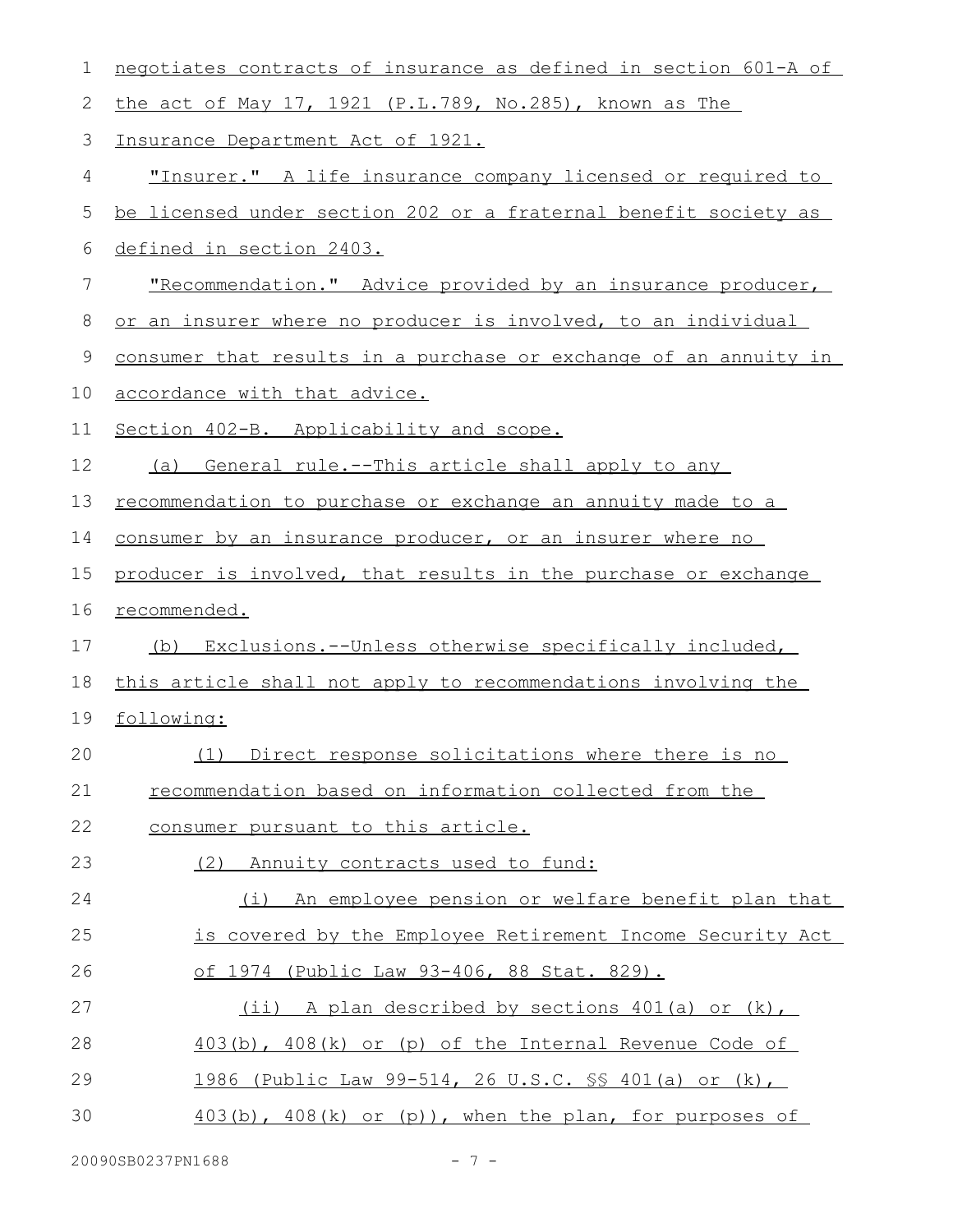| 1  | negotiates contracts of insurance as defined in section 601-A of     |
|----|----------------------------------------------------------------------|
| 2  | <u>the act of May 17, 1921 (P.L.789, No.285), known as The</u>       |
| 3  | Insurance Department Act of 1921.                                    |
| 4  | <u> "Insurer." A life insurance company licensed or required to </u> |
| 5  | be licensed under section 202 or a fraternal benefit society as      |
| 6  | defined in section 2403.                                             |
| 7  | "Recommendation." Advice provided by an insurance producer,          |
| 8  | or an insurer where no producer is involved, to an individual        |
| 9  | consumer that results in a purchase or exchange of an annuity in     |
| 10 | accordance with that advice.                                         |
| 11 | Section 402-B. Applicability and scope.                              |
| 12 | General rule.--This article shall apply to any<br>(a)                |
| 13 | recommendation to purchase or exchange an annuity made to a          |
| 14 | consumer by an insurance producer, or an insurer where no            |
| 15 | producer is involved, that results in the purchase or exchange       |
| 16 | recommended.                                                         |
| 17 | (b) Exclusions.--Unless otherwise specifically included,             |
| 18 | this article shall not apply to recommendations involving the        |
| 19 | following:                                                           |
| 20 | (1) Direct response solicitations where there is no                  |
| 21 | recommendation based on information collected from the               |
| 22 | consumer pursuant to this article.                                   |
| 23 | (2) Annuity contracts used to fund:                                  |
| 24 | (i) An employee pension or welfare benefit plan that                 |
| 25 | is covered by the Employee Retirement Income Security Act            |
| 26 | <u>of 1974 (Public Law 93-406, 88 Stat. 829).</u>                    |
| 27 | (ii) A plan described by sections 401(a) or (k),                     |
| 28 | $403(b)$ , $408(k)$ or (p) of the Internal Revenue Code of           |
| 29 | 1986 (Public Law 99-514, 26 U.S.C. SS 401(a) or (k),                 |
| 30 | $403(b)$ , $408(k)$ or $(p)$ ), when the plan, for purposes of       |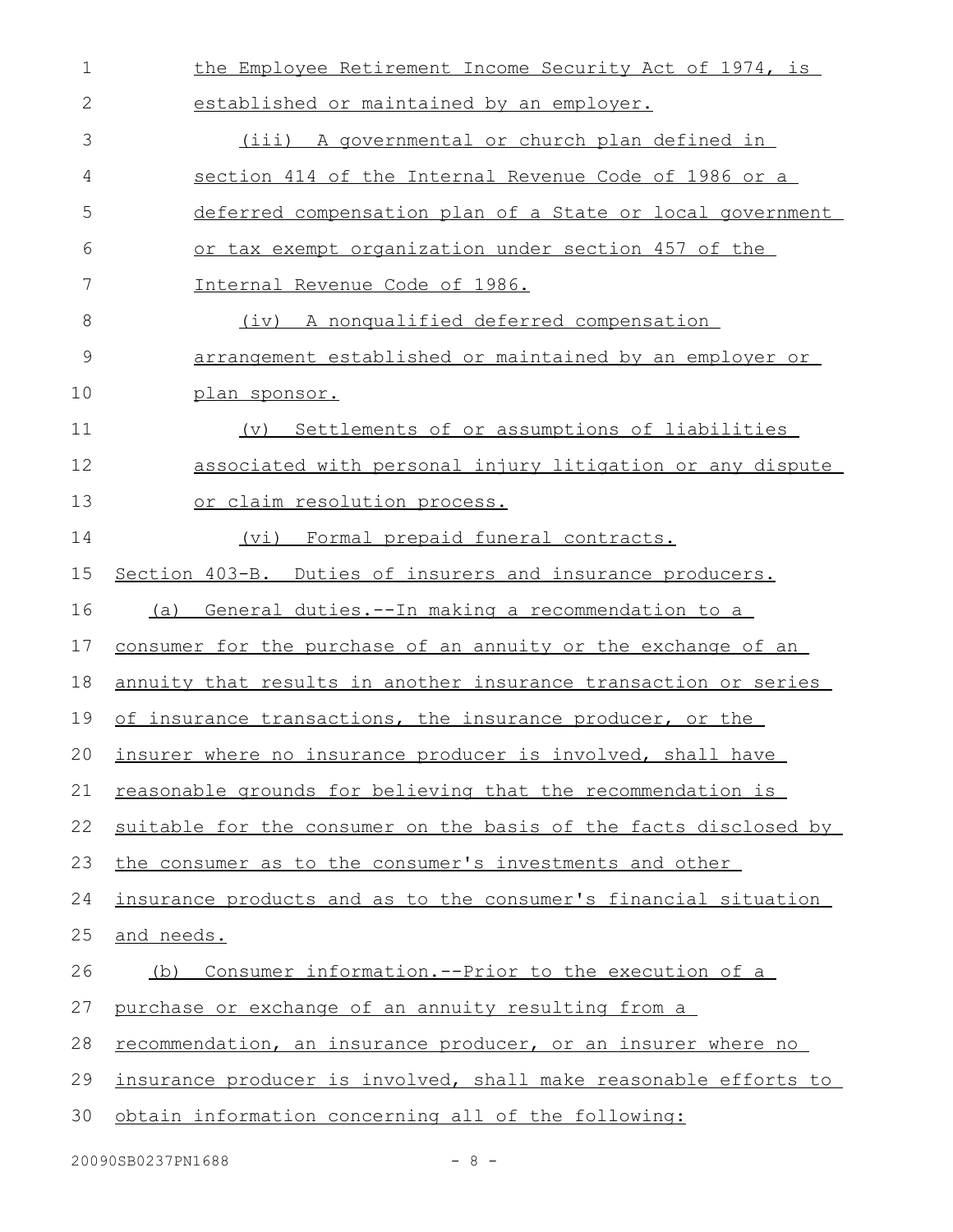| $\mathbf 1$  | the Employee Retirement Income Security Act of 1974, is          |
|--------------|------------------------------------------------------------------|
| $\mathbf{2}$ | established or maintained by an employer.                        |
| 3            | (iii) A governmental or church plan defined in                   |
| 4            | section 414 of the Internal Revenue Code of 1986 or a            |
| 5            | deferred compensation plan of a State or local government        |
| 6            | or tax exempt organization under section 457 of the              |
| 7            | Internal Revenue Code of 1986.                                   |
| 8            | (iv) A nonqualified deferred compensation                        |
| 9            | arrangement established or maintained by an employer or          |
| 10           | plan sponsor.                                                    |
| 11           | (v) Settlements of or assumptions of liabilities                 |
| 12           | associated with personal injury litigation or any dispute        |
| 13           | or claim resolution process.                                     |
| 14           | Formal prepaid funeral contracts.<br>(vi)                        |
| 15           | Section 403-B. Duties of insurers and insurance producers.       |
| 16           | General duties. -- In making a recommendation to a<br>(a)        |
| 17           | consumer for the purchase of an annuity or the exchange of an    |
| 18           | annuity that results in another insurance transaction or series  |
| 19           | of insurance transactions, the insurance producer, or the        |
| 20           | insurer where no insurance producer is involved, shall have      |
| 21           | reasonable grounds for believing that the recommendation is      |
| 22           | suitable for the consumer on the basis of the facts disclosed by |
| 23           | the consumer as to the consumer's investments and other          |
| 24           | insurance products and as to the consumer's financial situation  |
| 25           | and needs.                                                       |
| 26           | Consumer information.--Prior to the execution of a<br>(b)        |
| 27           | purchase or exchange of an annuity resulting from a              |
| 28           | recommendation, an insurance producer, or an insurer where no    |
| 29           | insurance producer is involved, shall make reasonable efforts to |
| 30           | obtain information concerning all of the following:              |

20090SB0237PN1688 - 8 -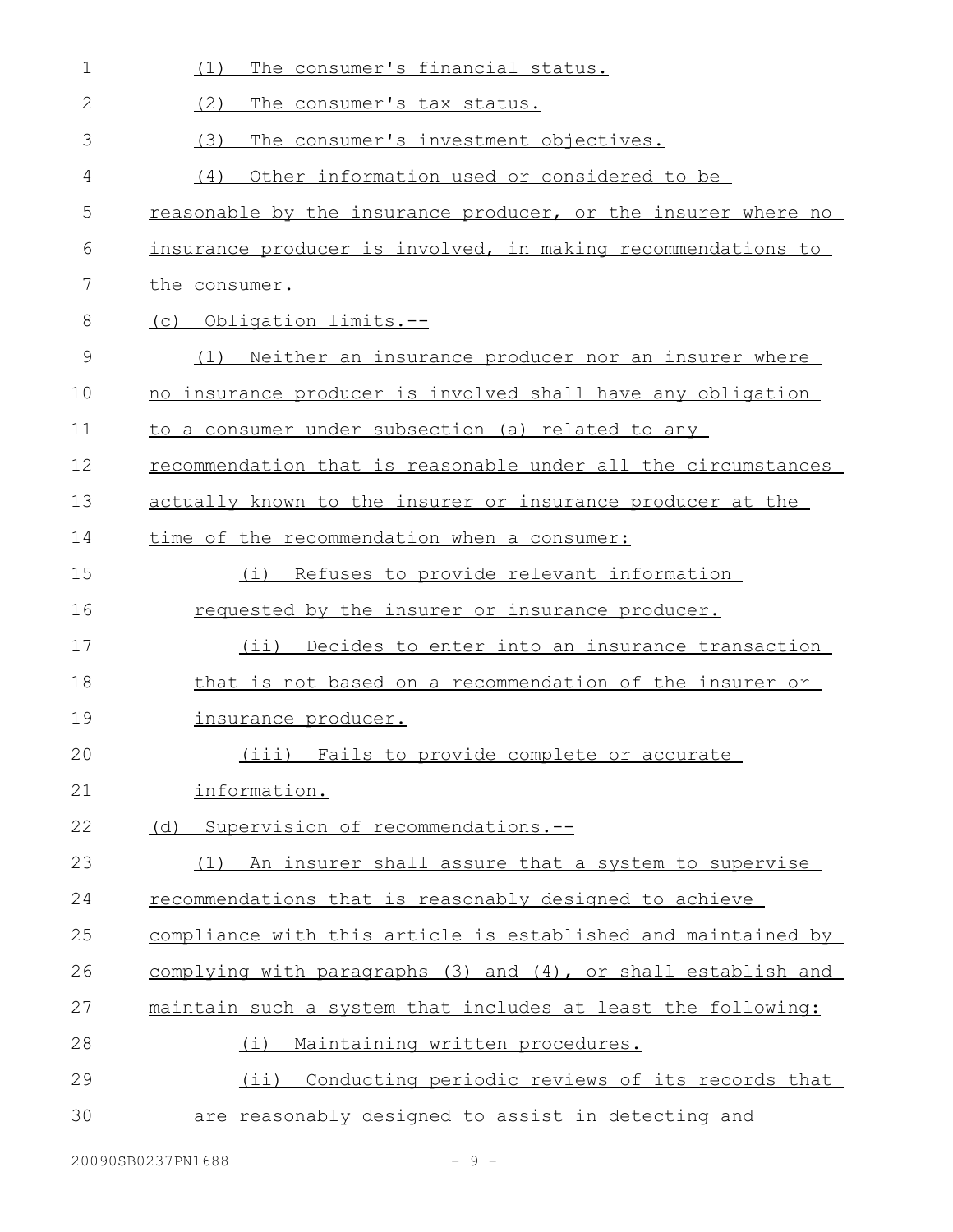| 1             | The consumer's financial status.<br>(1)                          |
|---------------|------------------------------------------------------------------|
| 2             | (2)<br>The consumer's tax status.                                |
| 3             | (3)<br>The consumer's investment objectives.                     |
| 4             | (4)<br>Other information used or considered to be                |
| 5             | reasonable by the insurance producer, or the insurer where no    |
| 6             | insurance producer is involved, in making recommendations to     |
| 7             | the consumer.                                                    |
| 8             | (c) Obligation limits.--                                         |
| $\mathcal{G}$ | (1)<br><u>Neither an insurance producer nor an insurer where</u> |
| 10            | no insurance producer is involved shall have any obligation      |
| 11            | to a consumer under subsection (a) related to any                |
| 12            | recommendation that is reasonable under all the circumstances    |
| 13            | actually known to the insurer or insurance producer at the       |
| 14            | time of the recommendation when a consumer:                      |
| 15            | Refuses to provide relevant information<br>(i)                   |
| 16            | requested by the insurer or insurance producer.                  |
| 17            | (ii) Decides to enter into an insurance transaction              |
| 18            | that is not based on a recommendation of the insurer or          |
| 19            | <u>insurance producer.</u>                                       |
| 20            | (iii) Fails to provide complete or accurate                      |
| 21            | information.                                                     |
| 22            | (d) Supervision of recommendations.--                            |
| 23            | An insurer shall assure that a system to supervise<br>(1)        |
| 24            | recommendations that is reasonably designed to achieve           |
| 25            | compliance with this article is established and maintained by    |
| 26            | complying with paragraphs (3) and (4), or shall establish and    |
| 27            | maintain such a system that includes at least the following:     |
| 28            | Maintaining written procedures.<br>(i)                           |
| 29            | (ii) Conducting periodic reviews of its records that             |
| 30            | are reasonably designed to assist in detecting and               |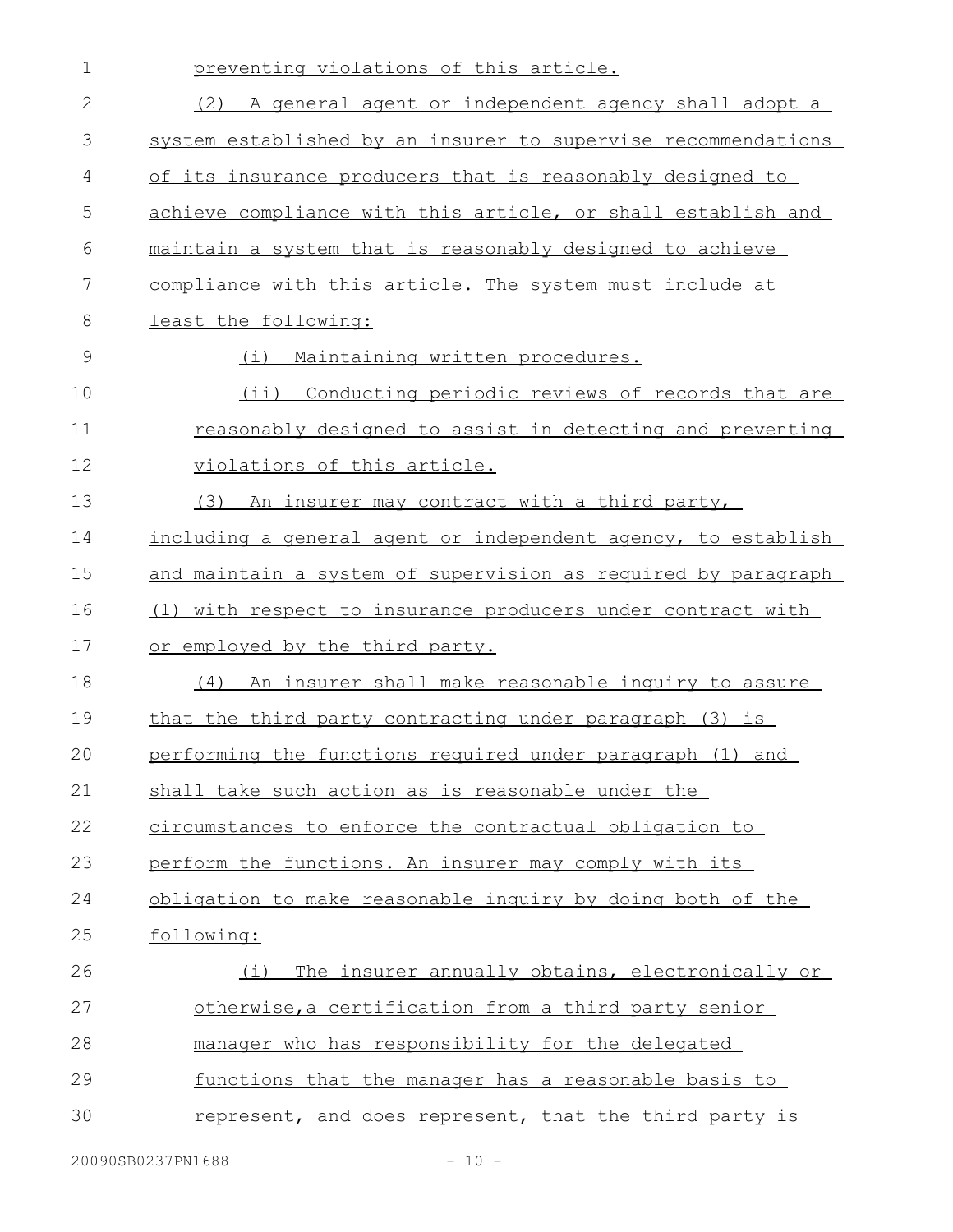| $\mathbf 1$  | preventing violations of this article.                        |
|--------------|---------------------------------------------------------------|
| $\mathbf{2}$ | (2) A general agent or independent agency shall adopt a       |
| 3            | system established by an insurer to supervise recommendations |
| 4            | of its insurance producers that is reasonably designed to     |
| 5            | achieve compliance with this article, or shall establish and  |
| 6            | maintain a system that is reasonably designed to achieve      |
| 7            | compliance with this article. The system must include at      |
| 8            | least the following:                                          |
| 9            | Maintaining written procedures.<br>(i)                        |
| 10           | (ii) Conducting periodic reviews of records that are          |
| 11           | reasonably designed to assist in detecting and preventing     |
| 12           | violations of this article.                                   |
| 13           | (3) An insurer may contract with a third party,               |
| 14           | including a general agent or independent agency, to establish |
| 15           | and maintain a system of supervision as required by paragraph |
| 16           | (1) with respect to insurance producers under contract with   |
| 17           | or employed by the third party.                               |
| 18           | An insurer shall make reasonable inquiry to assure<br>(4)     |
| 19           | that the third party contracting under paragraph (3) is       |
| 20           | performing the functions required under paragraph (1) and     |
| 21           | shall take such action as is reasonable under the             |
| 22           | circumstances to enforce the contractual obligation to        |
| 23           | perform the functions. An insurer may comply with its         |
| 24           | obligation to make reasonable inquiry by doing both of the    |
| 25           | following:                                                    |
| 26           | The insurer annually obtains, electronically or<br>(i)        |
| 27           | otherwise, a certification from a third party senior          |
| 28           | manager who has responsibility for the delegated              |
| 29           | functions that the manager has a reasonable basis to          |
| 30           | represent, and does represent, that the third party is        |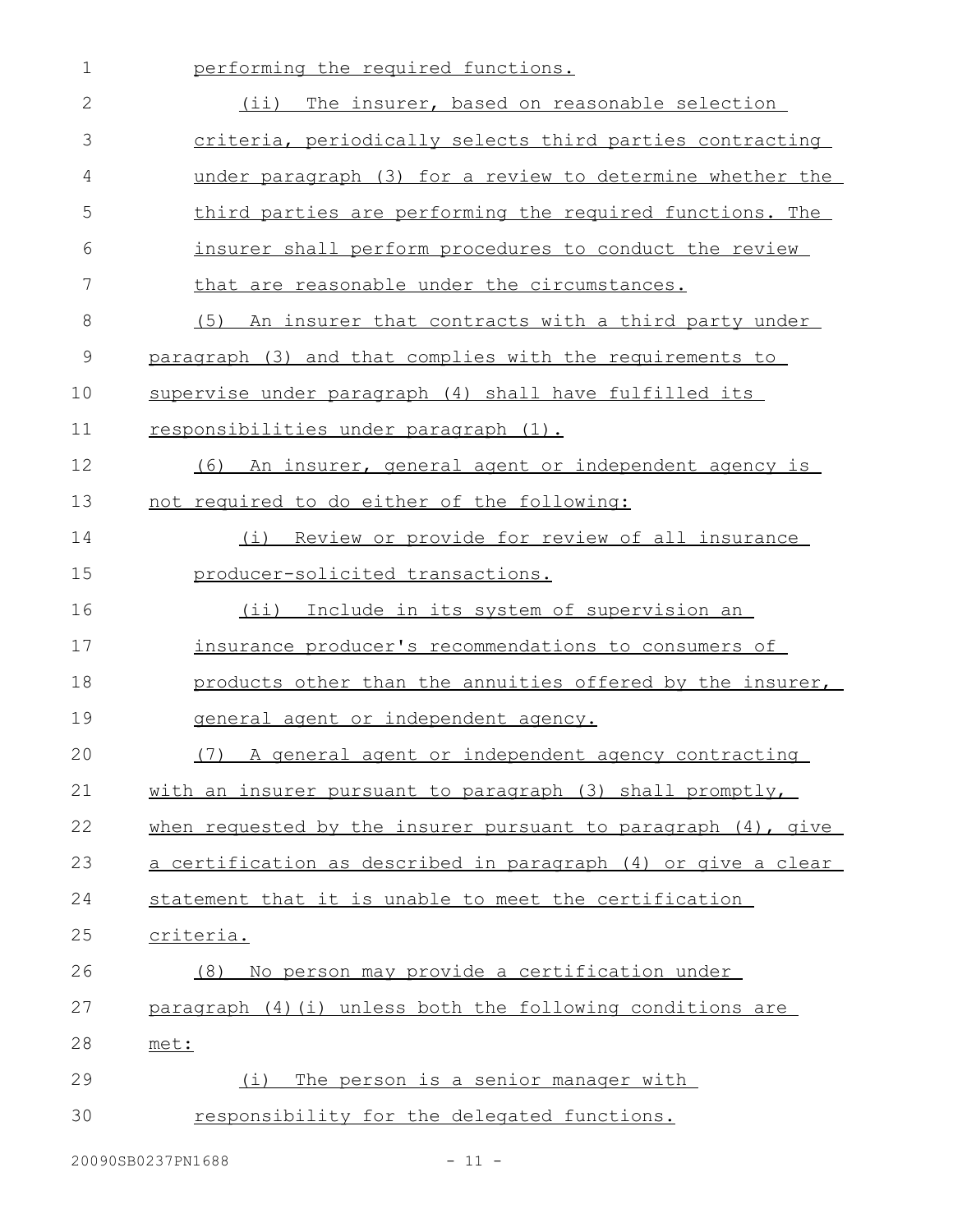| $\mathbf 1$ | performing the required functions.                               |
|-------------|------------------------------------------------------------------|
| 2           | (ii) The insurer, based on reasonable selection                  |
| 3           | criteria, periodically selects third parties contracting         |
| 4           | under paragraph (3) for a review to determine whether the        |
| 5           | third parties are performing the required functions. The         |
| 6           | insurer shall perform procedures to conduct the review           |
| 7           | that are reasonable under the circumstances.                     |
| 8           | (5) An insurer that contracts with a third party under           |
| 9           | paragraph (3) and that complies with the requirements to         |
| 10          | supervise under paragraph (4) shall have fulfilled its           |
| 11          | responsibilities under paragraph (1).                            |
| 12          | (6) An insurer, general agent or independent agency is           |
| 13          | not required to do either of the following:                      |
| 14          | Review or provide for review of all insurance<br>(i)             |
| 15          | producer-solicited transactions.                                 |
| 16          | (ii) Include in its system of supervision an                     |
| 17          | insurance producer's recommendations to consumers of             |
| 18          | products other than the annuities offered by the insurer,        |
| 19          | general agent or independent agency.                             |
| 20          | (7) A general agent or independent agency contracting            |
| 21          | with an insurer pursuant to paragraph (3) shall promptly,        |
| 22          | when requested by the insurer pursuant to paragraph $(4)$ , give |
| 23          | a certification as described in paragraph (4) or give a clear    |
| 24          | statement that it is unable to meet the certification            |
| 25          | criteria.                                                        |
| 26          | No person may provide a certification under<br>(8)               |
| 27          | paragraph (4) (i) unless both the following conditions are       |
| 28          | met:                                                             |
| 29          | The person is a senior manager with<br>(i)                       |
| 30          | responsibility for the delegated functions.                      |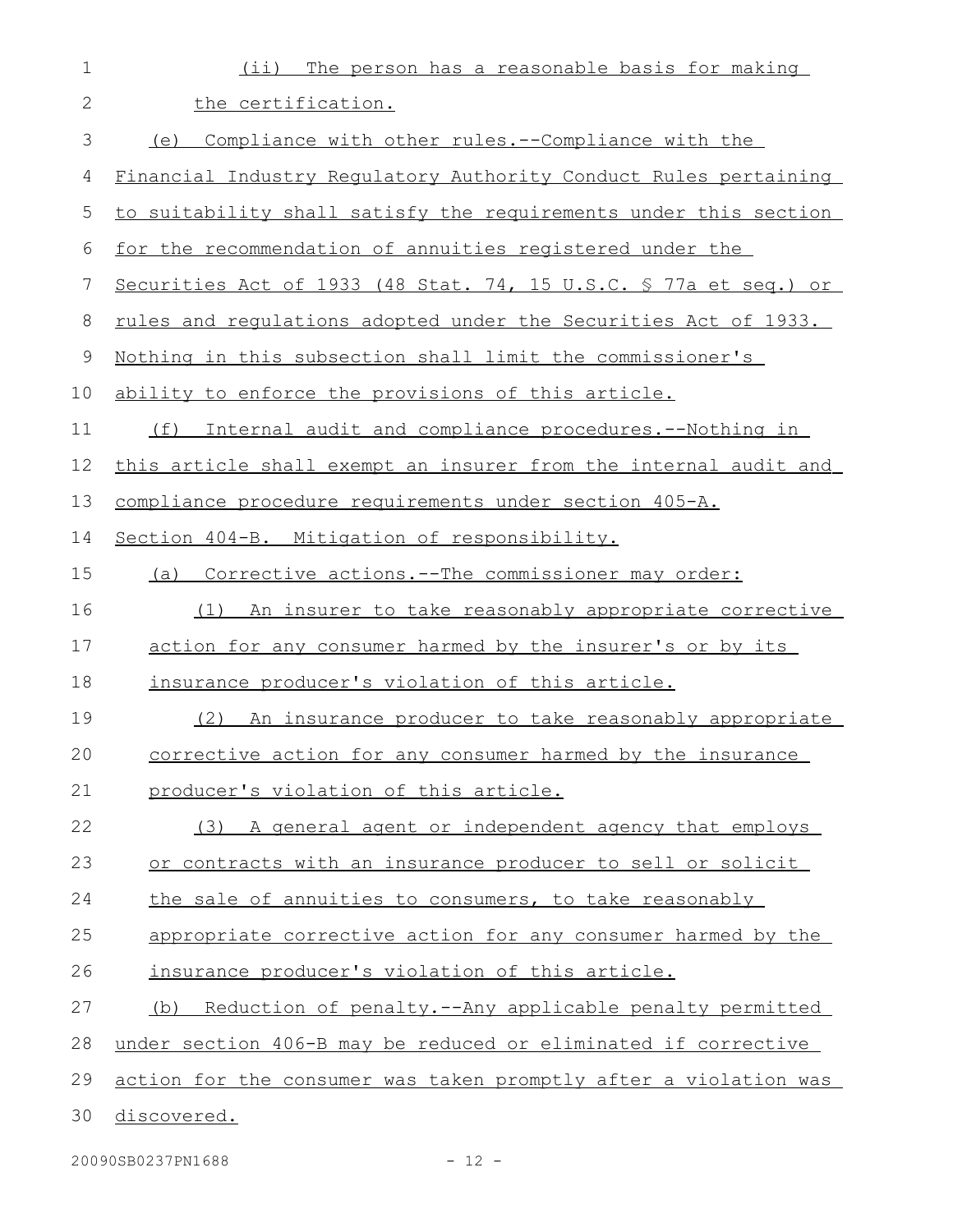| $\mathbf 1$  | The person has a reasonable basis for making<br>$(i$ ii)         |
|--------------|------------------------------------------------------------------|
| $\mathbf{2}$ | the certification.                                               |
| 3            | (e) Compliance with other rules.--Compliance with the            |
| 4            | Financial Industry Regulatory Authority Conduct Rules pertaining |
| 5            | to suitability shall satisfy the requirements under this section |
| 6            | for the recommendation of annuities registered under the         |
| 7            | Securities Act of 1933 (48 Stat. 74, 15 U.S.C. § 77a et seq.) or |
| 8            | rules and regulations adopted under the Securities Act of 1933.  |
| $\mathsf 9$  | Nothing in this subsection shall limit the commissioner's        |
| 10           | ability to enforce the provisions of this article.               |
| 11           | (f)<br>Internal audit and compliance procedures.--Nothing in     |
| 12           | this article shall exempt an insurer from the internal audit and |
| 13           | compliance procedure requirements under section 405-A.           |
| 14           | Section 404-B. Mitigation of responsibility.                     |
| 15           | Corrective actions.--The commissioner may order:<br>(a)          |
| 16           | An insurer to take reasonably appropriate corrective<br>(1)      |
| 17           | action for any consumer harmed by the insurer's or by its        |
| 18           | insurance producer's violation of this article.                  |
| 19           | An insurance producer to take reasonably appropriate<br>(2)      |
| 20           | corrective action for any consumer harmed by the insurance       |
| 21           | producer's violation of this article.                            |
| 22           | A general agent or independent agency that employs<br>(3)        |
| 23           | or contracts with an insurance producer to sell or solicit       |
| 24           | the sale of annuities to consumers, to take reasonably           |
| 25           | appropriate corrective action for any consumer harmed by the     |
| 26           | insurance producer's violation of this article.                  |
| 27           | (b) Reduction of penalty.--Any applicable penalty permitted      |
| 28           | under section 406-B may be reduced or eliminated if corrective   |
| 29           | action for the consumer was taken promptly after a violation was |
| 30           | discovered.                                                      |
|              |                                                                  |

20090SB0237PN1688 - 12 -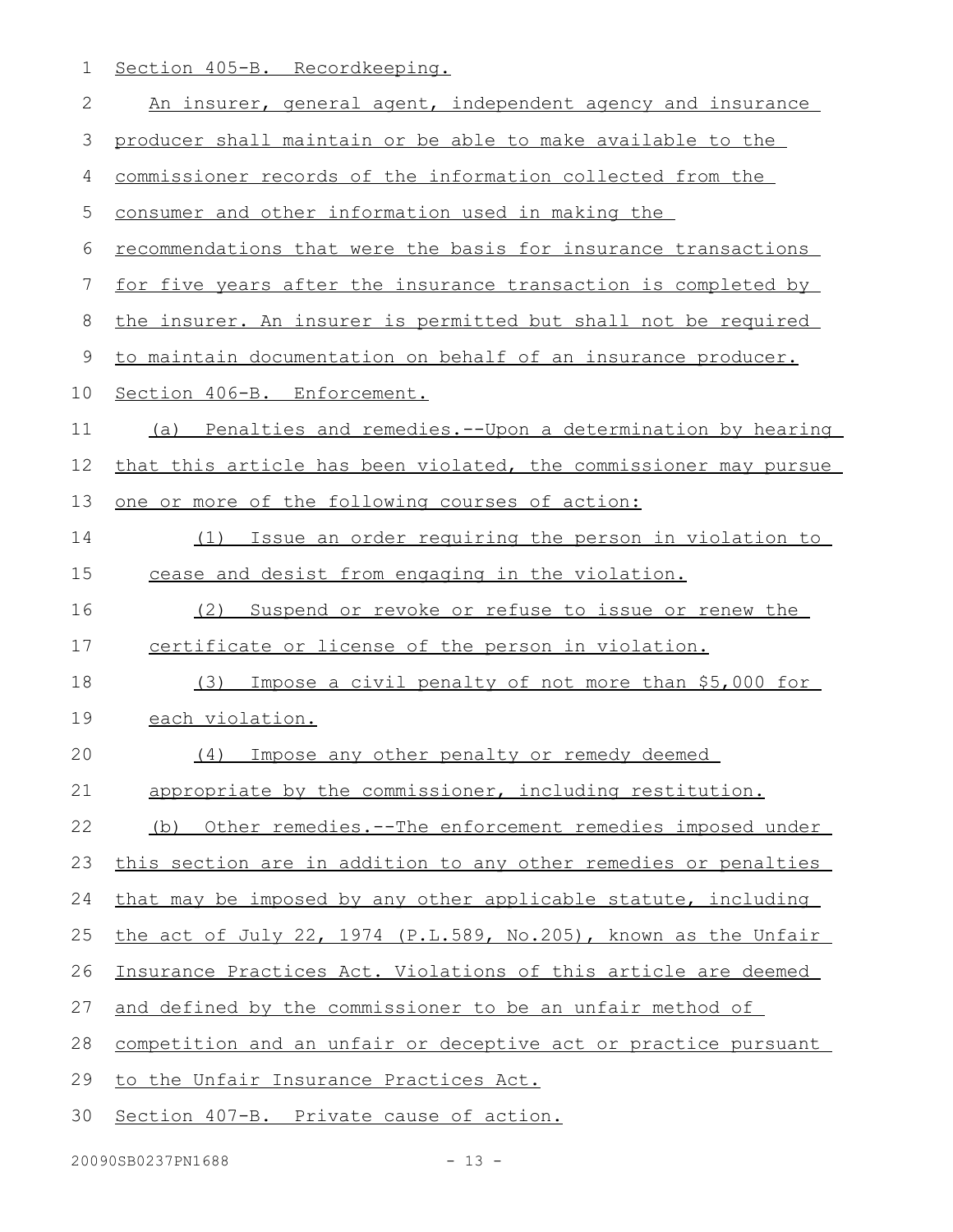1 Section 405-B. Recordkeeping.

| $\mathbf{2}$ | An insurer, general agent, independent agency and insurance      |
|--------------|------------------------------------------------------------------|
| 3            | producer shall maintain or be able to make available to the      |
| 4            | commissioner records of the information collected from the       |
| 5            | consumer and other information used in making the                |
| 6            | recommendations that were the basis for insurance transactions   |
| 7            | for five years after the insurance transaction is completed by   |
| 8            | the insurer. An insurer is permitted but shall not be required   |
| 9            | to maintain documentation on behalf of an insurance producer.    |
| 10           | Section 406-B. Enforcement.                                      |
| 11           | (a) Penalties and remedies.--Upon a determination by hearing     |
| 12           | that this article has been violated, the commissioner may pursue |
| 13           | one or more of the following courses of action:                  |
| 14           | Issue an order requiring the person in violation to<br>(1)       |
| 15           | cease and desist from engaging in the violation.                 |
| 16           | (2)<br>Suspend or revoke or refuse to issue or renew the         |
| 17           | certificate or license of the person in violation.               |
| 18           | (3)<br>Impose a civil penalty of not more than \$5,000 for       |
| 19           | each violation.                                                  |
| 20           | Impose any other penalty or remedy deemed<br>(4)                 |
| 21           | appropriate by the commissioner, including restitution.          |
| 22           | Other remedies.--The enforcement remedies imposed under<br>(b)   |
| 23           | this section are in addition to any other remedies or penalties  |
| 24           | that may be imposed by any other applicable statute, including   |
| 25           | the act of July 22, 1974 (P.L.589, No.205), known as the Unfair  |
| 26           | Insurance Practices Act. Violations of this article are deemed   |
| 27           | and defined by the commissioner to be an unfair method of        |
| 28           | competition and an unfair or deceptive act or practice pursuant  |
| 29           | to the Unfair Insurance Practices Act.                           |
| 30           | Section 407-B. Private cause of action.                          |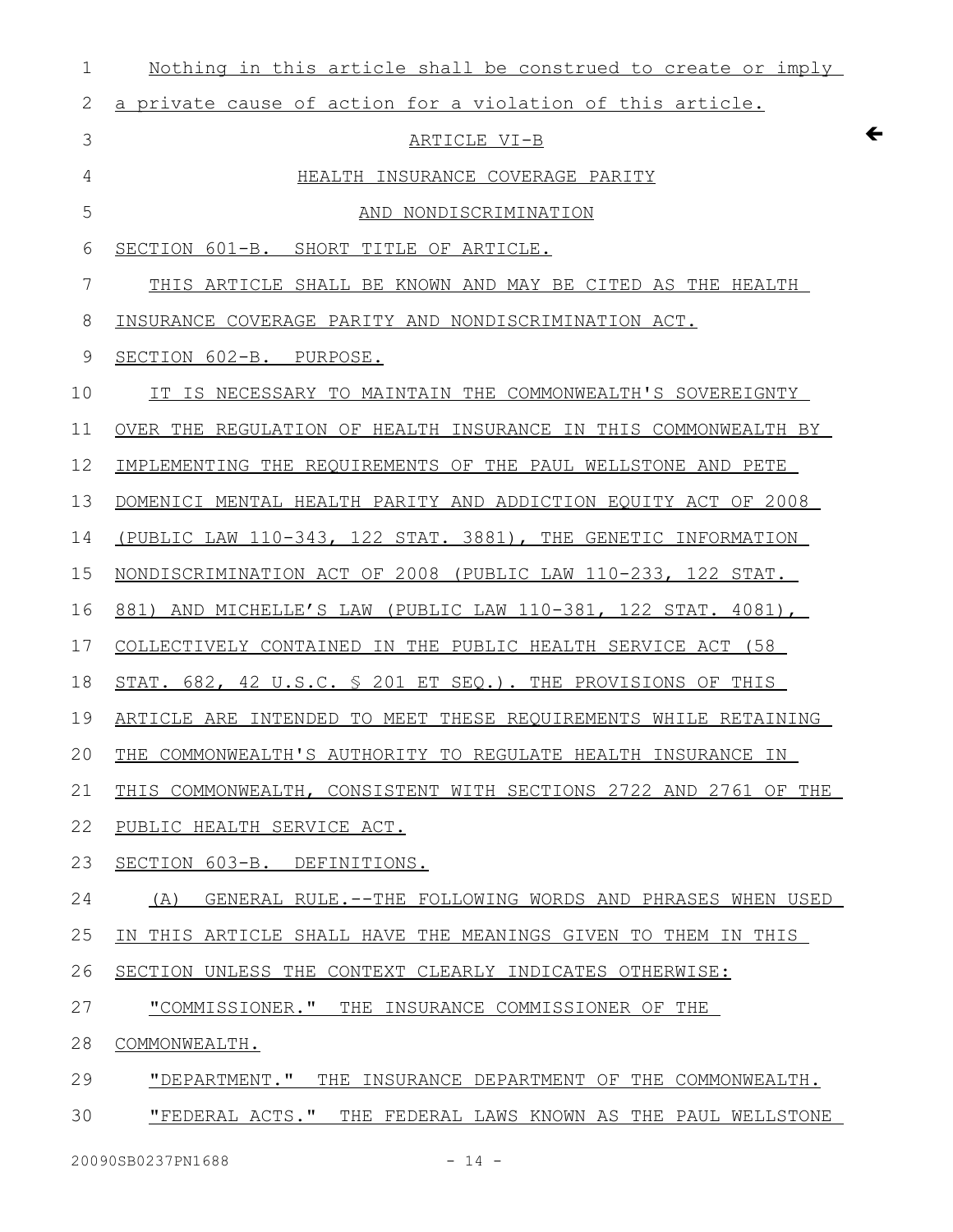| $\mathbf 1$ | Nothing in this article shall be construed to create or imply    |
|-------------|------------------------------------------------------------------|
| 2           | a private cause of action for a violation of this article.       |
| 3           | $\leftarrow$<br>ARTICLE VI-B                                     |
| 4           | HEALTH INSURANCE COVERAGE PARITY                                 |
| 5           | AND NONDISCRIMINATION                                            |
| 6           | SECTION 601-B. SHORT TITLE OF ARTICLE.                           |
| 7           | THIS ARTICLE SHALL BE KNOWN AND MAY BE CITED AS THE HEALTH       |
| 8           | INSURANCE COVERAGE PARITY AND NONDISCRIMINATION ACT.             |
| 9           | SECTION 602-B. PURPOSE.                                          |
| 10          | IT IS NECESSARY TO MAINTAIN THE COMMONWEALTH'S SOVEREIGNTY       |
| 11          | OVER THE REGULATION OF HEALTH INSURANCE IN THIS COMMONWEALTH BY  |
| 12          | IMPLEMENTING THE REQUIREMENTS OF THE PAUL WELLSTONE AND PETE     |
| 13          | DOMENICI MENTAL HEALTH PARITY AND ADDICTION EQUITY ACT OF 2008   |
| 14          | (PUBLIC LAW 110-343, 122 STAT. 3881), THE GENETIC INFORMATION    |
| 15          | NONDISCRIMINATION ACT OF 2008 (PUBLIC LAW 110-233, 122 STAT.     |
| 16          | 881) AND MICHELLE'S LAW (PUBLIC LAW 110-381, 122 STAT. 4081),    |
| 17          | COLLECTIVELY CONTAINED IN THE PUBLIC HEALTH SERVICE ACT (58      |
| 18          | STAT. 682, 42 U.S.C. § 201 ET SEQ.). THE PROVISIONS OF THIS      |
| 19          | ARTICLE ARE INTENDED TO MEET THESE REQUIREMENTS WHILE RETAINING  |
| 20          | THE COMMONWEALTH'S AUTHORITY TO REGULATE HEALTH INSURANCE IN     |
| 21          | THIS COMMONWEALTH, CONSISTENT WITH SECTIONS 2722 AND 2761 OF THE |
| 22          | PUBLIC HEALTH SERVICE ACT.                                       |
| 23          | SECTION 603-B. DEFINITIONS.                                      |
| 24          | (A)<br>GENERAL RULE.--THE FOLLOWING WORDS AND PHRASES WHEN USED  |
| 25          | IN THIS ARTICLE SHALL HAVE THE MEANINGS GIVEN TO THEM IN THIS    |
| 26          | SECTION UNLESS THE CONTEXT CLEARLY INDICATES OTHERWISE:          |
| 27          | "COMMISSIONER." THE INSURANCE COMMISSIONER OF THE                |
| 28          | COMMONWEALTH.                                                    |
| 29          | "DEPARTMENT." THE INSURANCE DEPARTMENT OF THE COMMONWEALTH.      |
| 30          | "FEDERAL ACTS."<br>THE FEDERAL LAWS KNOWN AS THE PAUL WELLSTONE  |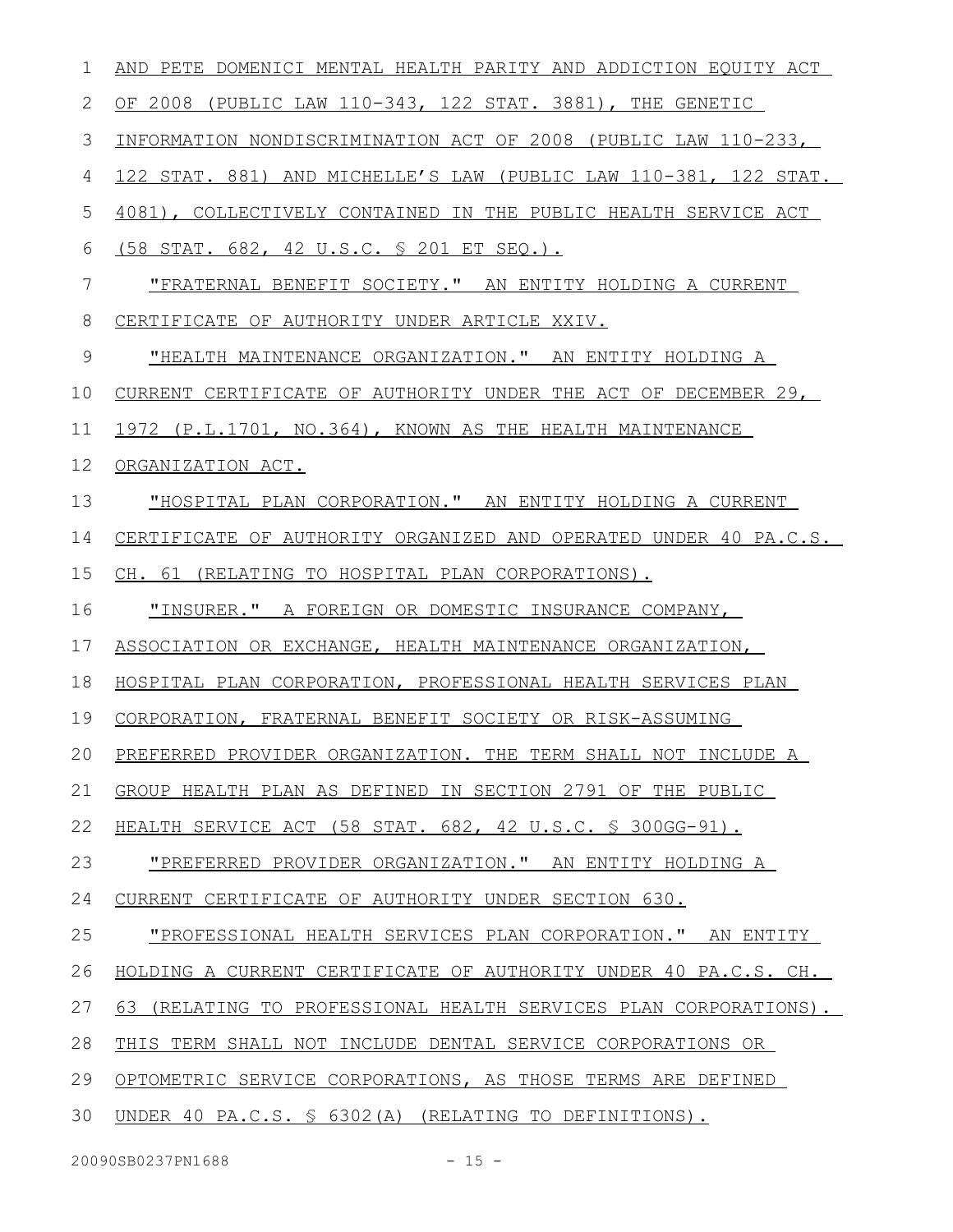| 1  | AND PETE DOMENICI MENTAL HEALTH PARITY AND ADDICTION EQUITY ACT     |
|----|---------------------------------------------------------------------|
| 2  | OF 2008 (PUBLIC LAW 110-343, 122 STAT. 3881), THE GENETIC           |
| 3  | INFORMATION NONDISCRIMINATION ACT OF 2008 (PUBLIC LAW 110-233,      |
| 4  | 122 STAT. 881) AND MICHELLE'S LAW (PUBLIC LAW 110-381, 122 STAT.    |
| 5  | 4081), COLLECTIVELY CONTAINED IN THE PUBLIC HEALTH SERVICE ACT      |
| 6  | <u>(58 STAT. 682, 42 U.S.C. § 201 ET SEQ.).</u>                     |
| 7  | "FRATERNAL BENEFIT SOCIETY." AN ENTITY HOLDING A CURRENT            |
| 8  | CERTIFICATE OF AUTHORITY UNDER ARTICLE XXIV.                        |
| 9  | "HEALTH MAINTENANCE ORGANIZATION." AN ENTITY HOLDING A              |
| 10 | CURRENT CERTIFICATE OF AUTHORITY UNDER THE ACT OF DECEMBER 29,      |
| 11 | 1972 (P.L.1701, NO.364), KNOWN AS THE HEALTH MAINTENANCE            |
| 12 | ORGANIZATION ACT.                                                   |
| 13 | "HOSPITAL PLAN CORPORATION." AN ENTITY HOLDING A CURRENT            |
| 14 | CERTIFICATE OF AUTHORITY ORGANIZED AND OPERATED UNDER 40 PA.C.S.    |
| 15 | CH. 61 (RELATING TO HOSPITAL PLAN CORPORATIONS).                    |
| 16 | "INSURER." A FOREIGN OR DOMESTIC INSURANCE COMPANY,                 |
| 17 | ASSOCIATION OR EXCHANGE, HEALTH MAINTENANCE ORGANIZATION,           |
| 18 | HOSPITAL PLAN CORPORATION, PROFESSIONAL HEALTH SERVICES PLAN        |
| 19 | CORPORATION, FRATERNAL BENEFIT SOCIETY OR RISK-ASSUMING             |
| 20 | PREFERRED PROVIDER ORGANIZATION. THE TERM SHALL NOT INCLUDE A       |
| 21 | GROUP HEALTH PLAN AS DEFINED IN SECTION 2791 OF THE PUBLIC          |
| 22 | HEALTH SERVICE ACT (58 STAT. 682, 42 U.S.C. § 300GG-91).            |
| 23 | "PREFERRED PROVIDER ORGANIZATION." AN ENTITY HOLDING A              |
| 24 | CURRENT CERTIFICATE OF AUTHORITY UNDER SECTION 630.                 |
| 25 | "PROFESSIONAL HEALTH SERVICES PLAN CORPORATION." AN ENTITY          |
| 26 | HOLDING A CURRENT CERTIFICATE OF AUTHORITY UNDER 40 PA.C.S. CH.     |
| 27 | 63<br>(RELATING TO PROFESSIONAL HEALTH SERVICES PLAN CORPORATIONS). |
| 28 | THIS TERM SHALL NOT INCLUDE DENTAL SERVICE CORPORATIONS OR          |
| 29 | OPTOMETRIC SERVICE CORPORATIONS, AS THOSE TERMS ARE DEFINED         |
| 30 | UNDER 40 PA.C.S. § 6302(A) (RELATING TO DEFINITIONS).               |
|    |                                                                     |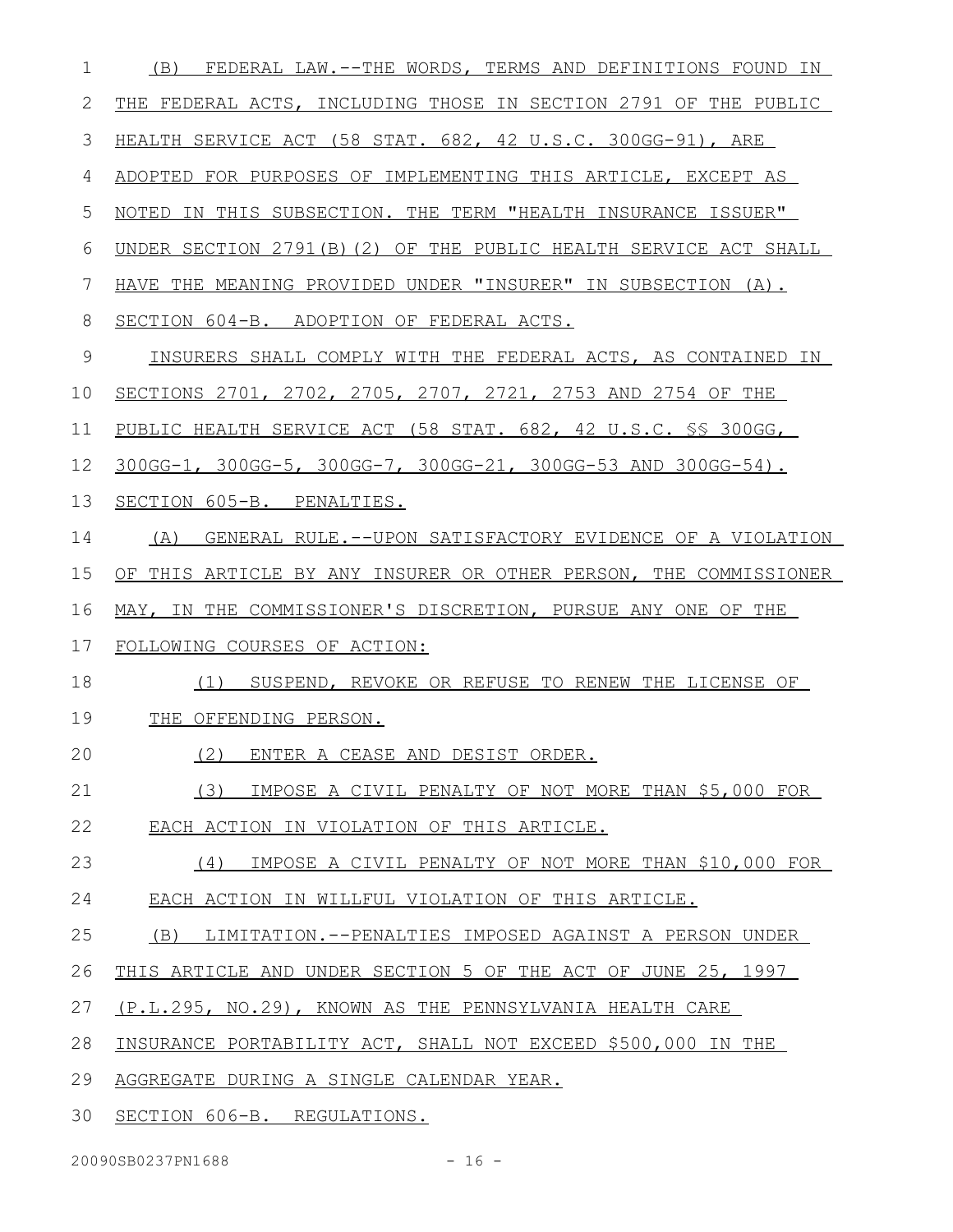| $\mathbf 1$  | FEDERAL LAW.--THE WORDS, TERMS AND DEFINITIONS FOUND IN<br>(B)   |
|--------------|------------------------------------------------------------------|
| $\mathbf{2}$ | THE FEDERAL ACTS, INCLUDING THOSE IN SECTION 2791 OF THE PUBLIC  |
| 3            | HEALTH SERVICE ACT (58 STAT. 682, 42 U.S.C. 300GG-91), ARE       |
| 4            | ADOPTED FOR PURPOSES OF IMPLEMENTING THIS ARTICLE, EXCEPT AS     |
| 5            | NOTED IN THIS SUBSECTION. THE TERM "HEALTH INSURANCE ISSUER"     |
| 6            | UNDER SECTION 2791(B)(2) OF THE PUBLIC HEALTH SERVICE ACT SHALL  |
| 7            | HAVE THE MEANING PROVIDED UNDER "INSURER" IN SUBSECTION (A).     |
| 8            | SECTION 604-B. ADOPTION OF FEDERAL ACTS.                         |
| 9            | INSURERS SHALL COMPLY WITH THE FEDERAL ACTS, AS CONTAINED IN     |
| 10           | SECTIONS 2701, 2702, 2705, 2707, 2721, 2753 AND 2754 OF THE      |
| 11           | PUBLIC HEALTH SERVICE ACT (58 STAT. 682, 42 U.S.C. SS 300GG,     |
| 12           | 300GG-1, 300GG-5, 300GG-7, 300GG-21, 300GG-53 AND 300GG-54).     |
| 13           | SECTION 605-B. PENALTIES.                                        |
| 14           | GENERAL RULE.--UPON SATISFACTORY EVIDENCE OF A VIOLATION<br>(A)  |
| 15           | OF THIS ARTICLE BY ANY INSURER OR OTHER PERSON, THE COMMISSIONER |
|              |                                                                  |
| 16           | MAY, IN THE COMMISSIONER'S DISCRETION, PURSUE ANY ONE OF THE     |
| 17           | FOLLOWING COURSES OF ACTION:                                     |
| 18           | SUSPEND, REVOKE OR REFUSE TO RENEW THE LICENSE OF<br>(1)         |
| 19           | THE OFFENDING PERSON.                                            |
| 20           | (2) ENTER A CEASE AND DESIST ORDER.                              |
| 21           | (3)<br>IMPOSE A CIVIL PENALTY OF NOT MORE THAN \$5,000 FOR       |
| 22           | EACH ACTION IN VIOLATION OF THIS ARTICLE.                        |
| 23           | (4) IMPOSE A CIVIL PENALTY OF NOT MORE THAN \$10,000 FOR         |
| 24           | EACH ACTION IN WILLFUL VIOLATION OF THIS ARTICLE.                |
| 25           | (B)<br>LIMITATION.--PENALTIES IMPOSED AGAINST A PERSON UNDER     |
| 26           | THIS ARTICLE AND UNDER SECTION 5 OF THE ACT OF JUNE 25, 1997     |
| 27           | (P.L.295, NO.29), KNOWN AS THE PENNSYLVANIA HEALTH CARE          |
| 28           | INSURANCE PORTABILITY ACT, SHALL NOT EXCEED \$500,000 IN THE     |
| 29           | AGGREGATE DURING A SINGLE CALENDAR YEAR.                         |

30 SECTION 606-B. REGULATIONS.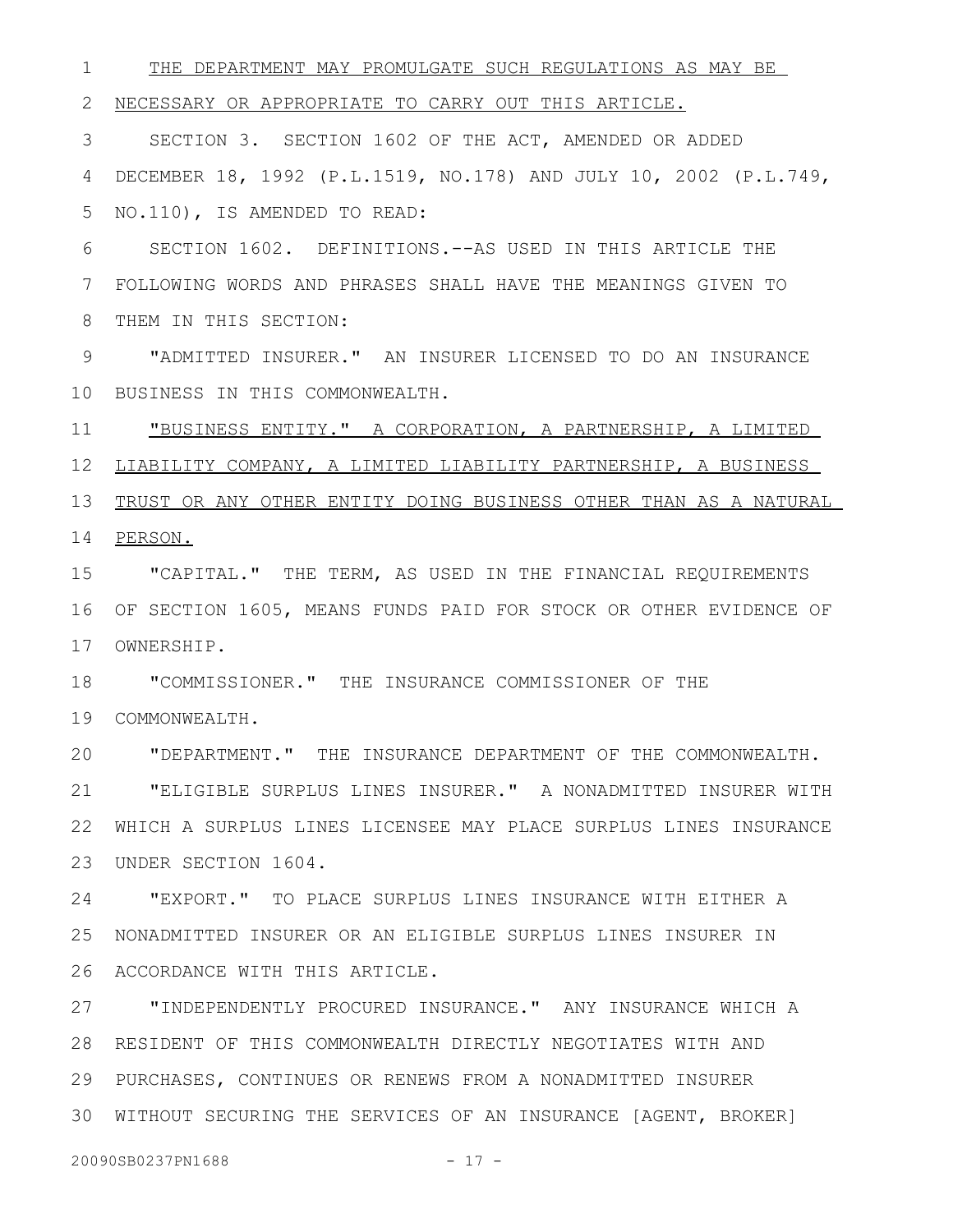THE DEPARTMENT MAY PROMULGATE SUCH REGULATIONS AS MAY BE NECESSARY OR APPROPRIATE TO CARRY OUT THIS ARTICLE. SECTION 3. SECTION 1602 OF THE ACT, AMENDED OR ADDED DECEMBER 18, 1992 (P.L.1519, NO.178) AND JULY 10, 2002 (P.L.749, NO.110), IS AMENDED TO READ: SECTION 1602. DEFINITIONS.--AS USED IN THIS ARTICLE THE FOLLOWING WORDS AND PHRASES SHALL HAVE THE MEANINGS GIVEN TO 8 THEM IN THIS SECTION: "ADMITTED INSURER." AN INSURER LICENSED TO DO AN INSURANCE BUSINESS IN THIS COMMONWEALTH. 10 " BUSINESS ENTITY. " A CORPORATION, A PARTNERSHIP, A LIMITED LIABILITY COMPANY, A LIMITED LIABILITY PARTNERSHIP, A BUSINESS 13 TRUST OR ANY OTHER ENTITY DOING BUSINESS OTHER THAN AS A NATURAL 14 PERSON. "CAPITAL." THE TERM, AS USED IN THE FINANCIAL REQUIREMENTS 16 OF SECTION 1605, MEANS FUNDS PAID FOR STOCK OR OTHER EVIDENCE OF 17 OWNERSHIP. "COMMISSIONER." THE INSURANCE COMMISSIONER OF THE COMMONWEALTH. 19 "DEPARTMENT." THE INSURANCE DEPARTMENT OF THE COMMONWEALTH. "ELIGIBLE SURPLUS LINES INSURER." A NONADMITTED INSURER WITH WHICH A SURPLUS LINES LICENSEE MAY PLACE SURPLUS LINES INSURANCE 22 UNDER SECTION 1604. 23 "EXPORT." TO PLACE SURPLUS LINES INSURANCE WITH EITHER A NONADMITTED INSURER OR AN ELIGIBLE SURPLUS LINES INSURER IN 25 26 ACCORDANCE WITH THIS ARTICLE. "INDEPENDENTLY PROCURED INSURANCE." ANY INSURANCE WHICH A 1 2 3 4 5 6 7 9 11 12 15 18 20 21 24 27

RESIDENT OF THIS COMMONWEALTH DIRECTLY NEGOTIATES WITH AND 28 PURCHASES, CONTINUES OR RENEWS FROM A NONADMITTED INSURER 29 WITHOUT SECURING THE SERVICES OF AN INSURANCE [AGENT, BROKER] 30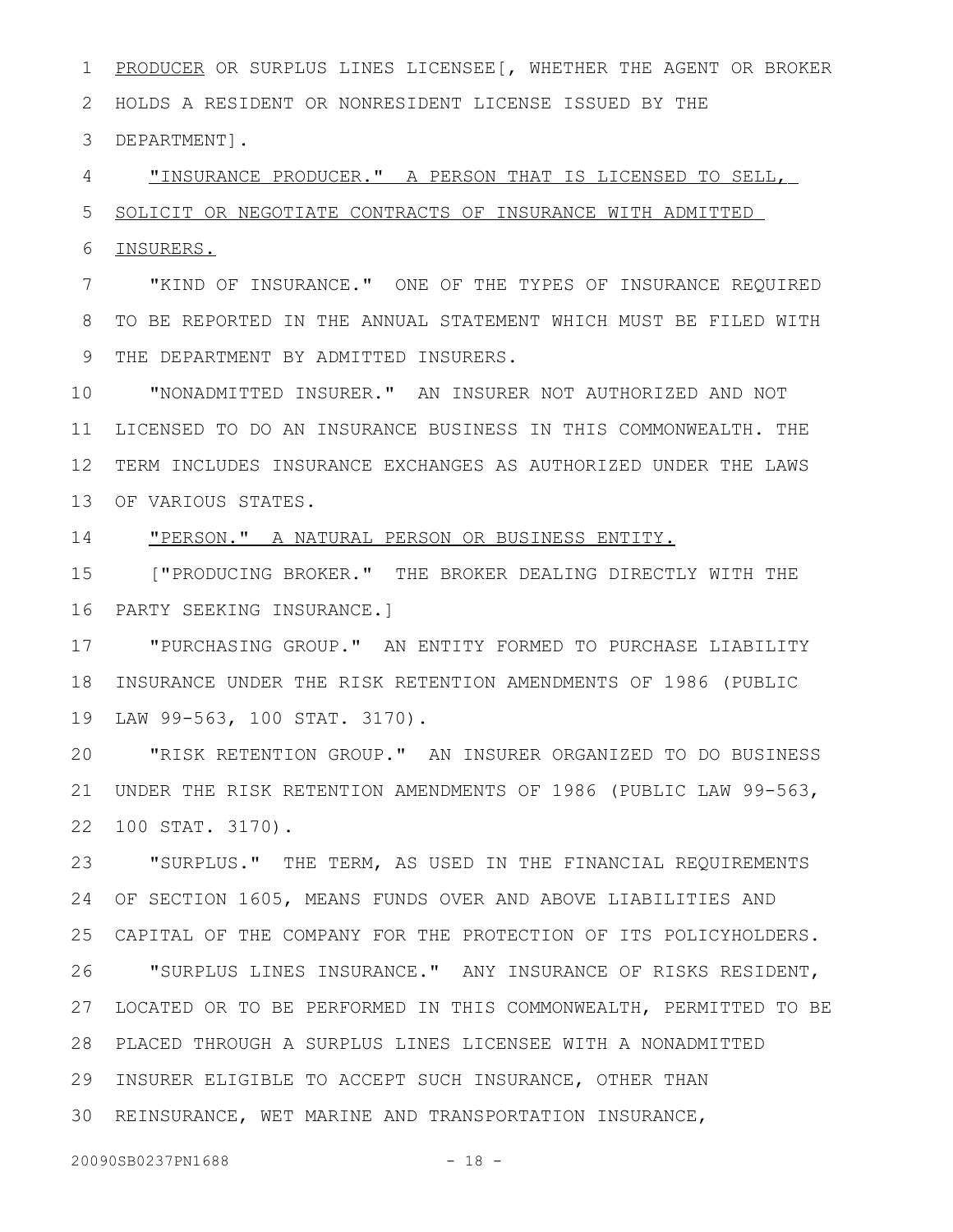PRODUCER OR SURPLUS LINES LICENSEE[, WHETHER THE AGENT OR BROKER HOLDS A RESIDENT OR NONRESIDENT LICENSE ISSUED BY THE 2 DEPARTMENT]. 3 1

" INSURANCE PRODUCER. " A PERSON THAT IS LICENSED TO SELL, SOLICIT OR NEGOTIATE CONTRACTS OF INSURANCE WITH ADMITTED INSURERS. 4 5 6

"KIND OF INSURANCE." ONE OF THE TYPES OF INSURANCE REQUIRED TO BE REPORTED IN THE ANNUAL STATEMENT WHICH MUST BE FILED WITH 9 THE DEPARTMENT BY ADMITTED INSURERS. 7 8

"NONADMITTED INSURER." AN INSURER NOT AUTHORIZED AND NOT 11 LICENSED TO DO AN INSURANCE BUSINESS IN THIS COMMONWEALTH. THE TERM INCLUDES INSURANCE EXCHANGES AS AUTHORIZED UNDER THE LAWS 12 13 OF VARIOUS STATES. 10

" PERSON. " A NATURAL PERSON OR BUSINESS ENTITY. 14

["PRODUCING BROKER." THE BROKER DEALING DIRECTLY WITH THE PARTY SEEKING INSURANCE.] 16 15

"PURCHASING GROUP." AN ENTITY FORMED TO PURCHASE LIABILITY INSURANCE UNDER THE RISK RETENTION AMENDMENTS OF 1986 (PUBLIC LAW 99-563, 100 STAT. 3170). 17 18 19

"RISK RETENTION GROUP." AN INSURER ORGANIZED TO DO BUSINESS UNDER THE RISK RETENTION AMENDMENTS OF 1986 (PUBLIC LAW 99-563, 100 STAT. 3170). 22 20 21

"SURPLUS." THE TERM, AS USED IN THE FINANCIAL REQUIREMENTS OF SECTION 1605, MEANS FUNDS OVER AND ABOVE LIABILITIES AND CAPITAL OF THE COMPANY FOR THE PROTECTION OF ITS POLICYHOLDERS. "SURPLUS LINES INSURANCE." ANY INSURANCE OF RISKS RESIDENT, 27 LOCATED OR TO BE PERFORMED IN THIS COMMONWEALTH, PERMITTED TO BE PLACED THROUGH A SURPLUS LINES LICENSEE WITH A NONADMITTED 28 29 INSURER ELIGIBLE TO ACCEPT SUCH INSURANCE, OTHER THAN 30 REINSURANCE, WET MARINE AND TRANSPORTATION INSURANCE, 23 24 25 26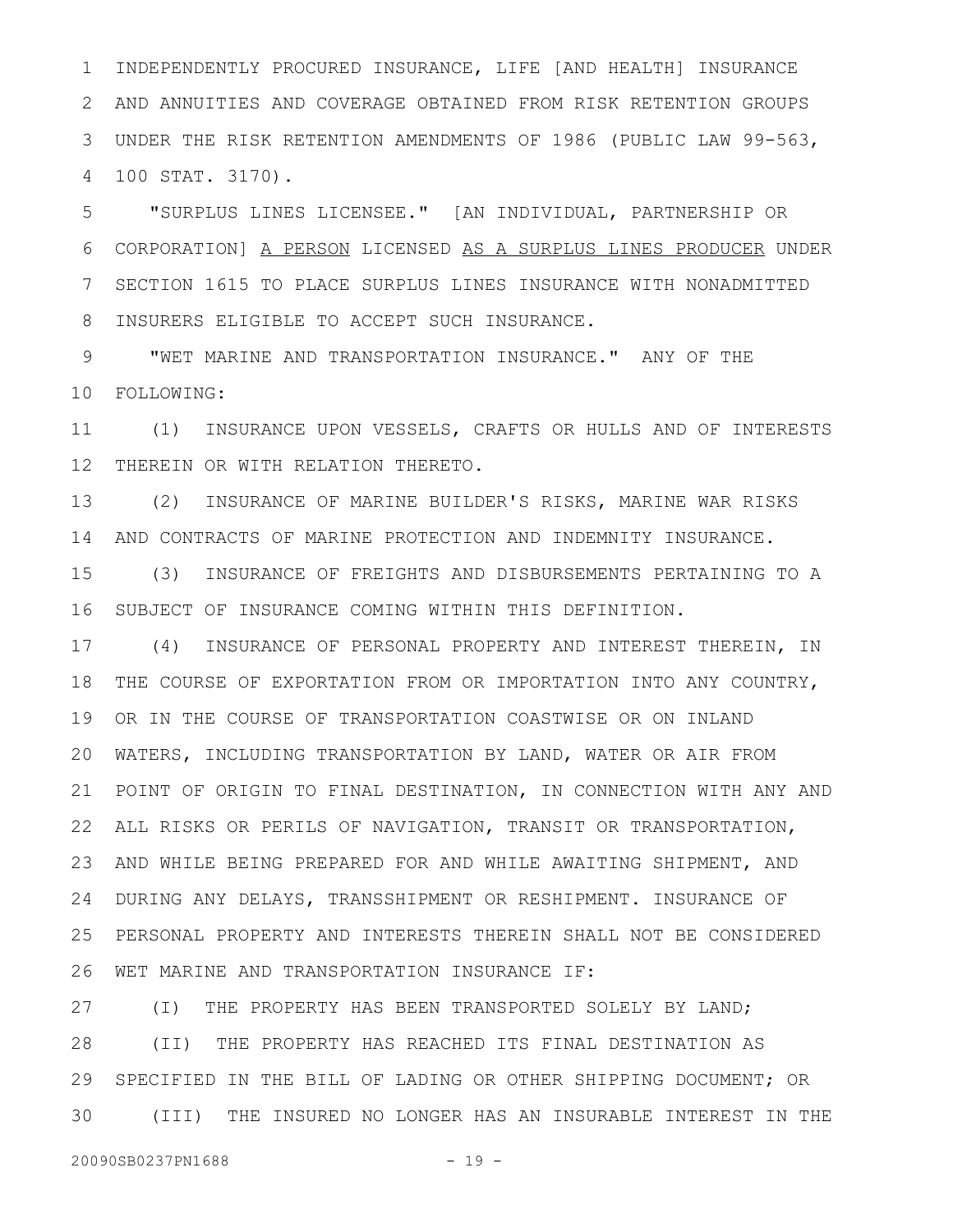INDEPENDENTLY PROCURED INSURANCE, LIFE [AND HEALTH] INSURANCE AND ANNUITIES AND COVERAGE OBTAINED FROM RISK RETENTION GROUPS UNDER THE RISK RETENTION AMENDMENTS OF 1986 (PUBLIC LAW 99-563, 100 STAT. 3170). 1 2 3 4

"SURPLUS LINES LICENSEE." [AN INDIVIDUAL, PARTNERSHIP OR CORPORATION] A PERSON LICENSED AS A SURPLUS LINES PRODUCER UNDER SECTION 1615 TO PLACE SURPLUS LINES INSURANCE WITH NONADMITTED INSURERS ELIGIBLE TO ACCEPT SUCH INSURANCE. 5 6 7 8

"WET MARINE AND TRANSPORTATION INSURANCE." ANY OF THE FOLLOWING: 10 9

(1) INSURANCE UPON VESSELS, CRAFTS OR HULLS AND OF INTERESTS 11 12 THEREIN OR WITH RELATION THERETO.

(2) INSURANCE OF MARINE BUILDER'S RISKS, MARINE WAR RISKS AND CONTRACTS OF MARINE PROTECTION AND INDEMNITY INSURANCE. 13 14

(3) INSURANCE OF FREIGHTS AND DISBURSEMENTS PERTAINING TO A SUBJECT OF INSURANCE COMING WITHIN THIS DEFINITION. 15 16

17 (4) INSURANCE OF PERSONAL PROPERTY AND INTEREST THEREIN, IN THE COURSE OF EXPORTATION FROM OR IMPORTATION INTO ANY COUNTRY, OR IN THE COURSE OF TRANSPORTATION COASTWISE OR ON INLAND WATERS, INCLUDING TRANSPORTATION BY LAND, WATER OR AIR FROM 20 21 POINT OF ORIGIN TO FINAL DESTINATION, IN CONNECTION WITH ANY AND ALL RISKS OR PERILS OF NAVIGATION, TRANSIT OR TRANSPORTATION, 22 23 AND WHILE BEING PREPARED FOR AND WHILE AWAITING SHIPMENT, AND DURING ANY DELAYS, TRANSSHIPMENT OR RESHIPMENT. INSURANCE OF 24 PERSONAL PROPERTY AND INTERESTS THEREIN SHALL NOT BE CONSIDERED WET MARINE AND TRANSPORTATION INSURANCE IF: 26 18 19 25

(I) THE PROPERTY HAS BEEN TRANSPORTED SOLELY BY LAND; (II) THE PROPERTY HAS REACHED ITS FINAL DESTINATION AS 29 SPECIFIED IN THE BILL OF LADING OR OTHER SHIPPING DOCUMENT; OR (III) THE INSURED NO LONGER HAS AN INSURABLE INTEREST IN THE 27 28 30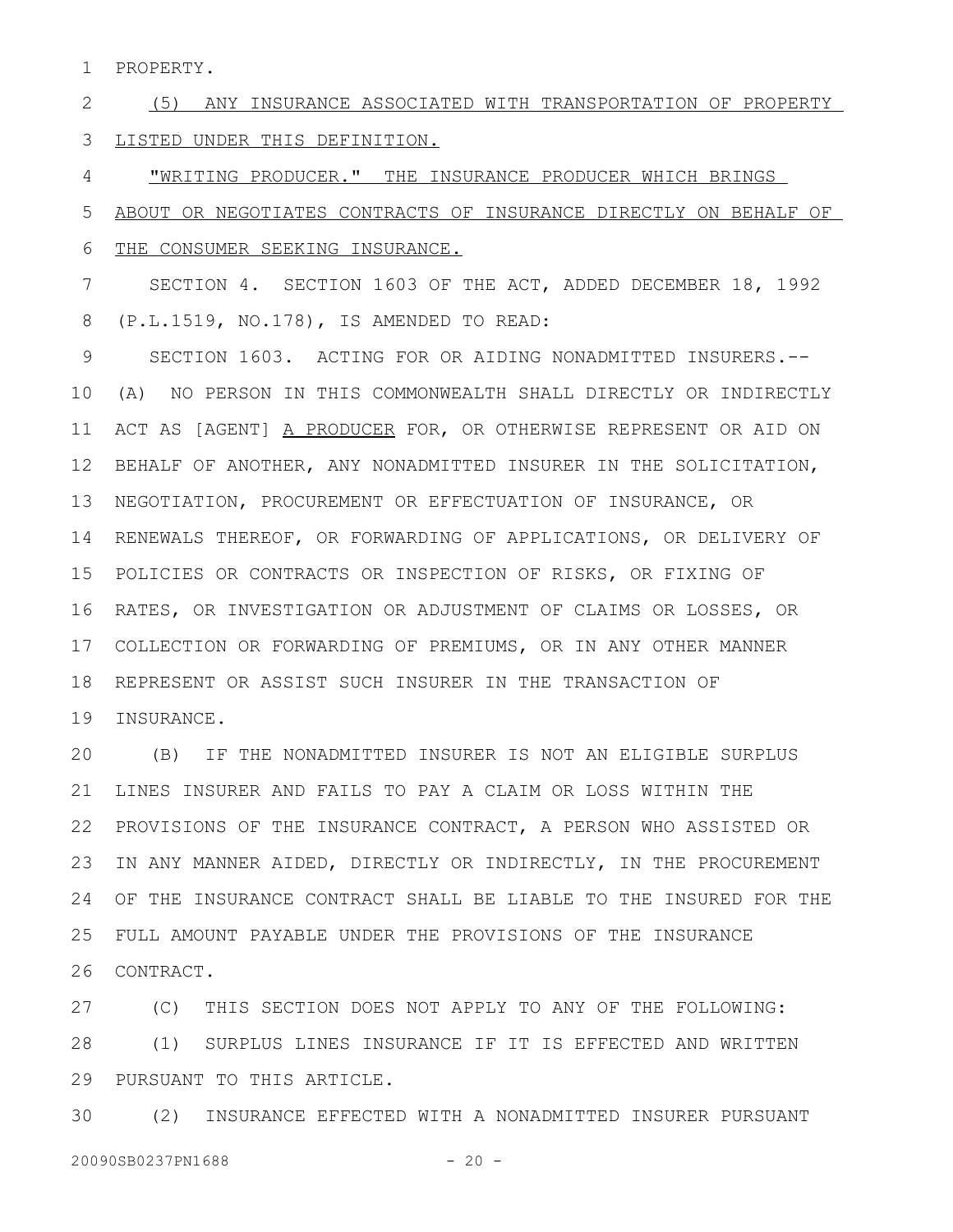PROPERTY. 1

(5) ANY INSURANCE ASSOCIATED WITH TRANSPORTATION OF PROPERTY LISTED UNDER THIS DEFINITION. 2 3

" WRITING PRODUCER. " THE INSURANCE PRODUCER WHICH BRINGS 4

ABOUT OR NEGOTIATES CONTRACTS OF INSURANCE DIRECTLY ON BEHALF OF THE CONSUMER SEEKING INSURANCE. 5 6

SECTION 4. SECTION 1603 OF THE ACT, ADDED DECEMBER 18, 1992 (P.L.1519, NO.178), IS AMENDED TO READ: 7 8

SECTION 1603. ACTING FOR OR AIDING NONADMITTED INSURERS.-- (A) NO PERSON IN THIS COMMONWEALTH SHALL DIRECTLY OR INDIRECTLY ACT AS [AGENT] A PRODUCER FOR, OR OTHERWISE REPRESENT OR AID ON BEHALF OF ANOTHER, ANY NONADMITTED INSURER IN THE SOLICITATION, NEGOTIATION, PROCUREMENT OR EFFECTUATION OF INSURANCE, OR 14 RENEWALS THEREOF, OR FORWARDING OF APPLICATIONS, OR DELIVERY OF POLICIES OR CONTRACTS OR INSPECTION OF RISKS, OR FIXING OF 16 RATES, OR INVESTIGATION OR ADJUSTMENT OF CLAIMS OR LOSSES, OR COLLECTION OR FORWARDING OF PREMIUMS, OR IN ANY OTHER MANNER 17 18 REPRESENT OR ASSIST SUCH INSURER IN THE TRANSACTION OF 19 INSURANCE. 9 10 11 12 13 15

(B) IF THE NONADMITTED INSURER IS NOT AN ELIGIBLE SURPLUS LINES INSURER AND FAILS TO PAY A CLAIM OR LOSS WITHIN THE PROVISIONS OF THE INSURANCE CONTRACT, A PERSON WHO ASSISTED OR 22 IN ANY MANNER AIDED, DIRECTLY OR INDIRECTLY, IN THE PROCUREMENT OF THE INSURANCE CONTRACT SHALL BE LIABLE TO THE INSURED FOR THE FULL AMOUNT PAYABLE UNDER THE PROVISIONS OF THE INSURANCE 26 CONTRACT. 20 21 23 24 25

(C) THIS SECTION DOES NOT APPLY TO ANY OF THE FOLLOWING: (1) SURPLUS LINES INSURANCE IF IT IS EFFECTED AND WRITTEN 29 PURSUANT TO THIS ARTICLE. 27 28

(2) INSURANCE EFFECTED WITH A NONADMITTED INSURER PURSUANT 20090SB0237PN1688 - 20 -30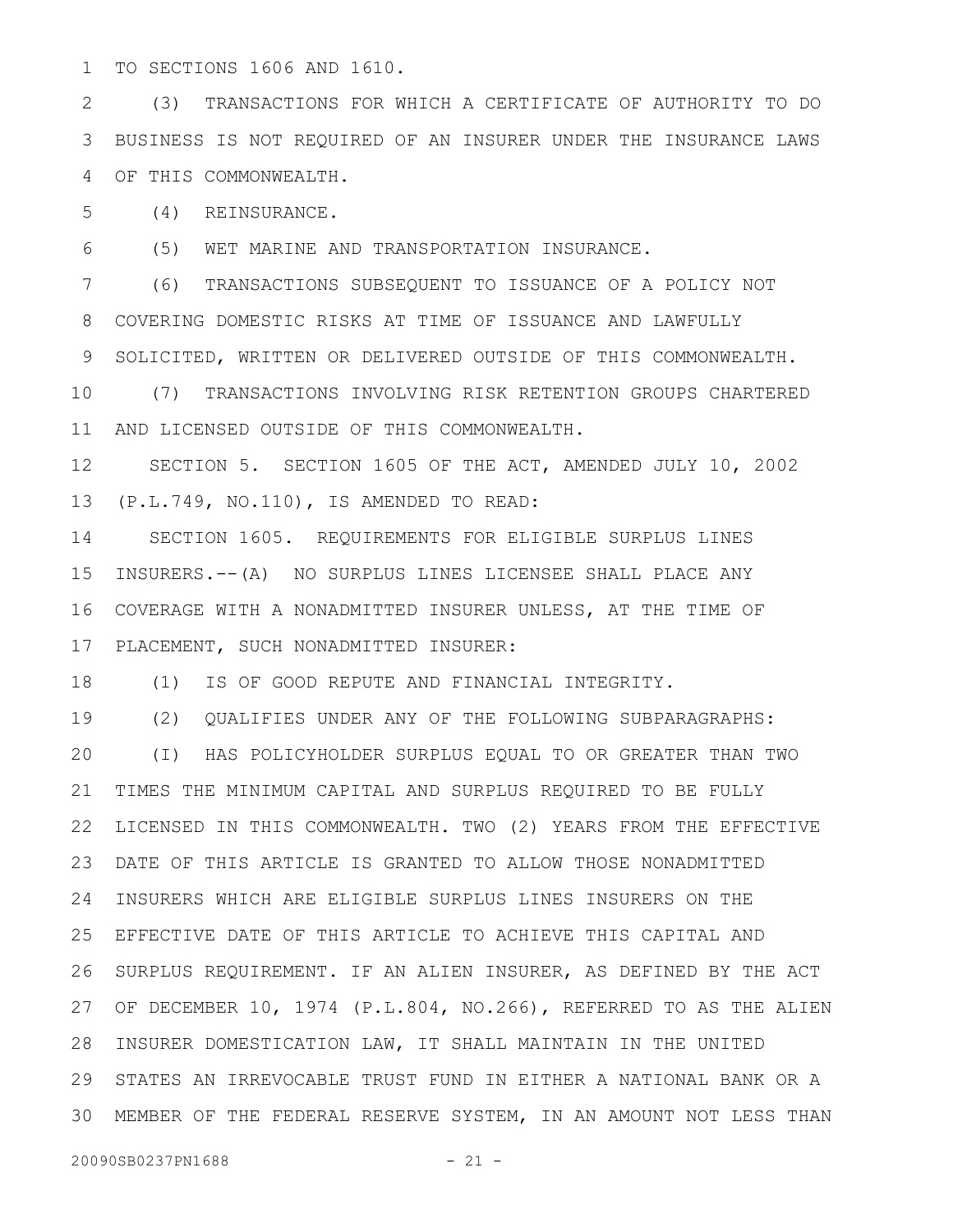TO SECTIONS 1606 AND 1610. 1

(3) TRANSACTIONS FOR WHICH A CERTIFICATE OF AUTHORITY TO DO BUSINESS IS NOT REQUIRED OF AN INSURER UNDER THE INSURANCE LAWS OF THIS COMMONWEALTH. 2 3 4

(4) REINSURANCE. 5

(5) WET MARINE AND TRANSPORTATION INSURANCE. 6

(6) TRANSACTIONS SUBSEQUENT TO ISSUANCE OF A POLICY NOT COVERING DOMESTIC RISKS AT TIME OF ISSUANCE AND LAWFULLY SOLICITED, WRITTEN OR DELIVERED OUTSIDE OF THIS COMMONWEALTH. 7 8 9

(7) TRANSACTIONS INVOLVING RISK RETENTION GROUPS CHARTERED AND LICENSED OUTSIDE OF THIS COMMONWEALTH. 10 11

SECTION 5. SECTION 1605 OF THE ACT, AMENDED JULY 10, 2002 (P.L.749, NO.110), IS AMENDED TO READ: 12 13

SECTION 1605. REQUIREMENTS FOR ELIGIBLE SURPLUS LINES INSURERS.--(A) NO SURPLUS LINES LICENSEE SHALL PLACE ANY 16 COVERAGE WITH A NONADMITTED INSURER UNLESS, AT THE TIME OF PLACEMENT, SUCH NONADMITTED INSURER: 17 14 15

(1) IS OF GOOD REPUTE AND FINANCIAL INTEGRITY. 18

(2) QUALIFIES UNDER ANY OF THE FOLLOWING SUBPARAGRAPHS: 19

(I) HAS POLICYHOLDER SURPLUS EQUAL TO OR GREATER THAN TWO TIMES THE MINIMUM CAPITAL AND SURPLUS REQUIRED TO BE FULLY LICENSED IN THIS COMMONWEALTH. TWO (2) YEARS FROM THE EFFECTIVE DATE OF THIS ARTICLE IS GRANTED TO ALLOW THOSE NONADMITTED INSURERS WHICH ARE ELIGIBLE SURPLUS LINES INSURERS ON THE EFFECTIVE DATE OF THIS ARTICLE TO ACHIEVE THIS CAPITAL AND SURPLUS REQUIREMENT. IF AN ALIEN INSURER, AS DEFINED BY THE ACT OF DECEMBER 10, 1974 (P.L.804, NO.266), REFERRED TO AS THE ALIEN 28 INSURER DOMESTICATION LAW, IT SHALL MAINTAIN IN THE UNITED STATES AN IRREVOCABLE TRUST FUND IN EITHER A NATIONAL BANK OR A 29 MEMBER OF THE FEDERAL RESERVE SYSTEM, IN AN AMOUNT NOT LESS THAN 3020 21 22 23 24 25 26 27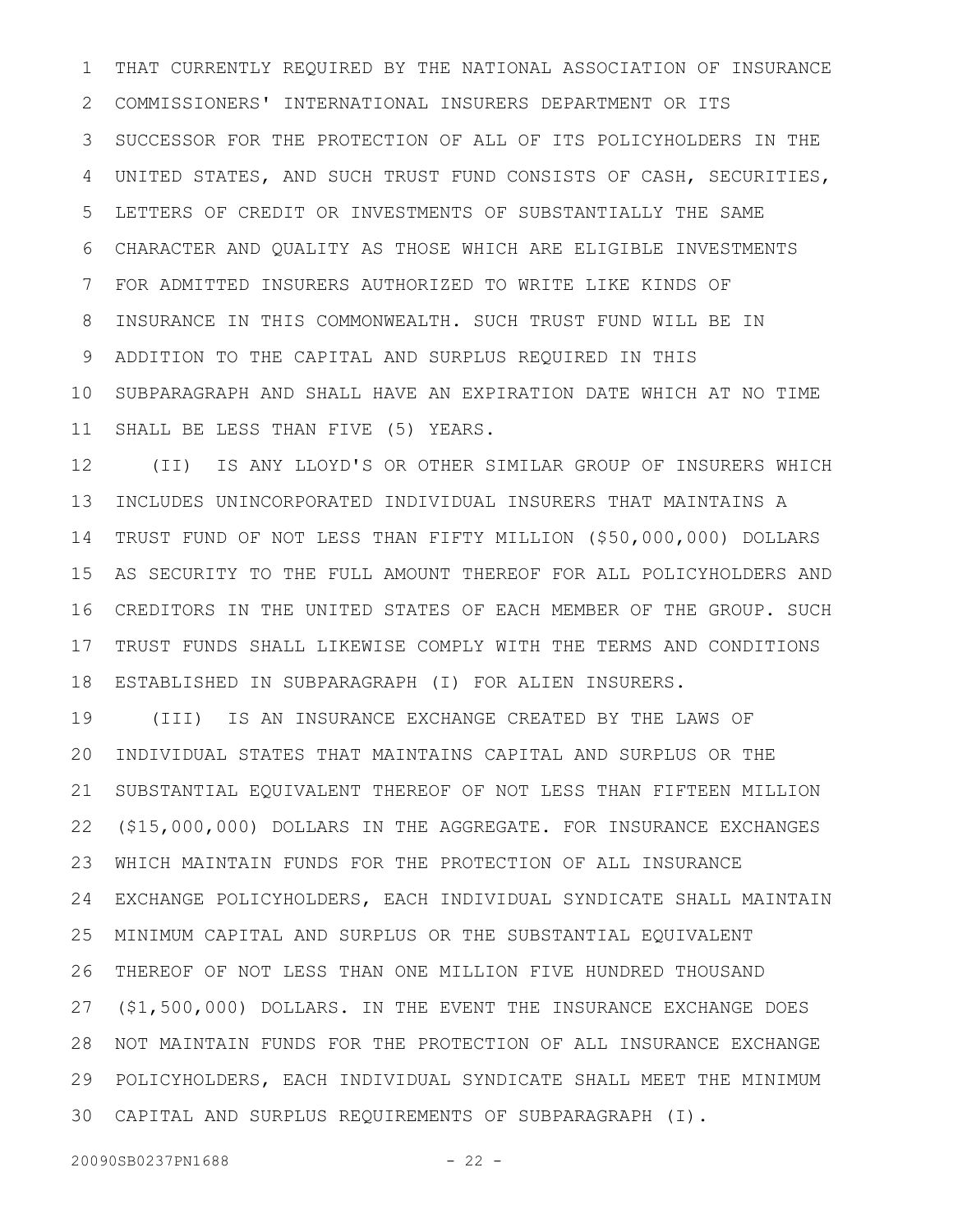THAT CURRENTLY REQUIRED BY THE NATIONAL ASSOCIATION OF INSURANCE COMMISSIONERS' INTERNATIONAL INSURERS DEPARTMENT OR ITS SUCCESSOR FOR THE PROTECTION OF ALL OF ITS POLICYHOLDERS IN THE UNITED STATES, AND SUCH TRUST FUND CONSISTS OF CASH, SECURITIES, LETTERS OF CREDIT OR INVESTMENTS OF SUBSTANTIALLY THE SAME CHARACTER AND QUALITY AS THOSE WHICH ARE ELIGIBLE INVESTMENTS FOR ADMITTED INSURERS AUTHORIZED TO WRITE LIKE KINDS OF INSURANCE IN THIS COMMONWEALTH. SUCH TRUST FUND WILL BE IN ADDITION TO THE CAPITAL AND SURPLUS REQUIRED IN THIS SUBPARAGRAPH AND SHALL HAVE AN EXPIRATION DATE WHICH AT NO TIME SHALL BE LESS THAN FIVE (5) YEARS. 1 2 3 4 5 6 7 8 9 10 11

(II) IS ANY LLOYD'S OR OTHER SIMILAR GROUP OF INSURERS WHICH INCLUDES UNINCORPORATED INDIVIDUAL INSURERS THAT MAINTAINS A TRUST FUND OF NOT LESS THAN FIFTY MILLION (\$50,000,000) DOLLARS AS SECURITY TO THE FULL AMOUNT THEREOF FOR ALL POLICYHOLDERS AND CREDITORS IN THE UNITED STATES OF EACH MEMBER OF THE GROUP. SUCH TRUST FUNDS SHALL LIKEWISE COMPLY WITH THE TERMS AND CONDITIONS ESTABLISHED IN SUBPARAGRAPH (I) FOR ALIEN INSURERS. 12 13 14 15 16 17 18

(III) IS AN INSURANCE EXCHANGE CREATED BY THE LAWS OF INDIVIDUAL STATES THAT MAINTAINS CAPITAL AND SURPLUS OR THE SUBSTANTIAL EQUIVALENT THEREOF OF NOT LESS THAN FIFTEEN MILLION (\$15,000,000) DOLLARS IN THE AGGREGATE. FOR INSURANCE EXCHANGES WHICH MAINTAIN FUNDS FOR THE PROTECTION OF ALL INSURANCE EXCHANGE POLICYHOLDERS, EACH INDIVIDUAL SYNDICATE SHALL MAINTAIN MINIMUM CAPITAL AND SURPLUS OR THE SUBSTANTIAL EQUIVALENT THEREOF OF NOT LESS THAN ONE MILLION FIVE HUNDRED THOUSAND (\$1,500,000) DOLLARS. IN THE EVENT THE INSURANCE EXCHANGE DOES NOT MAINTAIN FUNDS FOR THE PROTECTION OF ALL INSURANCE EXCHANGE POLICYHOLDERS, EACH INDIVIDUAL SYNDICATE SHALL MEET THE MINIMUM CAPITAL AND SURPLUS REQUIREMENTS OF SUBPARAGRAPH (I). 3019 20 21 22 23 24 25 26 27 28 29

20090SB0237PN1688 - 22 -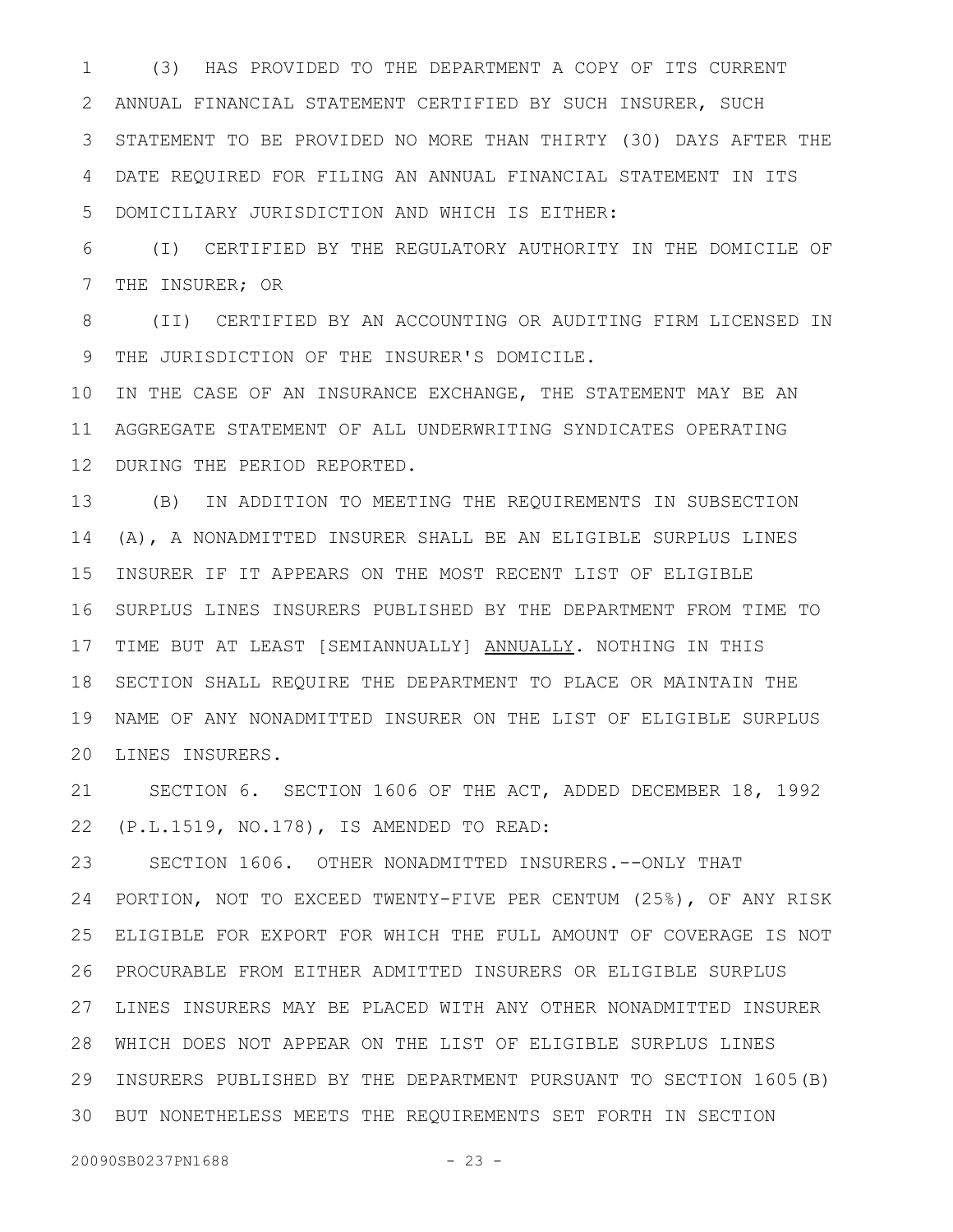(3) HAS PROVIDED TO THE DEPARTMENT A COPY OF ITS CURRENT ANNUAL FINANCIAL STATEMENT CERTIFIED BY SUCH INSURER, SUCH STATEMENT TO BE PROVIDED NO MORE THAN THIRTY (30) DAYS AFTER THE DATE REQUIRED FOR FILING AN ANNUAL FINANCIAL STATEMENT IN ITS DOMICILIARY JURISDICTION AND WHICH IS EITHER: 1 2 3 4 5

(I) CERTIFIED BY THE REGULATORY AUTHORITY IN THE DOMICILE OF THE INSURER; OR 6 7

(II) CERTIFIED BY AN ACCOUNTING OR AUDITING FIRM LICENSED IN THE JURISDICTION OF THE INSURER'S DOMICILE. 8 9

IN THE CASE OF AN INSURANCE EXCHANGE, THE STATEMENT MAY BE AN AGGREGATE STATEMENT OF ALL UNDERWRITING SYNDICATES OPERATING DURING THE PERIOD REPORTED. 10 11 12

(B) IN ADDITION TO MEETING THE REQUIREMENTS IN SUBSECTION (A), A NONADMITTED INSURER SHALL BE AN ELIGIBLE SURPLUS LINES INSURER IF IT APPEARS ON THE MOST RECENT LIST OF ELIGIBLE SURPLUS LINES INSURERS PUBLISHED BY THE DEPARTMENT FROM TIME TO 17 TIME BUT AT LEAST [SEMIANNUALLY] **ANNUALLY.** NOTHING IN THIS 18 SECTION SHALL REQUIRE THE DEPARTMENT TO PLACE OR MAINTAIN THE NAME OF ANY NONADMITTED INSURER ON THE LIST OF ELIGIBLE SURPLUS 20 LINES INSURERS. 13 14 15 16 19

SECTION 6. SECTION 1606 OF THE ACT, ADDED DECEMBER 18, 1992 (P.L.1519, NO.178), IS AMENDED TO READ: 21 22

SECTION 1606. OTHER NONADMITTED INSURERS.--ONLY THAT PORTION, NOT TO EXCEED TWENTY-FIVE PER CENTUM (25%), OF ANY RISK ELIGIBLE FOR EXPORT FOR WHICH THE FULL AMOUNT OF COVERAGE IS NOT PROCURABLE FROM EITHER ADMITTED INSURERS OR ELIGIBLE SURPLUS 27 LINES INSURERS MAY BE PLACED WITH ANY OTHER NONADMITTED INSURER WHICH DOES NOT APPEAR ON THE LIST OF ELIGIBLE SURPLUS LINES 28 29 INSURERS PUBLISHED BY THE DEPARTMENT PURSUANT TO SECTION 1605 (B) BUT NONETHELESS MEETS THE REQUIREMENTS SET FORTH IN SECTION 3023 24 25 26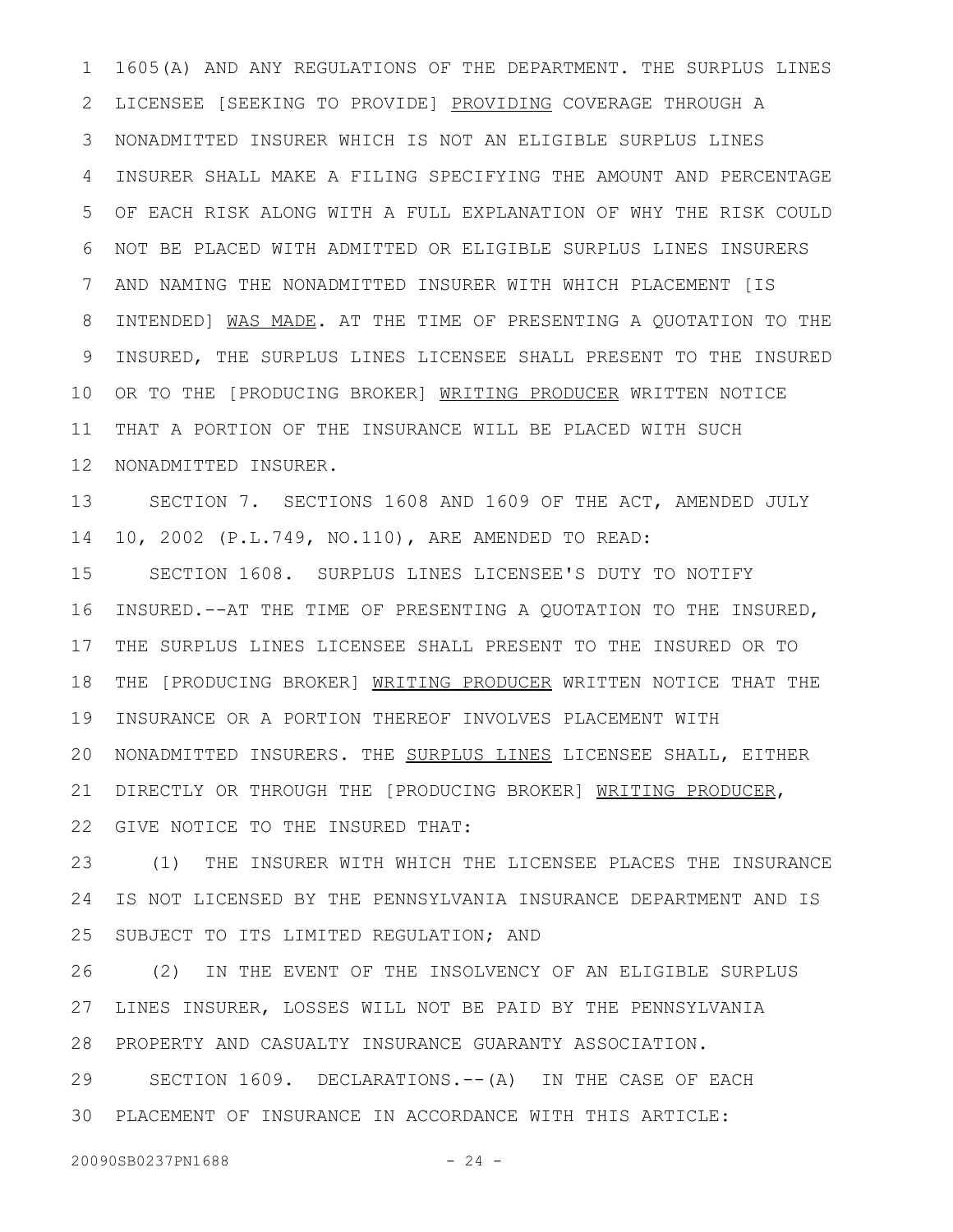1605(A) AND ANY REGULATIONS OF THE DEPARTMENT. THE SURPLUS LINES LICENSEE [SEEKING TO PROVIDE] PROVIDING COVERAGE THROUGH A NONADMITTED INSURER WHICH IS NOT AN ELIGIBLE SURPLUS LINES INSURER SHALL MAKE A FILING SPECIFYING THE AMOUNT AND PERCENTAGE OF EACH RISK ALONG WITH A FULL EXPLANATION OF WHY THE RISK COULD NOT BE PLACED WITH ADMITTED OR ELIGIBLE SURPLUS LINES INSURERS AND NAMING THE NONADMITTED INSURER WITH WHICH PLACEMENT [IS INTENDED] WAS MADE. AT THE TIME OF PRESENTING A QUOTATION TO THE INSURED, THE SURPLUS LINES LICENSEE SHALL PRESENT TO THE INSURED OR TO THE [PRODUCING BROKER] WRITING PRODUCER WRITTEN NOTICE THAT A PORTION OF THE INSURANCE WILL BE PLACED WITH SUCH NONADMITTED INSURER. 1 2 3 4 5 6 7 8 9 10 11 12

SECTION 7. SECTIONS 1608 AND 1609 OF THE ACT, AMENDED JULY 10, 2002 (P.L.749, NO.110), ARE AMENDED TO READ: 13 14

SECTION 1608. SURPLUS LINES LICENSEE'S DUTY TO NOTIFY INSURED.--AT THE TIME OF PRESENTING A QUOTATION TO THE INSURED, THE SURPLUS LINES LICENSEE SHALL PRESENT TO THE INSURED OR TO THE [PRODUCING BROKER] WRITING PRODUCER WRITTEN NOTICE THAT THE INSURANCE OR A PORTION THEREOF INVOLVES PLACEMENT WITH 20 NONADMITTED INSURERS. THE SURPLUS LINES LICENSEE SHALL, EITHER DIRECTLY OR THROUGH THE [PRODUCING BROKER] WRITING PRODUCER, GIVE NOTICE TO THE INSURED THAT: 15 16 17 18 19 21 22

(1) THE INSURER WITH WHICH THE LICENSEE PLACES THE INSURANCE IS NOT LICENSED BY THE PENNSYLVANIA INSURANCE DEPARTMENT AND IS SUBJECT TO ITS LIMITED REGULATION; AND 23 24 25

(2) IN THE EVENT OF THE INSOLVENCY OF AN ELIGIBLE SURPLUS LINES INSURER, LOSSES WILL NOT BE PAID BY THE PENNSYLVANIA PROPERTY AND CASUALTY INSURANCE GUARANTY ASSOCIATION. SECTION 1609. DECLARATIONS.--(A) IN THE CASE OF EACH PLACEMENT OF INSURANCE IN ACCORDANCE WITH THIS ARTICLE: 3026 27 28 29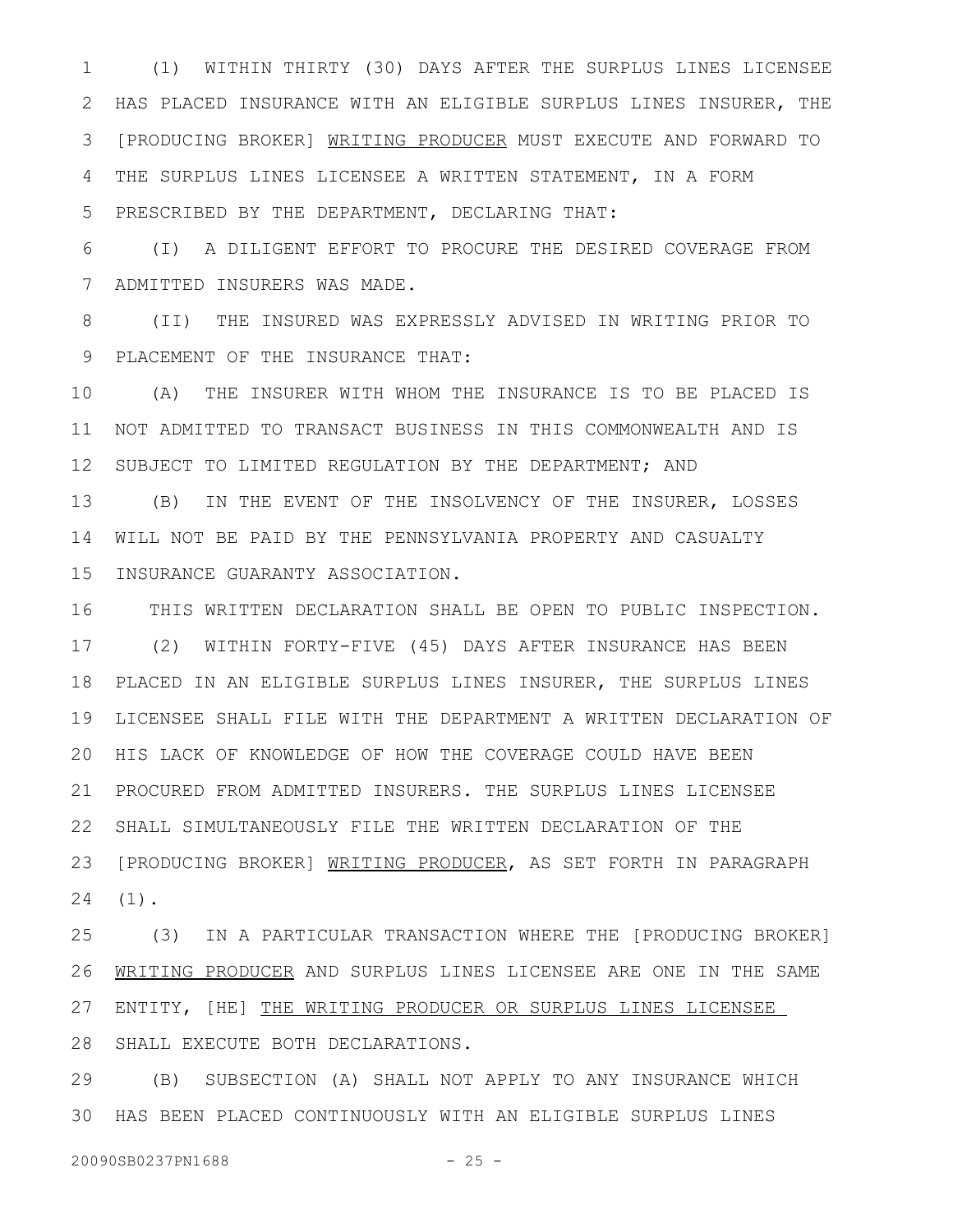(1) WITHIN THIRTY (30) DAYS AFTER THE SURPLUS LINES LICENSEE 2 HAS PLACED INSURANCE WITH AN ELIGIBLE SURPLUS LINES INSURER, THE [PRODUCING BROKER] WRITING PRODUCER MUST EXECUTE AND FORWARD TO THE SURPLUS LINES LICENSEE A WRITTEN STATEMENT, IN A FORM PRESCRIBED BY THE DEPARTMENT, DECLARING THAT: 1 3 4 5

(I) A DILIGENT EFFORT TO PROCURE THE DESIRED COVERAGE FROM ADMITTED INSURERS WAS MADE. 6 7

(II) THE INSURED WAS EXPRESSLY ADVISED IN WRITING PRIOR TO PLACEMENT OF THE INSURANCE THAT: 8 9

(A) THE INSURER WITH WHOM THE INSURANCE IS TO BE PLACED IS NOT ADMITTED TO TRANSACT BUSINESS IN THIS COMMONWEALTH AND IS SUBJECT TO LIMITED REGULATION BY THE DEPARTMENT; AND 10 11 12

13 (B) IN THE EVENT OF THE INSOLVENCY OF THE INSURER, LOSSES WILL NOT BE PAID BY THE PENNSYLVANIA PROPERTY AND CASUALTY INSURANCE GUARANTY ASSOCIATION. 14 15

THIS WRITTEN DECLARATION SHALL BE OPEN TO PUBLIC INSPECTION. (2) WITHIN FORTY-FIVE (45) DAYS AFTER INSURANCE HAS BEEN 17 PLACED IN AN ELIGIBLE SURPLUS LINES INSURER, THE SURPLUS LINES LICENSEE SHALL FILE WITH THE DEPARTMENT A WRITTEN DECLARATION OF 20 HIS LACK OF KNOWLEDGE OF HOW THE COVERAGE COULD HAVE BEEN PROCURED FROM ADMITTED INSURERS. THE SURPLUS LINES LICENSEE SHALL SIMULTANEOUSLY FILE THE WRITTEN DECLARATION OF THE [PRODUCING BROKER] WRITING PRODUCER, AS SET FORTH IN PARAGRAPH (1). 16 18 19 21 22 23 24

(3) IN A PARTICULAR TRANSACTION WHERE THE [PRODUCING BROKER] WRITING PRODUCER AND SURPLUS LINES LICENSEE ARE ONE IN THE SAME ENTITY, [HE] THE WRITING PRODUCER OR SURPLUS LINES LICENSEE SHALL EXECUTE BOTH DECLARATIONS. 25 26 27 28

(B) SUBSECTION (A) SHALL NOT APPLY TO ANY INSURANCE WHICH HAS BEEN PLACED CONTINUOUSLY WITH AN ELIGIBLE SURPLUS LINES 3029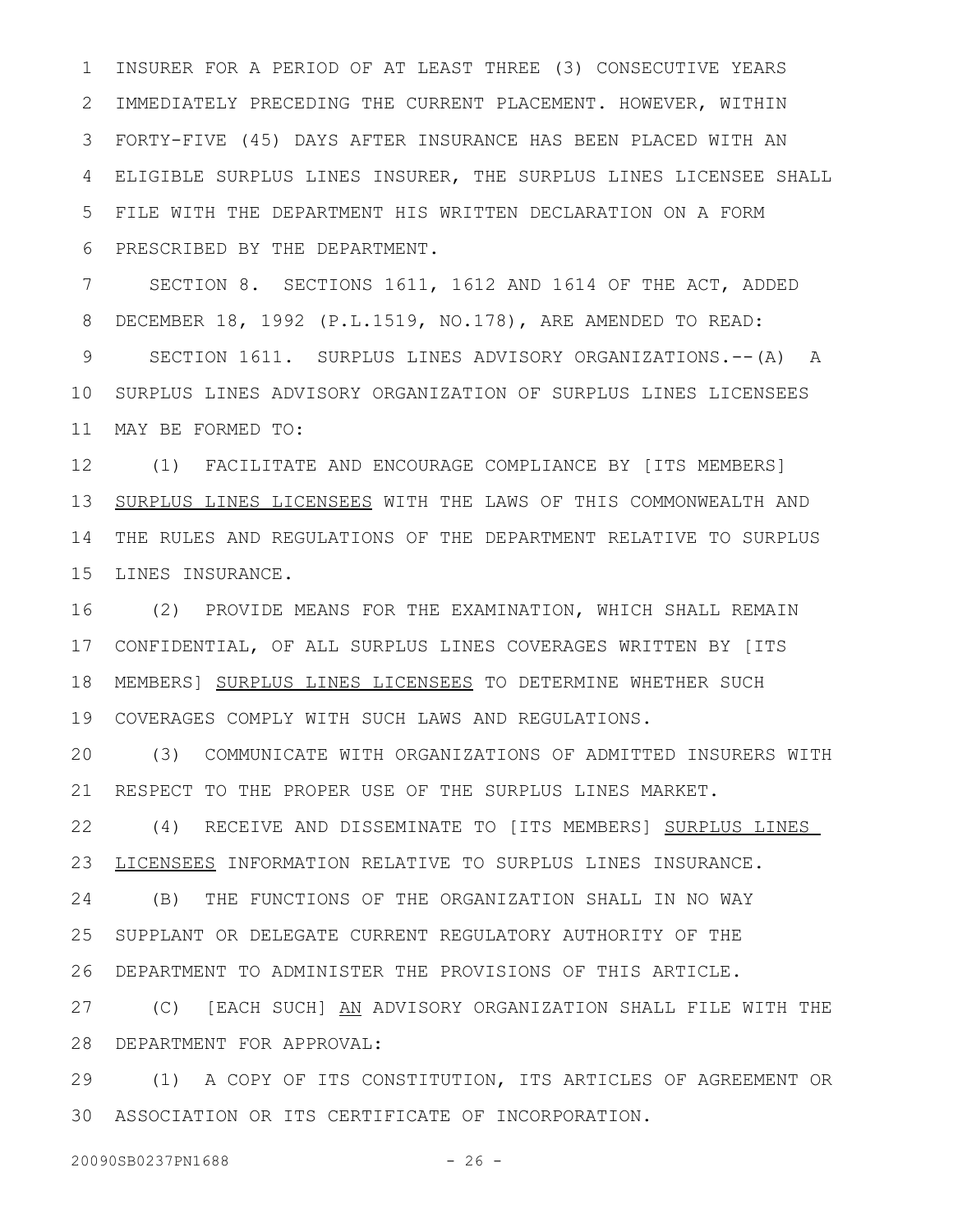INSURER FOR A PERIOD OF AT LEAST THREE (3) CONSECUTIVE YEARS 2 IMMEDIATELY PRECEDING THE CURRENT PLACEMENT. HOWEVER, WITHIN FORTY-FIVE (45) DAYS AFTER INSURANCE HAS BEEN PLACED WITH AN ELIGIBLE SURPLUS LINES INSURER, THE SURPLUS LINES LICENSEE SHALL FILE WITH THE DEPARTMENT HIS WRITTEN DECLARATION ON A FORM PRESCRIBED BY THE DEPARTMENT. 1 3 4 5 6

SECTION 8. SECTIONS 1611, 1612 AND 1614 OF THE ACT, ADDED DECEMBER 18, 1992 (P.L.1519, NO.178), ARE AMENDED TO READ: SECTION 1611. SURPLUS LINES ADVISORY ORGANIZATIONS.--(A) A 10 SURPLUS LINES ADVISORY ORGANIZATION OF SURPLUS LINES LICENSEES MAY BE FORMED TO: 11 7 8 9

(1) FACILITATE AND ENCOURAGE COMPLIANCE BY [ITS MEMBERS] 12 13 SURPLUS LINES LICENSEES WITH THE LAWS OF THIS COMMONWEALTH AND THE RULES AND REGULATIONS OF THE DEPARTMENT RELATIVE TO SURPLUS 14 LINES INSURANCE. 15

(2) PROVIDE MEANS FOR THE EXAMINATION, WHICH SHALL REMAIN 16 17 CONFIDENTIAL, OF ALL SURPLUS LINES COVERAGES WRITTEN BY [ITS 18 MEMBERS] SURPLUS LINES LICENSEES TO DETERMINE WHETHER SUCH COVERAGES COMPLY WITH SUCH LAWS AND REGULATIONS. 19

(3) COMMUNICATE WITH ORGANIZATIONS OF ADMITTED INSURERS WITH RESPECT TO THE PROPER USE OF THE SURPLUS LINES MARKET. 20 21

(4) RECEIVE AND DISSEMINATE TO [ITS MEMBERS] SURPLUS LINES LICENSEES INFORMATION RELATIVE TO SURPLUS LINES INSURANCE. 22 23

(B) THE FUNCTIONS OF THE ORGANIZATION SHALL IN NO WAY SUPPLANT OR DELEGATE CURRENT REGULATORY AUTHORITY OF THE DEPARTMENT TO ADMINISTER THE PROVISIONS OF THIS ARTICLE. 26 24 25

(C) [EACH SUCH] AN ADVISORY ORGANIZATION SHALL FILE WITH THE DEPARTMENT FOR APPROVAL: 28 27

(1) A COPY OF ITS CONSTITUTION, ITS ARTICLES OF AGREEMENT OR ASSOCIATION OR ITS CERTIFICATE OF INCORPORATION. 3029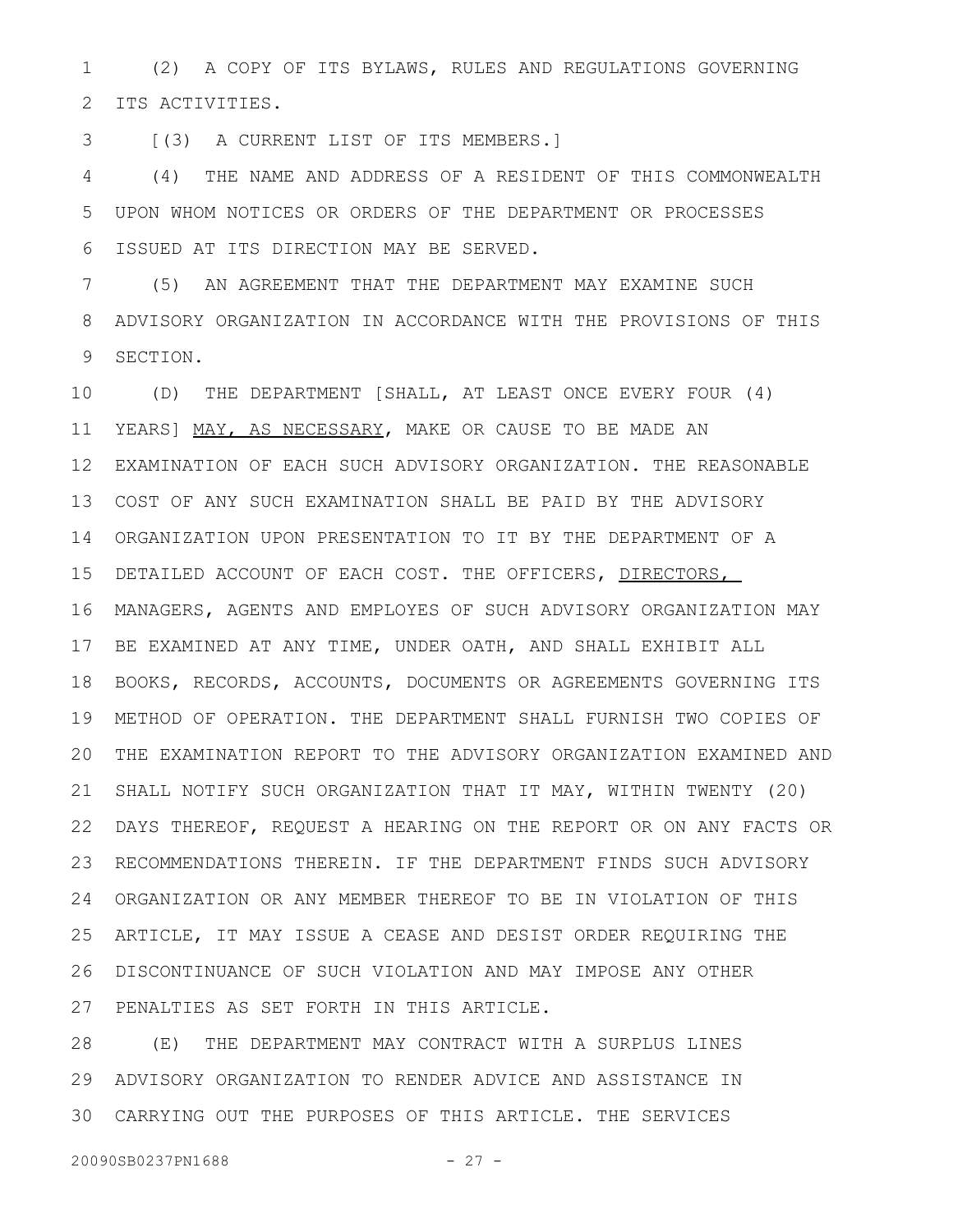(2) A COPY OF ITS BYLAWS, RULES AND REGULATIONS GOVERNING ITS ACTIVITIES. 1 2

[(3) A CURRENT LIST OF ITS MEMBERS.] 3

(4) THE NAME AND ADDRESS OF A RESIDENT OF THIS COMMONWEALTH UPON WHOM NOTICES OR ORDERS OF THE DEPARTMENT OR PROCESSES ISSUED AT ITS DIRECTION MAY BE SERVED. 4 5 6

(5) AN AGREEMENT THAT THE DEPARTMENT MAY EXAMINE SUCH ADVISORY ORGANIZATION IN ACCORDANCE WITH THE PROVISIONS OF THIS SECTION. 7 8 9

(D) THE DEPARTMENT [SHALL, AT LEAST ONCE EVERY FOUR (4) 10 YEARS] MAY, AS NECESSARY, MAKE OR CAUSE TO BE MADE AN EXAMINATION OF EACH SUCH ADVISORY ORGANIZATION. THE REASONABLE COST OF ANY SUCH EXAMINATION SHALL BE PAID BY THE ADVISORY ORGANIZATION UPON PRESENTATION TO IT BY THE DEPARTMENT OF A 14 15 DETAILED ACCOUNT OF EACH COST. THE OFFICERS, DIRECTORS, MANAGERS, AGENTS AND EMPLOYES OF SUCH ADVISORY ORGANIZATION MAY BE EXAMINED AT ANY TIME, UNDER OATH, AND SHALL EXHIBIT ALL BOOKS, RECORDS, ACCOUNTS, DOCUMENTS OR AGREEMENTS GOVERNING ITS METHOD OF OPERATION. THE DEPARTMENT SHALL FURNISH TWO COPIES OF 19 THE EXAMINATION REPORT TO THE ADVISORY ORGANIZATION EXAMINED AND 20 SHALL NOTIFY SUCH ORGANIZATION THAT IT MAY, WITHIN TWENTY (20) DAYS THEREOF, REQUEST A HEARING ON THE REPORT OR ON ANY FACTS OR RECOMMENDATIONS THEREIN. IF THE DEPARTMENT FINDS SUCH ADVISORY ORGANIZATION OR ANY MEMBER THEREOF TO BE IN VIOLATION OF THIS ARTICLE, IT MAY ISSUE A CEASE AND DESIST ORDER REQUIRING THE DISCONTINUANCE OF SUCH VIOLATION AND MAY IMPOSE ANY OTHER PENALTIES AS SET FORTH IN THIS ARTICLE. 11 12 13 16 17 18 21 22 23 24 25 26 27

(E) THE DEPARTMENT MAY CONTRACT WITH A SURPLUS LINES ADVISORY ORGANIZATION TO RENDER ADVICE AND ASSISTANCE IN 29 CARRYING OUT THE PURPOSES OF THIS ARTICLE. THE SERVICES 3028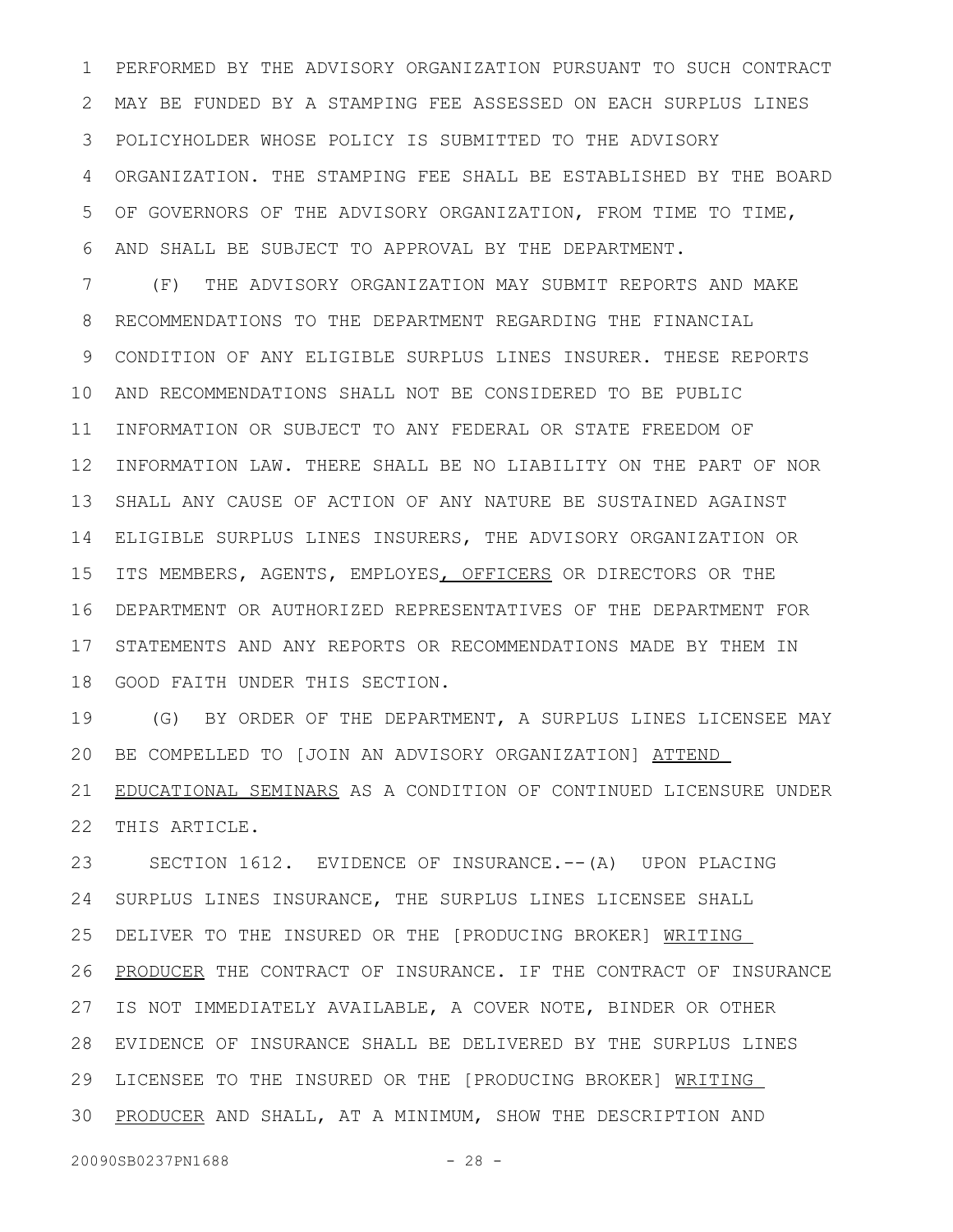PERFORMED BY THE ADVISORY ORGANIZATION PURSUANT TO SUCH CONTRACT MAY BE FUNDED BY A STAMPING FEE ASSESSED ON EACH SURPLUS LINES POLICYHOLDER WHOSE POLICY IS SUBMITTED TO THE ADVISORY ORGANIZATION. THE STAMPING FEE SHALL BE ESTABLISHED BY THE BOARD OF GOVERNORS OF THE ADVISORY ORGANIZATION, FROM TIME TO TIME, AND SHALL BE SUBJECT TO APPROVAL BY THE DEPARTMENT. 1 2 3 4 5 6

(F) THE ADVISORY ORGANIZATION MAY SUBMIT REPORTS AND MAKE RECOMMENDATIONS TO THE DEPARTMENT REGARDING THE FINANCIAL CONDITION OF ANY ELIGIBLE SURPLUS LINES INSURER. THESE REPORTS AND RECOMMENDATIONS SHALL NOT BE CONSIDERED TO BE PUBLIC INFORMATION OR SUBJECT TO ANY FEDERAL OR STATE FREEDOM OF INFORMATION LAW. THERE SHALL BE NO LIABILITY ON THE PART OF NOR 12 SHALL ANY CAUSE OF ACTION OF ANY NATURE BE SUSTAINED AGAINST ELIGIBLE SURPLUS LINES INSURERS, THE ADVISORY ORGANIZATION OR ITS MEMBERS, AGENTS, EMPLOYES, OFFICERS OR DIRECTORS OR THE DEPARTMENT OR AUTHORIZED REPRESENTATIVES OF THE DEPARTMENT FOR STATEMENTS AND ANY REPORTS OR RECOMMENDATIONS MADE BY THEM IN GOOD FAITH UNDER THIS SECTION. 7 8 9 10 11 13 14 15 16 17 18

(G) BY ORDER OF THE DEPARTMENT, A SURPLUS LINES LICENSEE MAY BE COMPELLED TO [JOIN AN ADVISORY ORGANIZATION] ATTEND EDUCATIONAL SEMINARS AS A CONDITION OF CONTINUED LICENSURE UNDER THIS ARTICLE. 19 20 21 22

SECTION 1612. EVIDENCE OF INSURANCE.--(A) UPON PLACING SURPLUS LINES INSURANCE, THE SURPLUS LINES LICENSEE SHALL DELIVER TO THE INSURED OR THE [PRODUCING BROKER] WRITING PRODUCER THE CONTRACT OF INSURANCE. IF THE CONTRACT OF INSURANCE IS NOT IMMEDIATELY AVAILABLE, A COVER NOTE, BINDER OR OTHER EVIDENCE OF INSURANCE SHALL BE DELIVERED BY THE SURPLUS LINES 28 LICENSEE TO THE INSURED OR THE [PRODUCING BROKER] WRITING PRODUCER AND SHALL, AT A MINIMUM, SHOW THE DESCRIPTION AND 23 24 25 26 27 29 30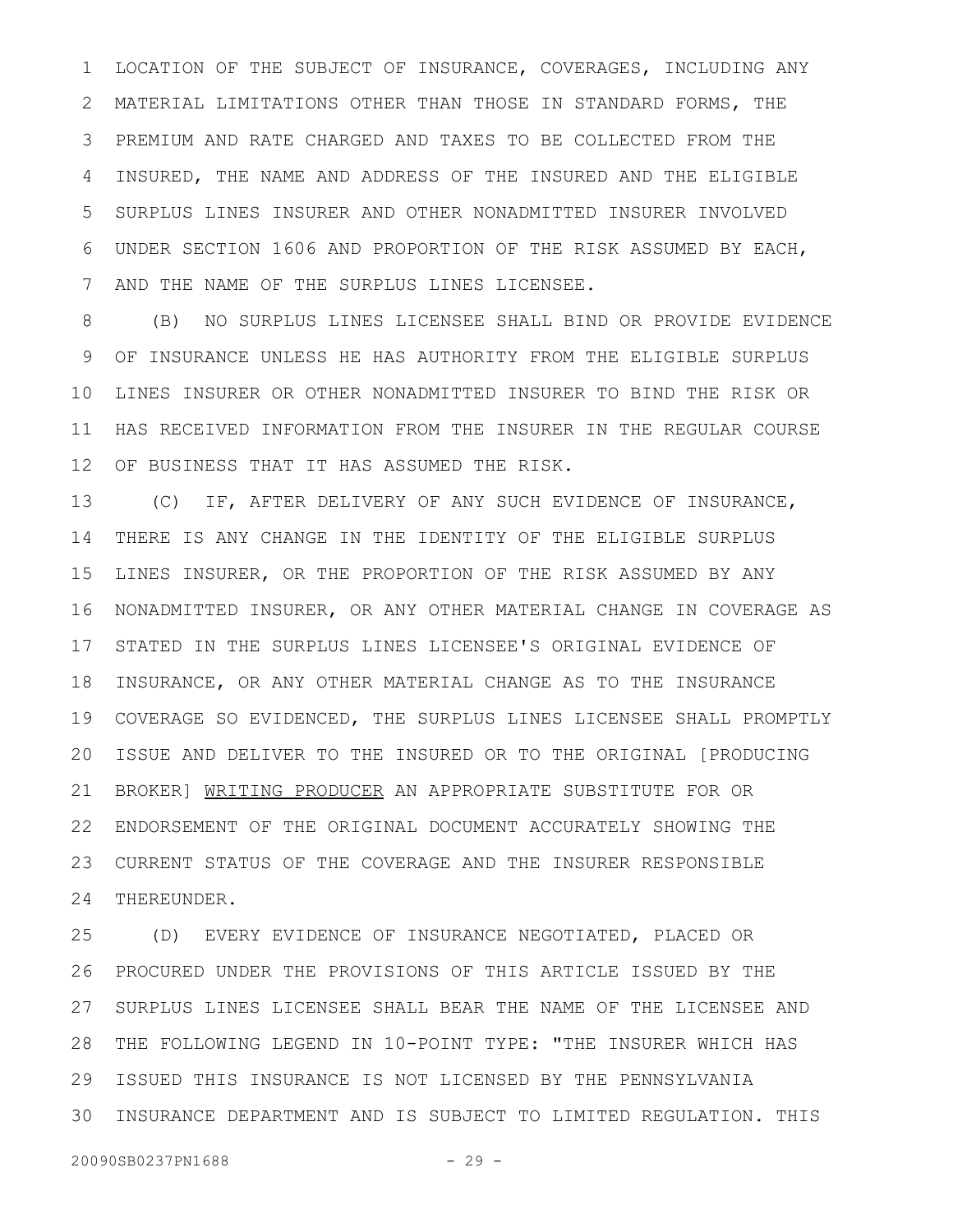LOCATION OF THE SUBJECT OF INSURANCE, COVERAGES, INCLUDING ANY MATERIAL LIMITATIONS OTHER THAN THOSE IN STANDARD FORMS, THE PREMIUM AND RATE CHARGED AND TAXES TO BE COLLECTED FROM THE INSURED, THE NAME AND ADDRESS OF THE INSURED AND THE ELIGIBLE SURPLUS LINES INSURER AND OTHER NONADMITTED INSURER INVOLVED UNDER SECTION 1606 AND PROPORTION OF THE RISK ASSUMED BY EACH, AND THE NAME OF THE SURPLUS LINES LICENSEE. 1 2 3 4 5 6 7

(B) NO SURPLUS LINES LICENSEE SHALL BIND OR PROVIDE EVIDENCE OF INSURANCE UNLESS HE HAS AUTHORITY FROM THE ELIGIBLE SURPLUS 10 LINES INSURER OR OTHER NONADMITTED INSURER TO BIND THE RISK OR HAS RECEIVED INFORMATION FROM THE INSURER IN THE REGULAR COURSE OF BUSINESS THAT IT HAS ASSUMED THE RISK. 12 8 9 11

(C) IF, AFTER DELIVERY OF ANY SUCH EVIDENCE OF INSURANCE, THERE IS ANY CHANGE IN THE IDENTITY OF THE ELIGIBLE SURPLUS LINES INSURER, OR THE PROPORTION OF THE RISK ASSUMED BY ANY 16 NONADMITTED INSURER, OR ANY OTHER MATERIAL CHANGE IN COVERAGE AS 17 STATED IN THE SURPLUS LINES LICENSEE'S ORIGINAL EVIDENCE OF 18 INSURANCE, OR ANY OTHER MATERIAL CHANGE AS TO THE INSURANCE COVERAGE SO EVIDENCED, THE SURPLUS LINES LICENSEE SHALL PROMPTLY 20 ISSUE AND DELIVER TO THE INSURED OR TO THE ORIGINAL [PRODUCING BROKER] WRITING PRODUCER AN APPROPRIATE SUBSTITUTE FOR OR ENDORSEMENT OF THE ORIGINAL DOCUMENT ACCURATELY SHOWING THE CURRENT STATUS OF THE COVERAGE AND THE INSURER RESPONSIBLE THEREUNDER. 13 14 15 19 21 22 23 24

(D) EVERY EVIDENCE OF INSURANCE NEGOTIATED, PLACED OR PROCURED UNDER THE PROVISIONS OF THIS ARTICLE ISSUED BY THE 27 SURPLUS LINES LICENSEE SHALL BEAR THE NAME OF THE LICENSEE AND THE FOLLOWING LEGEND IN 10-POINT TYPE: "THE INSURER WHICH HAS 28 29 ISSUED THIS INSURANCE IS NOT LICENSED BY THE PENNSYLVANIA INSURANCE DEPARTMENT AND IS SUBJECT TO LIMITED REGULATION. THIS 3025 26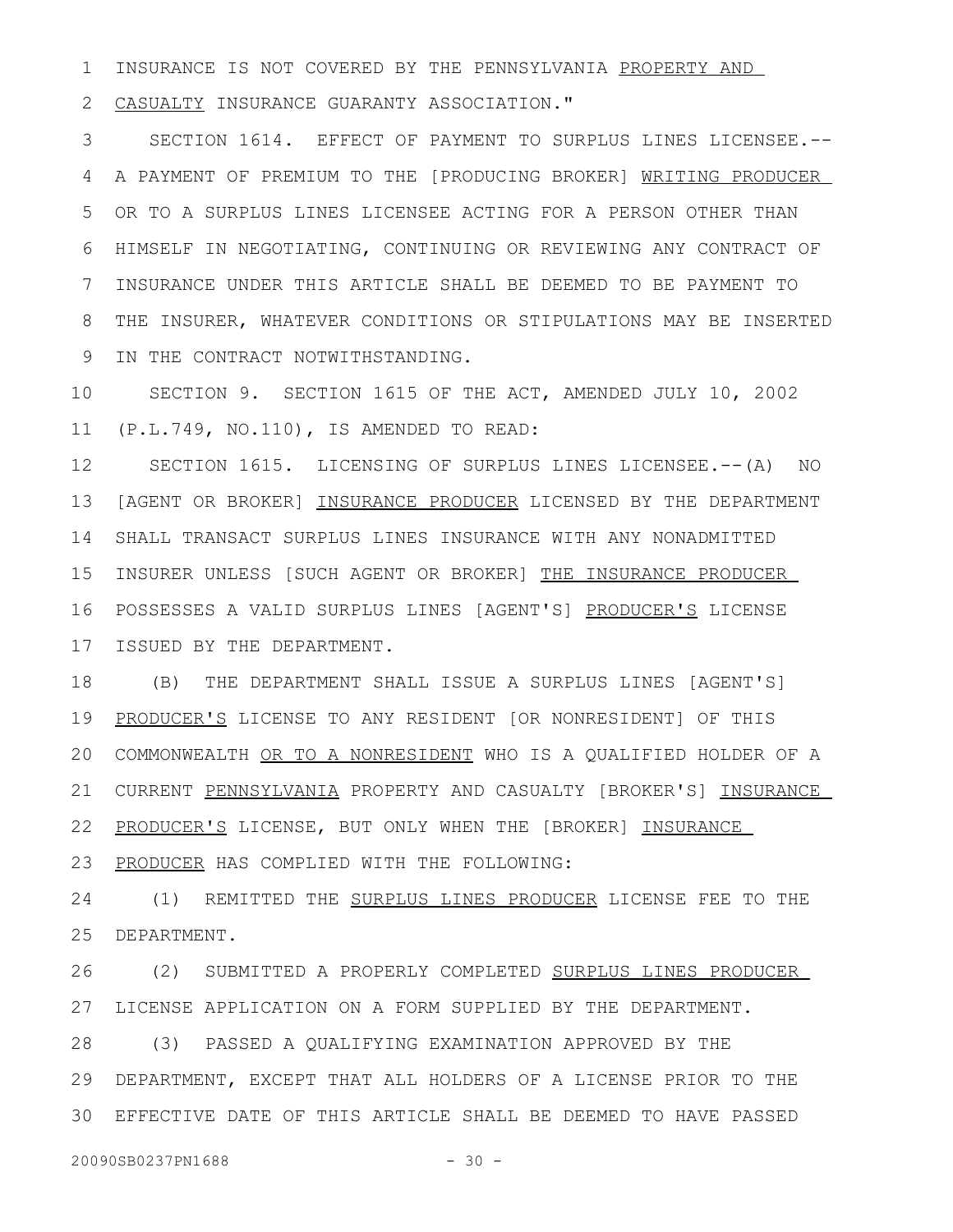INSURANCE IS NOT COVERED BY THE PENNSYLVANIA PROPERTY AND 1

CASUALTY INSURANCE GUARANTY ASSOCIATION." 2

SECTION 1614. EFFECT OF PAYMENT TO SURPLUS LINES LICENSEE.-- A PAYMENT OF PREMIUM TO THE [PRODUCING BROKER] WRITING PRODUCER OR TO A SURPLUS LINES LICENSEE ACTING FOR A PERSON OTHER THAN HIMSELF IN NEGOTIATING, CONTINUING OR REVIEWING ANY CONTRACT OF INSURANCE UNDER THIS ARTICLE SHALL BE DEEMED TO BE PAYMENT TO THE INSURER, WHATEVER CONDITIONS OR STIPULATIONS MAY BE INSERTED IN THE CONTRACT NOTWITHSTANDING. 3 4 5 6 7 8 9

SECTION 9. SECTION 1615 OF THE ACT, AMENDED JULY 10, 2002 (P.L.749, NO.110), IS AMENDED TO READ: 10 11

SECTION 1615. LICENSING OF SURPLUS LINES LICENSEE.--(A) NO [AGENT OR BROKER] INSURANCE PRODUCER LICENSED BY THE DEPARTMENT SHALL TRANSACT SURPLUS LINES INSURANCE WITH ANY NONADMITTED INSURER UNLESS [SUCH AGENT OR BROKER] THE INSURANCE PRODUCER POSSESSES A VALID SURPLUS LINES [AGENT'S] PRODUCER'S LICENSE ISSUED BY THE DEPARTMENT. 12 13 14 15 16 17

(B) THE DEPARTMENT SHALL ISSUE A SURPLUS LINES [AGENT'S] PRODUCER'S LICENSE TO ANY RESIDENT [OR NONRESIDENT] OF THIS COMMONWEALTH OR TO A NONRESIDENT WHO IS A QUALIFIED HOLDER OF A CURRENT PENNSYLVANIA PROPERTY AND CASUALTY [BROKER'S] INSURANCE PRODUCER'S LICENSE, BUT ONLY WHEN THE [BROKER] INSURANCE PRODUCER HAS COMPLIED WITH THE FOLLOWING: 18 19 20 21 22 23

(1) REMITTED THE SURPLUS LINES PRODUCER LICENSE FEE TO THE DEPARTMENT. 24 25

(2) SUBMITTED A PROPERLY COMPLETED SURPLUS LINES PRODUCER LICENSE APPLICATION ON A FORM SUPPLIED BY THE DEPARTMENT. 26 27

(3) PASSED A QUALIFYING EXAMINATION APPROVED BY THE DEPARTMENT, EXCEPT THAT ALL HOLDERS OF A LICENSE PRIOR TO THE EFFECTIVE DATE OF THIS ARTICLE SHALL BE DEEMED TO HAVE PASSED 3028 29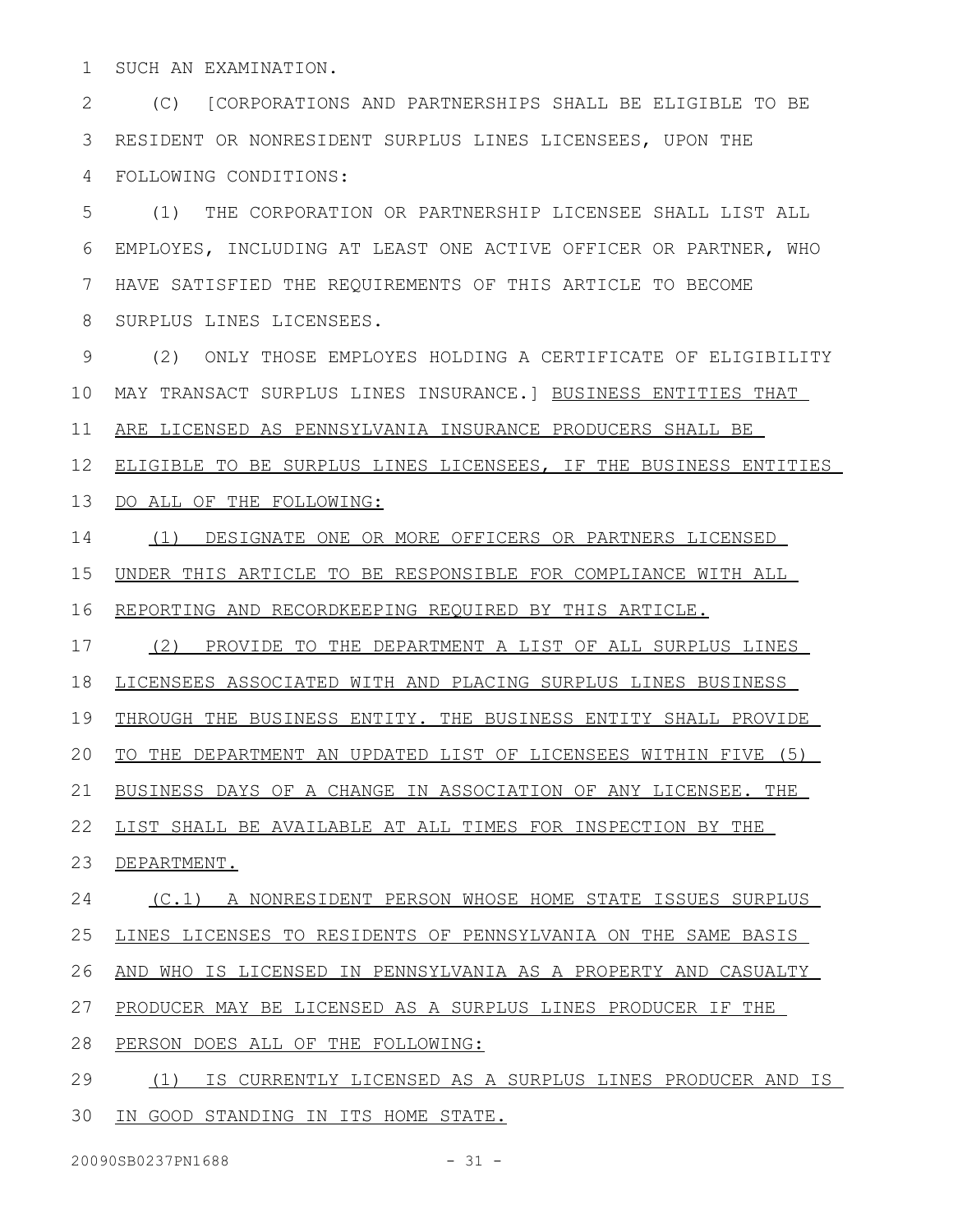SUCH AN EXAMINATION. 1

(C) [CORPORATIONS AND PARTNERSHIPS SHALL BE ELIGIBLE TO BE RESIDENT OR NONRESIDENT SURPLUS LINES LICENSEES, UPON THE FOLLOWING CONDITIONS: 2 3 4

(1) THE CORPORATION OR PARTNERSHIP LICENSEE SHALL LIST ALL EMPLOYES, INCLUDING AT LEAST ONE ACTIVE OFFICER OR PARTNER, WHO HAVE SATISFIED THE REQUIREMENTS OF THIS ARTICLE TO BECOME SURPLUS LINES LICENSEES. 5 6 7 8

(2) ONLY THOSE EMPLOYES HOLDING A CERTIFICATE OF ELIGIBILITY 10 MAY TRANSACT SURPLUS LINES INSURANCE.] BUSINESS ENTITIES THAT ARE LICENSED AS PENNSYLVANIA INSURANCE PRODUCERS SHALL BE 9 11

ELIGIBLE TO BE SURPLUS LINES LICENSEES, IF THE BUSINESS ENTITIES 12

DO ALL OF THE FOLLOWING: 13

(1) DESIGNATE ONE OR MORE OFFICERS OR PARTNERS LICENSED 14

UNDER THIS ARTICLE TO BE RESPONSIBLE FOR COMPLIANCE WITH ALL 15

REPORTING AND RECORDKEEPING REQUIRED BY THIS ARTICLE. 16

(2) PROVIDE TO THE DEPARTMENT A LIST OF ALL SURPLUS LINES 17

LICENSEES ASSOCIATED WITH AND PLACING SURPLUS LINES BUSINESS 18

THROUGH THE BUSINESS ENTITY. THE BUSINESS ENTITY SHALL PROVIDE 19

TO THE DEPARTMENT AN UPDATED LIST OF LICENSEES WITHIN FIVE (5) 20

BUSINESS DAYS OF A CHANGE IN ASSOCIATION OF ANY LICENSEE. THE 21

LIST SHALL BE AVAILABLE AT ALL TIMES FOR INSPECTION BY THE 22

23 DEPARTMENT.

(C.1) A NONRESIDENT PERSON WHOSE HOME STATE ISSUES SURPLUS 24

LINES LICENSES TO RESIDENTS OF PENNSYLVANIA ON THE SAME BASIS 25

AND WHO IS LICENSED IN PENNSYLVANIA AS A PROPERTY AND CASUALTY 26

PRODUCER MAY BE LICENSED AS A SURPLUS LINES PRODUCER IF THE 27

PERSON DOES ALL OF THE FOLLOWING: 28

(1) IS CURRENTLY LICENSED AS A SURPLUS LINES PRODUCER AND IS 30 IN GOOD STANDING IN ITS HOME STATE. 29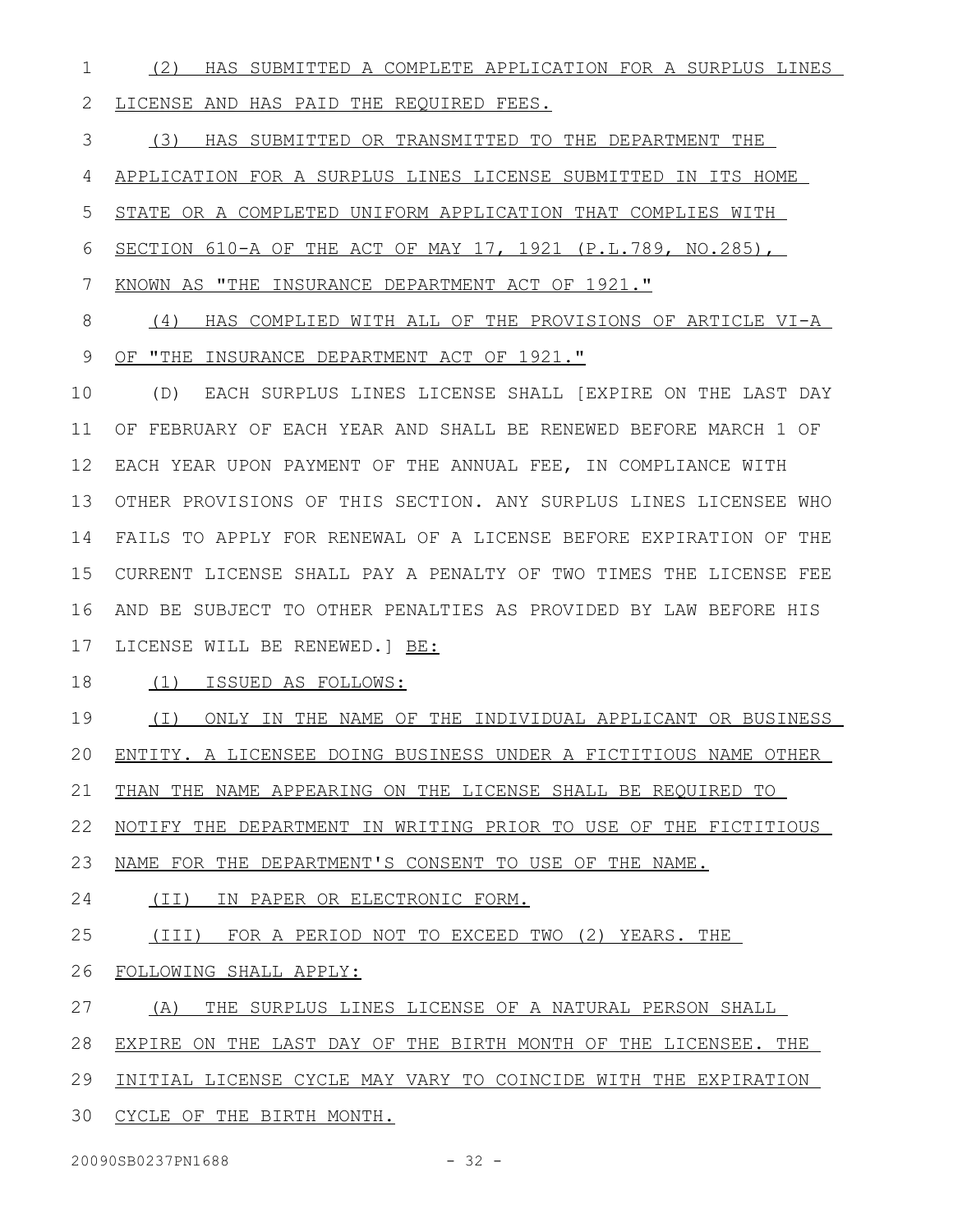(2) HAS SUBMITTED A COMPLETE APPLICATION FOR A SURPLUS LINES 1

LICENSE AND HAS PAID THE REQUIRED FEES. 2

(3) HAS SUBMITTED OR TRANSMITTED TO THE DEPARTMENT THE 3

APPLICATION FOR A SURPLUS LINES LICENSE SUBMITTED IN ITS HOME 4

STATE OR A COMPLETED UNIFORM APPLICATION THAT COMPLIES WITH 5

 SECTION 610-A OF THE ACT OF MAY 17, 1921 (P.L.789, NO.285), 6

KNOWN AS "THE INSURANCE DEPARTMENT ACT OF 1921." 7

(4) HAS COMPLIED WITH ALL OF THE PROVISIONS OF ARTICLE VI-A OF "THE INSURANCE DEPARTMENT ACT OF 1921." 8 9

(D) EACH SURPLUS LINES LICENSE SHALL [EXPIRE ON THE LAST DAY OF FEBRUARY OF EACH YEAR AND SHALL BE RENEWED BEFORE MARCH 1 OF EACH YEAR UPON PAYMENT OF THE ANNUAL FEE, IN COMPLIANCE WITH OTHER PROVISIONS OF THIS SECTION. ANY SURPLUS LINES LICENSEE WHO FAILS TO APPLY FOR RENEWAL OF A LICENSE BEFORE EXPIRATION OF THE CURRENT LICENSE SHALL PAY A PENALTY OF TWO TIMES THE LICENSE FEE AND BE SUBJECT TO OTHER PENALTIES AS PROVIDED BY LAW BEFORE HIS LICENSE WILL BE RENEWED.] BE: 10 11 12 13 14 15 16 17

(1) ISSUED AS FOLLOWS: 18

(I) ONLY IN THE NAME OF THE INDIVIDUAL APPLICANT OR BUSINESS ENTITY. A LICENSEE DOING BUSINESS UNDER A FICTITIOUS NAME OTHER THAN THE NAME APPEARING ON THE LICENSE SHALL BE REQUIRED TO 19 20 21

NOTIFY THE DEPARTMENT IN WRITING PRIOR TO USE OF THE FICTITIOUS 22

NAME FOR THE DEPARTMENT'S CONSENT TO USE OF THE NAME. 23

(II) IN PAPER OR ELECTRONIC FORM. 24

(III) FOR A PERIOD NOT TO EXCEED TWO (2) YEARS. THE 25

FOLLOWING SHALL APPLY: 26

(A) THE SURPLUS LINES LICENSE OF A NATURAL PERSON SHALL 27

EXPIRE ON THE LAST DAY OF THE BIRTH MONTH OF THE LICENSEE. THE 28

INITIAL LICENSE CYCLE MAY VARY TO COINCIDE WITH THE EXPIRATION 29

CYCLE OF THE BIRTH MONTH. 30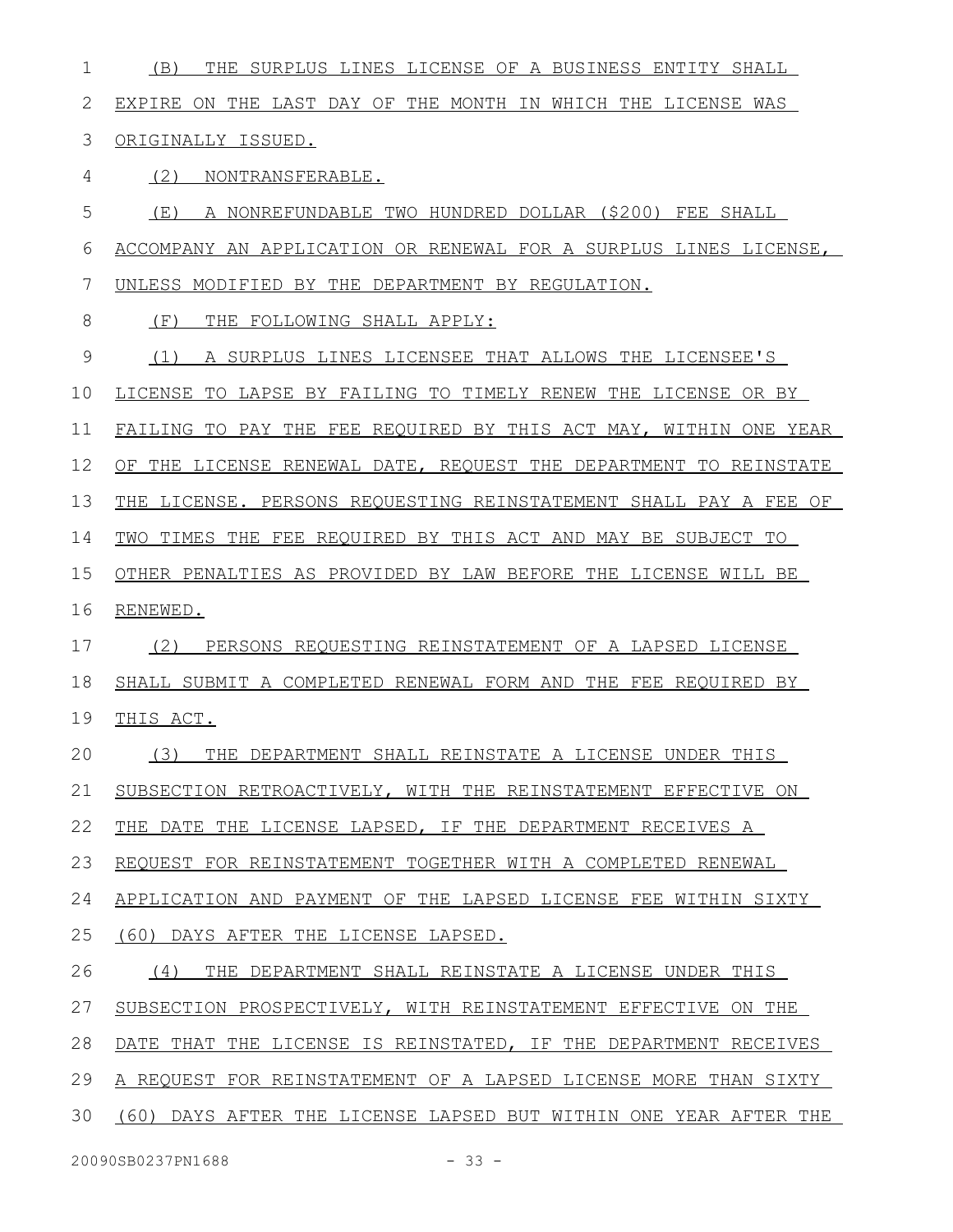(B) THE SURPLUS LINES LICENSE OF A BUSINESS ENTITY SHALL EXPIRE ON THE LAST DAY OF THE MONTH IN WHICH THE LICENSE WAS ORIGINALLY ISSUED. (2) NONTRANSFERABLE. (E) A NONREFUNDABLE TWO HUNDRED DOLLAR (\$200) FEE SHALL ACCOMPANY AN APPLICATION OR RENEWAL FOR A SURPLUS LINES LICENSE, UNLESS MODIFIED BY THE DEPARTMENT BY REGULATION. (F) THE FOLLOWING SHALL APPLY: (1) A SURPLUS LINES LICENSEE THAT ALLOWS THE LICENSEE'S LICENSE TO LAPSE BY FAILING TO TIMELY RENEW THE LICENSE OR BY FAILING TO PAY THE FEE REQUIRED BY THIS ACT MAY, WITHIN ONE YEAR OF THE LICENSE RENEWAL DATE, REQUEST THE DEPARTMENT TO REINSTATE THE LICENSE. PERSONS REQUESTING REINSTATEMENT SHALL PAY A FEE OF TWO TIMES THE FEE REQUIRED BY THIS ACT AND MAY BE SUBJECT TO OTHER PENALTIES AS PROVIDED BY LAW BEFORE THE LICENSE WILL BE RENEWED. (2) PERSONS REQUESTING REINSTATEMENT OF A LAPSED LICENSE SHALL SUBMIT A COMPLETED RENEWAL FORM AND THE FEE REQUIRED BY THIS ACT. (3) THE DEPARTMENT SHALL REINSTATE A LICENSE UNDER THIS SUBSECTION RETROACTIVELY, WITH THE REINSTATEMENT EFFECTIVE ON THE DATE THE LICENSE LAPSED, IF THE DEPARTMENT RECEIVES A REQUEST FOR REINSTATEMENT TOGETHER WITH A COMPLETED RENEWAL APPLICATION AND PAYMENT OF THE LAPSED LICENSE FEE WITHIN SIXTY (60) DAYS AFTER THE LICENSE LAPSED. (4) THE DEPARTMENT SHALL REINSTATE A LICENSE UNDER THIS SUBSECTION PROSPECTIVELY, WITH REINSTATEMENT EFFECTIVE ON THE DATE THAT THE LICENSE IS REINSTATED, IF THE DEPARTMENT RECEIVES A REQUEST FOR REINSTATEMENT OF A LAPSED LICENSE MORE THAN SIXTY (60) DAYS AFTER THE LICENSE LAPSED BUT WITHIN ONE YEAR AFTER THE 1 2 3 4 5 6 7 8 9 10 11 12 13 14 15 16 17 18 19 20 21 22 23 24 25 26 27 28 29 30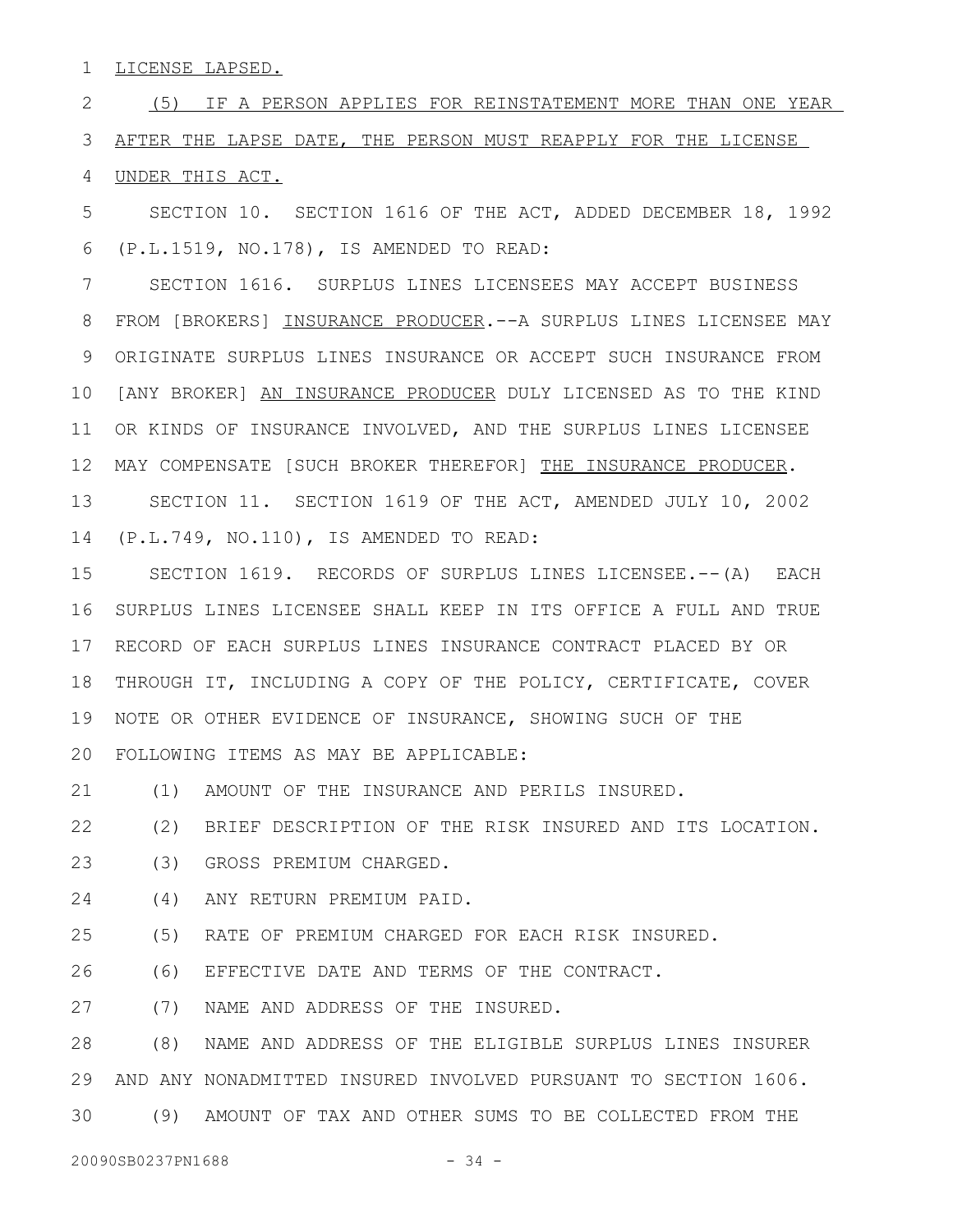LICENSE LAPSED. 1

(5) IF A PERSON APPLIES FOR REINSTATEMENT MORE THAN ONE YEAR AFTER THE LAPSE DATE, THE PERSON MUST REAPPLY FOR THE LICENSE UNDER THIS ACT. 2 3 4

SECTION 10. SECTION 1616 OF THE ACT, ADDED DECEMBER 18, 1992 (P.L.1519, NO.178), IS AMENDED TO READ: 5 6

SECTION 1616. SURPLUS LINES LICENSEES MAY ACCEPT BUSINESS FROM [BROKERS] INSURANCE PRODUCER.--A SURPLUS LINES LICENSEE MAY ORIGINATE SURPLUS LINES INSURANCE OR ACCEPT SUCH INSURANCE FROM 10 [ANY BROKER] AN INSURANCE PRODUCER DULY LICENSED AS TO THE KIND 11 OR KINDS OF INSURANCE INVOLVED, AND THE SURPLUS LINES LICENSEE MAY COMPENSATE [SUCH BROKER THEREFOR] THE INSURANCE PRODUCER. SECTION 11. SECTION 1619 OF THE ACT, AMENDED JULY 10, 2002 7 8 9 12 13

(P.L.749, NO.110), IS AMENDED TO READ: 14

SECTION 1619. RECORDS OF SURPLUS LINES LICENSEE.--(A) EACH 16 SURPLUS LINES LICENSEE SHALL KEEP IN ITS OFFICE A FULL AND TRUE 17 RECORD OF EACH SURPLUS LINES INSURANCE CONTRACT PLACED BY OR THROUGH IT, INCLUDING A COPY OF THE POLICY, CERTIFICATE, COVER 18 19 NOTE OR OTHER EVIDENCE OF INSURANCE, SHOWING SUCH OF THE FOLLOWING ITEMS AS MAY BE APPLICABLE: 20 15

(1) AMOUNT OF THE INSURANCE AND PERILS INSURED. 21

(2) BRIEF DESCRIPTION OF THE RISK INSURED AND ITS LOCATION. 22

- (3) GROSS PREMIUM CHARGED. 23
- (4) ANY RETURN PREMIUM PAID. 24

(5) RATE OF PREMIUM CHARGED FOR EACH RISK INSURED. 25

(6) EFFECTIVE DATE AND TERMS OF THE CONTRACT. 26

(7) NAME AND ADDRESS OF THE INSURED. 27

(8) NAME AND ADDRESS OF THE ELIGIBLE SURPLUS LINES INSURER AND ANY NONADMITTED INSURED INVOLVED PURSUANT TO SECTION 1606. 29 (9) AMOUNT OF TAX AND OTHER SUMS TO BE COLLECTED FROM THE 28 30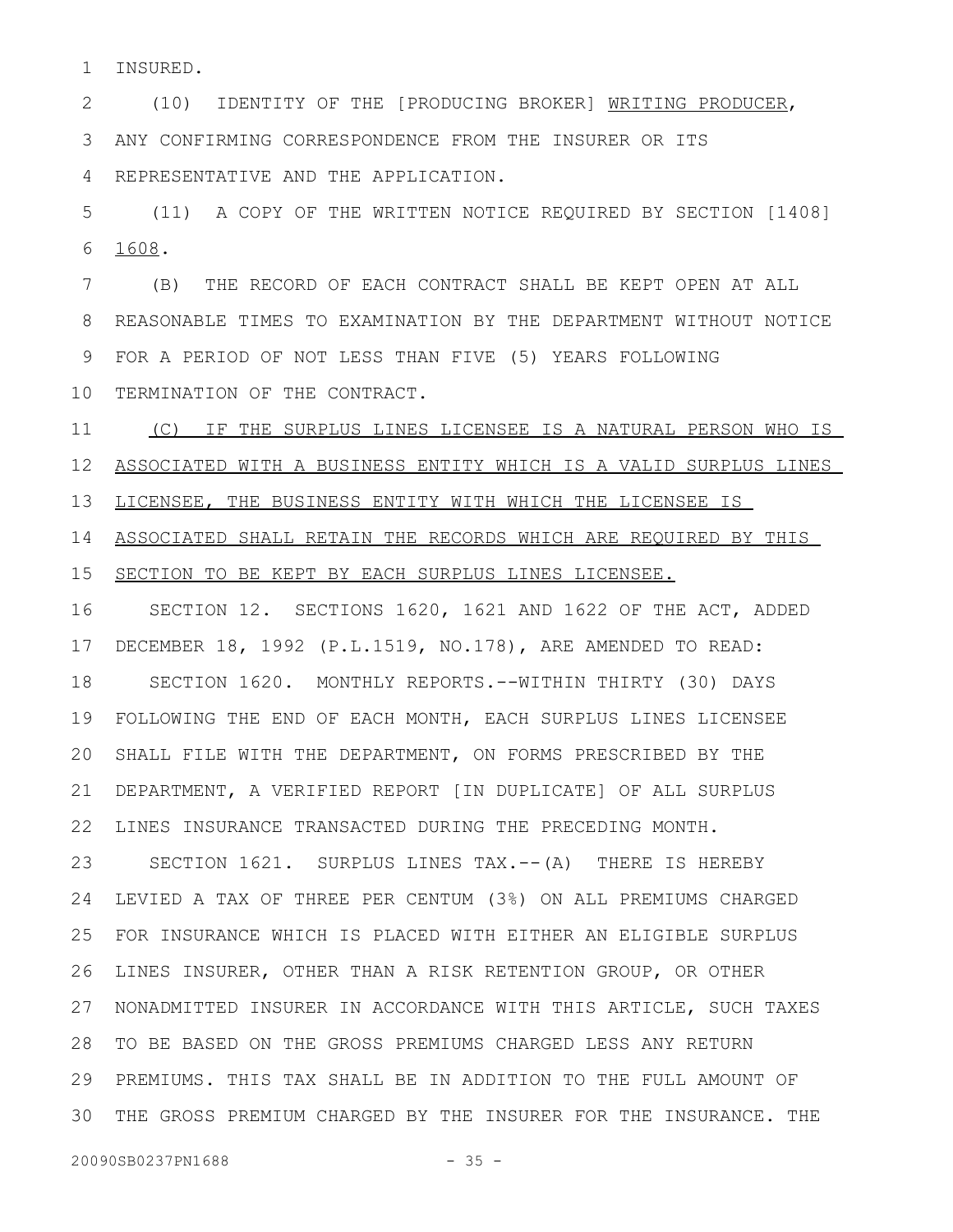INSURED. 1

(10) IDENTITY OF THE [PRODUCING BROKER] WRITING PRODUCER, ANY CONFIRMING CORRESPONDENCE FROM THE INSURER OR ITS 3 REPRESENTATIVE AND THE APPLICATION. 2 4

(11) A COPY OF THE WRITTEN NOTICE REQUIRED BY SECTION [1408] 1608. 5 6

(B) THE RECORD OF EACH CONTRACT SHALL BE KEPT OPEN AT ALL REASONABLE TIMES TO EXAMINATION BY THE DEPARTMENT WITHOUT NOTICE FOR A PERIOD OF NOT LESS THAN FIVE (5) YEARS FOLLOWING 10 TERMINATION OF THE CONTRACT. 7 8 9

(C) IF THE SURPLUS LINES LICENSEE IS A NATURAL PERSON WHO IS ASSOCIATED WITH A BUSINESS ENTITY WHICH IS A VALID SURPLUS LINES LICENSEE, THE BUSINESS ENTITY WITH WHICH THE LICENSEE IS 11 12 13

14 ASSOCIATED SHALL RETAIN THE RECORDS WHICH ARE REQUIRED BY THIS

SECTION TO BE KEPT BY EACH SURPLUS LINES LICENSEE. 15

16 SECTION 12. SECTIONS 1620, 1621 AND 1622 OF THE ACT, ADDED DECEMBER 18, 1992 (P.L.1519, NO.178), ARE AMENDED TO READ: 17 SECTION 1620. MONTHLY REPORTS.--WITHIN THIRTY (30) DAYS FOLLOWING THE END OF EACH MONTH, EACH SURPLUS LINES LICENSEE 19 20 SHALL FILE WITH THE DEPARTMENT, ON FORMS PRESCRIBED BY THE DEPARTMENT, A VERIFIED REPORT [IN DUPLICATE] OF ALL SURPLUS 21 LINES INSURANCE TRANSACTED DURING THE PRECEDING MONTH. 18 22

SECTION 1621. SURPLUS LINES TAX.--(A) THERE IS HEREBY LEVIED A TAX OF THREE PER CENTUM (3%) ON ALL PREMIUMS CHARGED 24 FOR INSURANCE WHICH IS PLACED WITH EITHER AN ELIGIBLE SURPLUS 26 LINES INSURER, OTHER THAN A RISK RETENTION GROUP, OR OTHER 27 NONADMITTED INSURER IN ACCORDANCE WITH THIS ARTICLE, SUCH TAXES TO BE BASED ON THE GROSS PREMIUMS CHARGED LESS ANY RETURN 28 PREMIUMS. THIS TAX SHALL BE IN ADDITION TO THE FULL AMOUNT OF 29 THE GROSS PREMIUM CHARGED BY THE INSURER FOR THE INSURANCE. THE 3023 25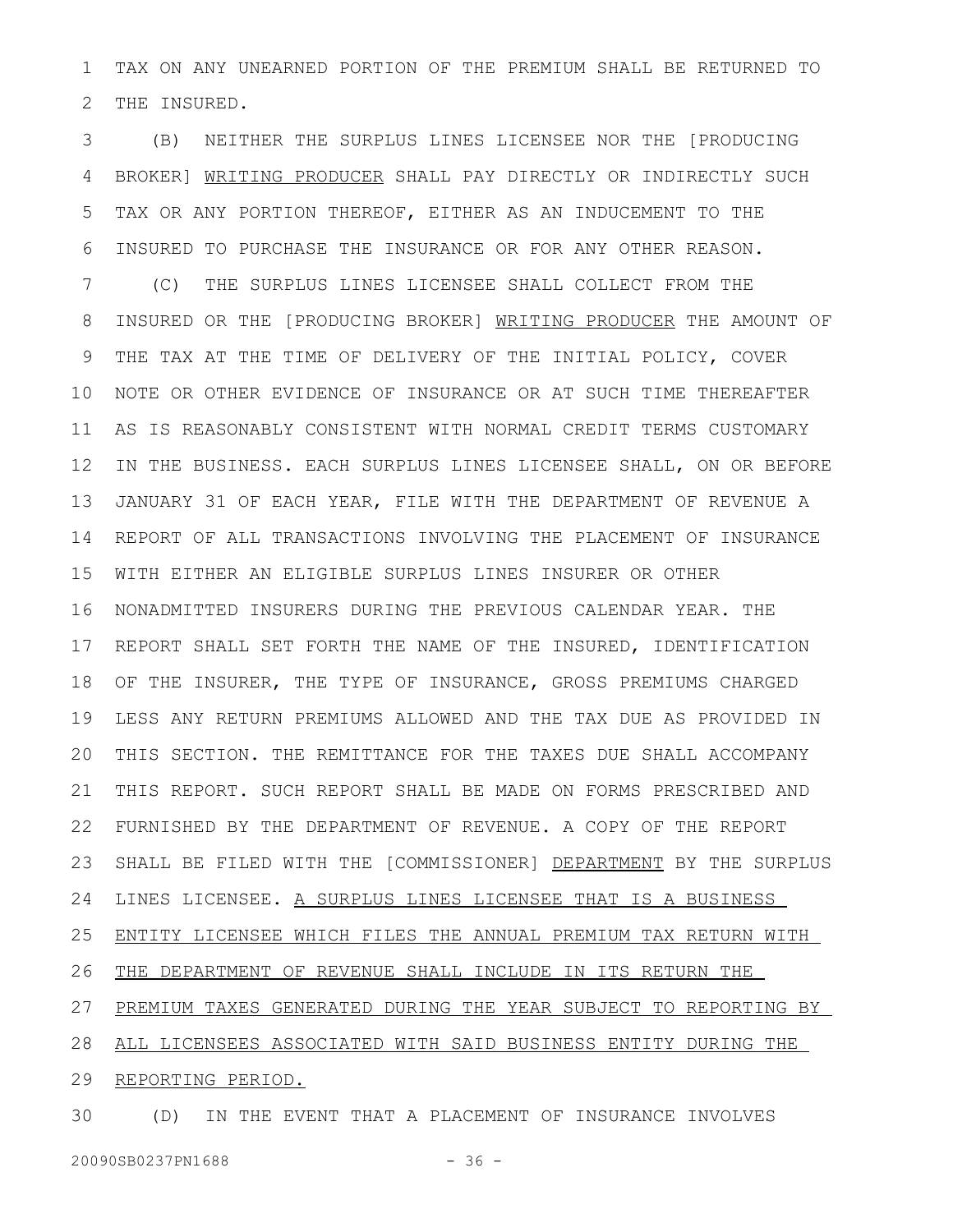TAX ON ANY UNEARNED PORTION OF THE PREMIUM SHALL BE RETURNED TO THE INSURED. 1 2

(B) NEITHER THE SURPLUS LINES LICENSEE NOR THE [PRODUCING BROKER] WRITING PRODUCER SHALL PAY DIRECTLY OR INDIRECTLY SUCH TAX OR ANY PORTION THEREOF, EITHER AS AN INDUCEMENT TO THE INSURED TO PURCHASE THE INSURANCE OR FOR ANY OTHER REASON. (C) THE SURPLUS LINES LICENSEE SHALL COLLECT FROM THE INSURED OR THE [PRODUCING BROKER] WRITING PRODUCER THE AMOUNT OF THE TAX AT THE TIME OF DELIVERY OF THE INITIAL POLICY, COVER NOTE OR OTHER EVIDENCE OF INSURANCE OR AT SUCH TIME THEREAFTER AS IS REASONABLY CONSISTENT WITH NORMAL CREDIT TERMS CUSTOMARY IN THE BUSINESS. EACH SURPLUS LINES LICENSEE SHALL, ON OR BEFORE JANUARY 31 OF EACH YEAR, FILE WITH THE DEPARTMENT OF REVENUE A REPORT OF ALL TRANSACTIONS INVOLVING THE PLACEMENT OF INSURANCE WITH EITHER AN ELIGIBLE SURPLUS LINES INSURER OR OTHER NONADMITTED INSURERS DURING THE PREVIOUS CALENDAR YEAR. THE REPORT SHALL SET FORTH THE NAME OF THE INSURED, IDENTIFICATION OF THE INSURER, THE TYPE OF INSURANCE, GROSS PREMIUMS CHARGED LESS ANY RETURN PREMIUMS ALLOWED AND THE TAX DUE AS PROVIDED IN THIS SECTION. THE REMITTANCE FOR THE TAXES DUE SHALL ACCOMPANY THIS REPORT. SUCH REPORT SHALL BE MADE ON FORMS PRESCRIBED AND FURNISHED BY THE DEPARTMENT OF REVENUE. A COPY OF THE REPORT SHALL BE FILED WITH THE [COMMISSIONER] DEPARTMENT BY THE SURPLUS LINES LICENSEE. A SURPLUS LINES LICENSEE THAT IS A BUSINESS ENTITY LICENSEE WHICH FILES THE ANNUAL PREMIUM TAX RETURN WITH THE DEPARTMENT OF REVENUE SHALL INCLUDE IN ITS RETURN THE PREMIUM TAXES GENERATED DURING THE YEAR SUBJECT TO REPORTING BY ALL LICENSEES ASSOCIATED WITH SAID BUSINESS ENTITY DURING THE 29 REPORTING PERIOD. 3 4 5 6 7 8 9 10 11 12 13 14 15 16 17 18 19 20 21 22 23 24 25 26 27 28

(D) IN THE EVENT THAT A PLACEMENT OF INSURANCE INVOLVES 30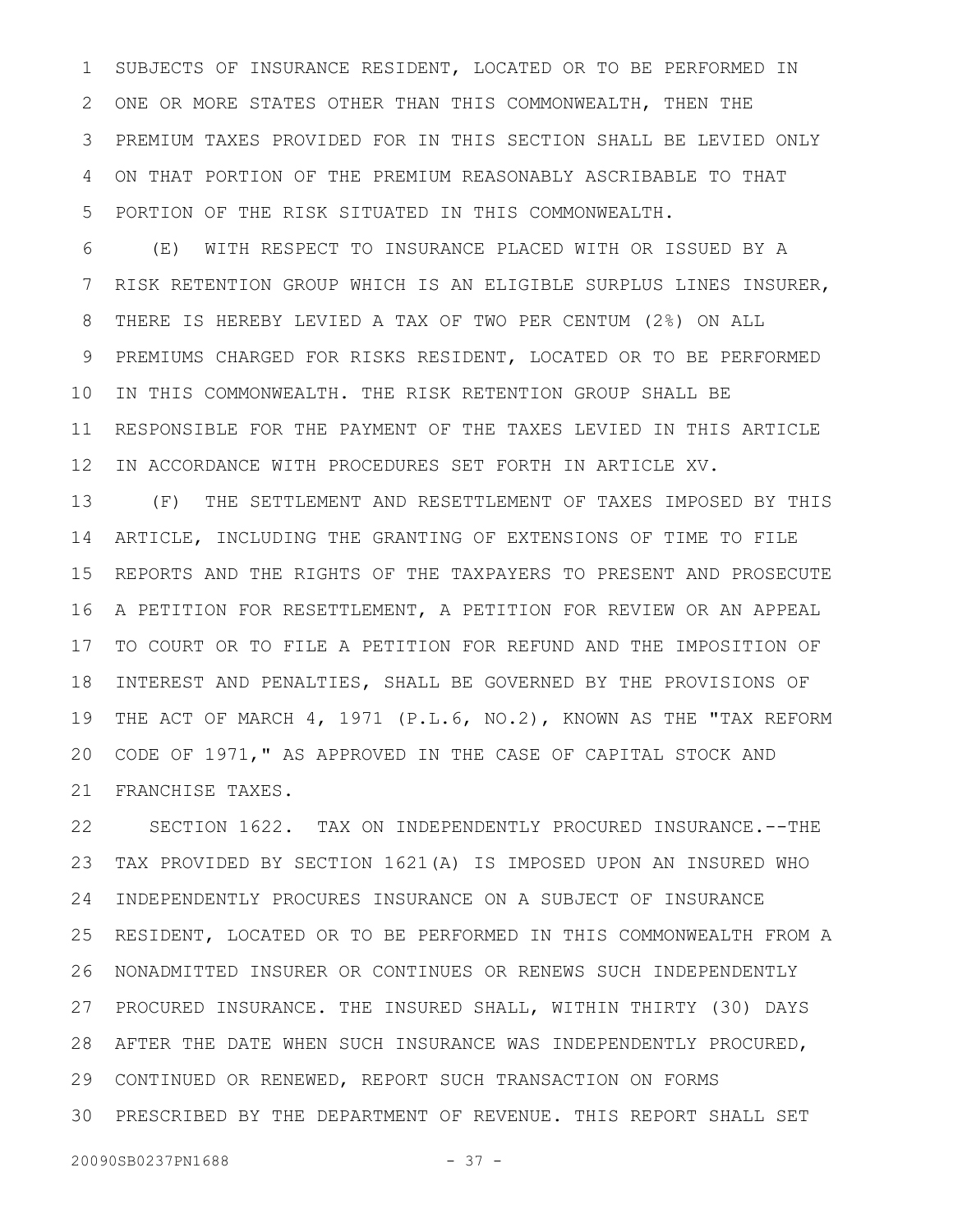SUBJECTS OF INSURANCE RESIDENT, LOCATED OR TO BE PERFORMED IN ONE OR MORE STATES OTHER THAN THIS COMMONWEALTH, THEN THE PREMIUM TAXES PROVIDED FOR IN THIS SECTION SHALL BE LEVIED ONLY ON THAT PORTION OF THE PREMIUM REASONABLY ASCRIBABLE TO THAT PORTION OF THE RISK SITUATED IN THIS COMMONWEALTH. 1 2 3 4 5

(E) WITH RESPECT TO INSURANCE PLACED WITH OR ISSUED BY A RISK RETENTION GROUP WHICH IS AN ELIGIBLE SURPLUS LINES INSURER, THERE IS HEREBY LEVIED A TAX OF TWO PER CENTUM (2%) ON ALL PREMIUMS CHARGED FOR RISKS RESIDENT, LOCATED OR TO BE PERFORMED IN THIS COMMONWEALTH. THE RISK RETENTION GROUP SHALL BE RESPONSIBLE FOR THE PAYMENT OF THE TAXES LEVIED IN THIS ARTICLE IN ACCORDANCE WITH PROCEDURES SET FORTH IN ARTICLE XV. 6 7 8 9 10 11 12

(F) THE SETTLEMENT AND RESETTLEMENT OF TAXES IMPOSED BY THIS ARTICLE, INCLUDING THE GRANTING OF EXTENSIONS OF TIME TO FILE REPORTS AND THE RIGHTS OF THE TAXPAYERS TO PRESENT AND PROSECUTE A PETITION FOR RESETTLEMENT, A PETITION FOR REVIEW OR AN APPEAL TO COURT OR TO FILE A PETITION FOR REFUND AND THE IMPOSITION OF INTEREST AND PENALTIES, SHALL BE GOVERNED BY THE PROVISIONS OF THE ACT OF MARCH 4, 1971 (P.L.6, NO.2), KNOWN AS THE "TAX REFORM CODE OF 1971," AS APPROVED IN THE CASE OF CAPITAL STOCK AND FRANCHISE TAXES. 13 14 15 16 17 18 19 20 21

SECTION 1622. TAX ON INDEPENDENTLY PROCURED INSURANCE.--THE TAX PROVIDED BY SECTION 1621(A) IS IMPOSED UPON AN INSURED WHO INDEPENDENTLY PROCURES INSURANCE ON A SUBJECT OF INSURANCE RESIDENT, LOCATED OR TO BE PERFORMED IN THIS COMMONWEALTH FROM A NONADMITTED INSURER OR CONTINUES OR RENEWS SUCH INDEPENDENTLY PROCURED INSURANCE. THE INSURED SHALL, WITHIN THIRTY (30) DAYS AFTER THE DATE WHEN SUCH INSURANCE WAS INDEPENDENTLY PROCURED, 28 CONTINUED OR RENEWED, REPORT SUCH TRANSACTION ON FORMS 29 PRESCRIBED BY THE DEPARTMENT OF REVENUE. THIS REPORT SHALL SET 3022 23 24 25 26 27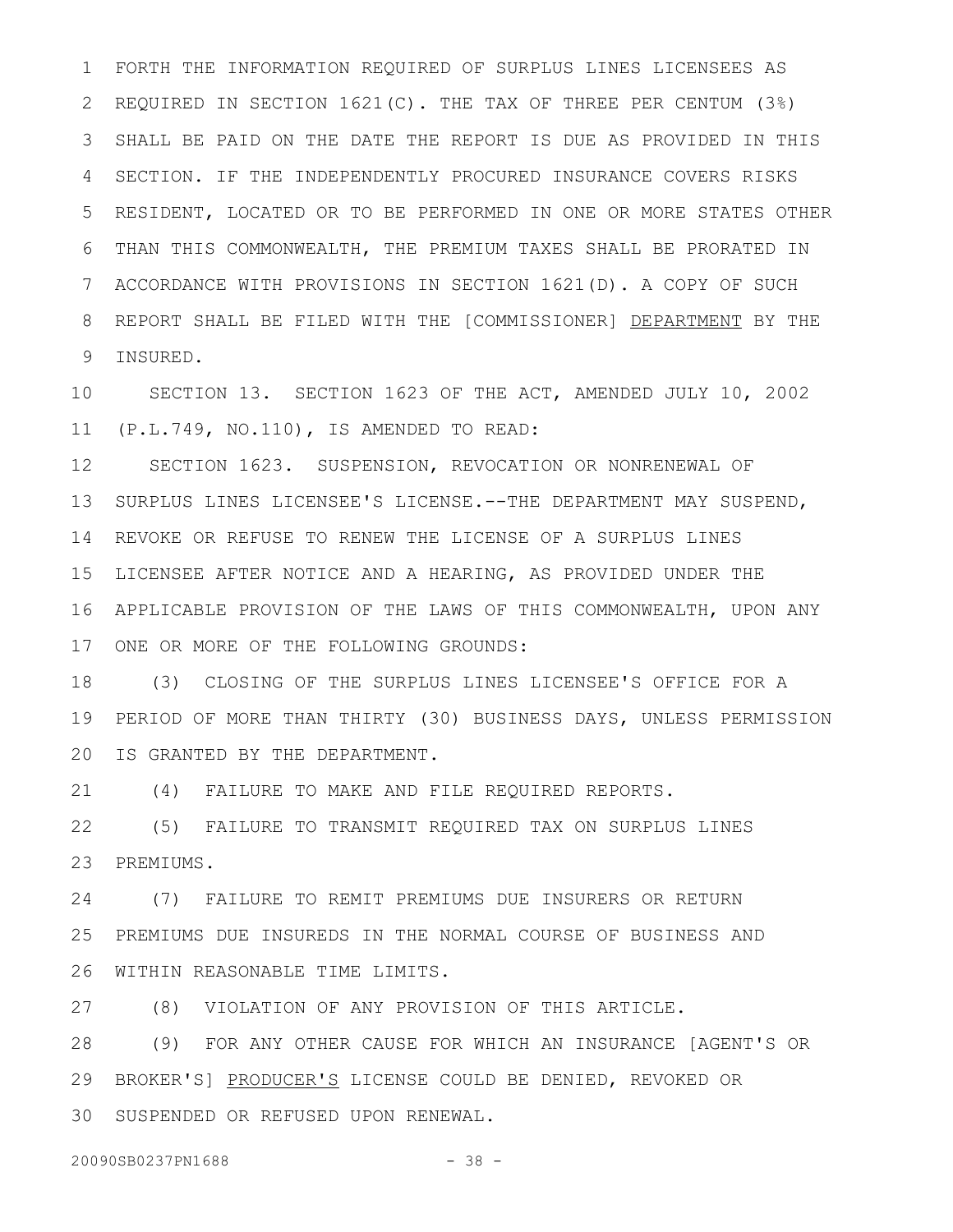FORTH THE INFORMATION REQUIRED OF SURPLUS LINES LICENSEES AS REQUIRED IN SECTION 1621(C). THE TAX OF THREE PER CENTUM (3%) SHALL BE PAID ON THE DATE THE REPORT IS DUE AS PROVIDED IN THIS SECTION. IF THE INDEPENDENTLY PROCURED INSURANCE COVERS RISKS RESIDENT, LOCATED OR TO BE PERFORMED IN ONE OR MORE STATES OTHER THAN THIS COMMONWEALTH, THE PREMIUM TAXES SHALL BE PRORATED IN ACCORDANCE WITH PROVISIONS IN SECTION 1621(D). A COPY OF SUCH REPORT SHALL BE FILED WITH THE [COMMISSIONER] DEPARTMENT BY THE INSURED. 1 2 3 4 5 6 7 8 9

SECTION 13. SECTION 1623 OF THE ACT, AMENDED JULY 10, 2002 (P.L.749, NO.110), IS AMENDED TO READ: 11 10

SECTION 1623. SUSPENSION, REVOCATION OR NONRENEWAL OF SURPLUS LINES LICENSEE'S LICENSE.--THE DEPARTMENT MAY SUSPEND, 14 REVOKE OR REFUSE TO RENEW THE LICENSE OF A SURPLUS LINES 15 LICENSEE AFTER NOTICE AND A HEARING, AS PROVIDED UNDER THE APPLICABLE PROVISION OF THE LAWS OF THIS COMMONWEALTH, UPON ANY 16 17 ONE OR MORE OF THE FOLLOWING GROUNDS: 12 13

(3) CLOSING OF THE SURPLUS LINES LICENSEE'S OFFICE FOR A PERIOD OF MORE THAN THIRTY (30) BUSINESS DAYS, UNLESS PERMISSION 20 IS GRANTED BY THE DEPARTMENT. 18 19

(4) FAILURE TO MAKE AND FILE REQUIRED REPORTS. 21

(5) FAILURE TO TRANSMIT REQUIRED TAX ON SURPLUS LINES PREMIUMS. 22 23

(7) FAILURE TO REMIT PREMIUMS DUE INSURERS OR RETURN PREMIUMS DUE INSUREDS IN THE NORMAL COURSE OF BUSINESS AND 26 WITHIN REASONABLE TIME LIMITS. 24 25

(8) VIOLATION OF ANY PROVISION OF THIS ARTICLE. 27

(9) FOR ANY OTHER CAUSE FOR WHICH AN INSURANCE [AGENT'S OR 29 BROKER'S] PRODUCER'S LICENSE COULD BE DENIED, REVOKED OR SUSPENDED OR REFUSED UPON RENEWAL. 3028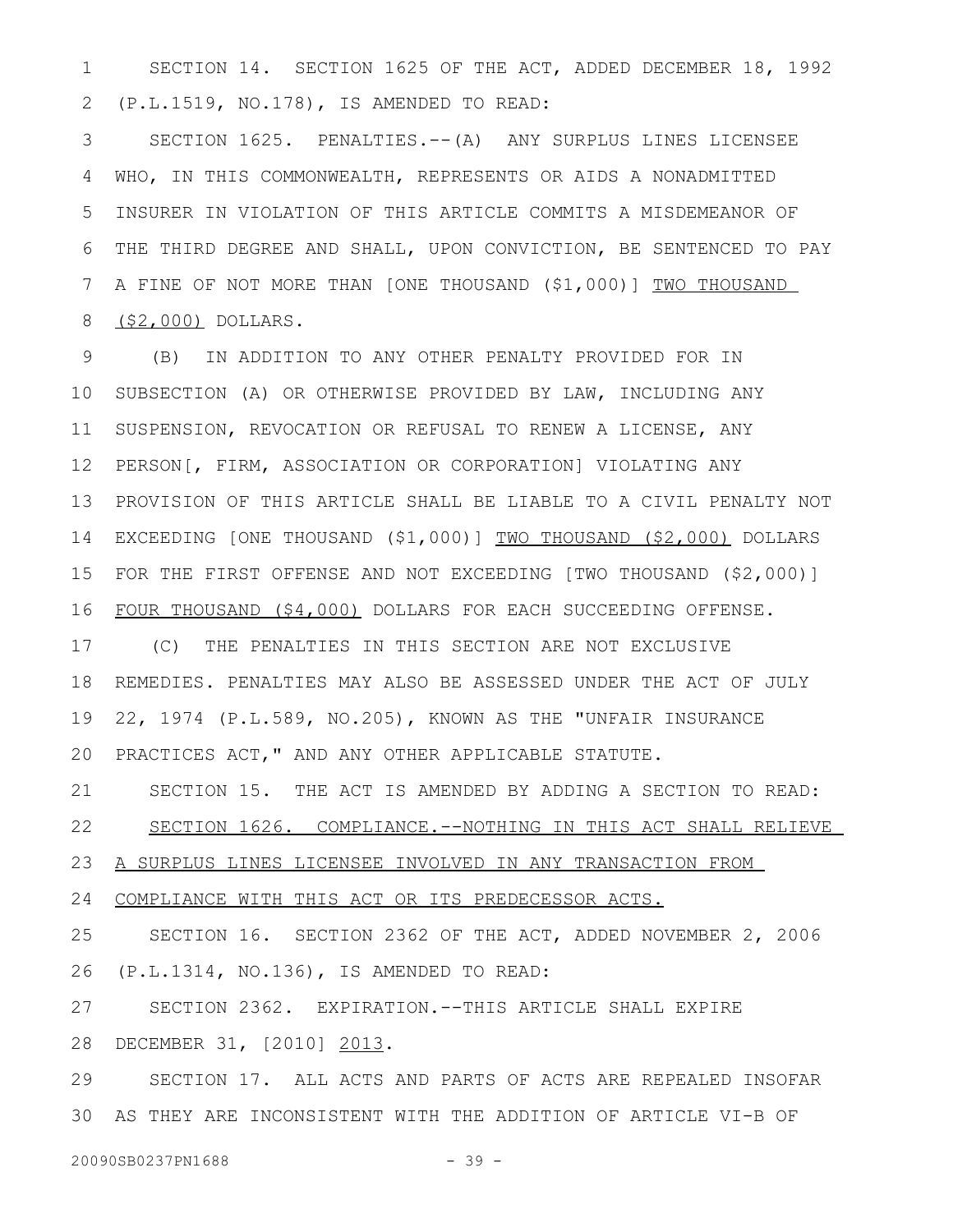SECTION 14. SECTION 1625 OF THE ACT, ADDED DECEMBER 18, 1992 (P.L.1519, NO.178), IS AMENDED TO READ: 1 2

SECTION 1625. PENALTIES.--(A) ANY SURPLUS LINES LICENSEE WHO, IN THIS COMMONWEALTH, REPRESENTS OR AIDS A NONADMITTED INSURER IN VIOLATION OF THIS ARTICLE COMMITS A MISDEMEANOR OF THE THIRD DEGREE AND SHALL, UPON CONVICTION, BE SENTENCED TO PAY A FINE OF NOT MORE THAN [ONE THOUSAND (\$1,000)] TWO THOUSAND (\$2,000) DOLLARS. 3 4 5 6 7 8

(B) IN ADDITION TO ANY OTHER PENALTY PROVIDED FOR IN SUBSECTION (A) OR OTHERWISE PROVIDED BY LAW, INCLUDING ANY SUSPENSION, REVOCATION OR REFUSAL TO RENEW A LICENSE, ANY PERSON[, FIRM, ASSOCIATION OR CORPORATION] VIOLATING ANY PROVISION OF THIS ARTICLE SHALL BE LIABLE TO A CIVIL PENALTY NOT EXCEEDING [ONE THOUSAND (\$1,000)] TWO THOUSAND (\$2,000) DOLLARS FOR THE FIRST OFFENSE AND NOT EXCEEDING [TWO THOUSAND (\$2,000)] FOUR THOUSAND (\$4,000) DOLLARS FOR EACH SUCCEEDING OFFENSE. 9 10 11 12 13 14 15 16

(C) THE PENALTIES IN THIS SECTION ARE NOT EXCLUSIVE REMEDIES. PENALTIES MAY ALSO BE ASSESSED UNDER THE ACT OF JULY 22, 1974 (P.L.589, NO.205), KNOWN AS THE "UNFAIR INSURANCE PRACTICES ACT," AND ANY OTHER APPLICABLE STATUTE. 17 18 19 20

SECTION 15. THE ACT IS AMENDED BY ADDING A SECTION TO READ: 21

SECTION 1626. COMPLIANCE.--NOTHING IN THIS ACT SHALL RELIEVE 22

A SURPLUS LINES LICENSEE INVOLVED IN ANY TRANSACTION FROM 23

COMPLIANCE WITH THIS ACT OR ITS PREDECESSOR ACTS. 24

SECTION 16. SECTION 2362 OF THE ACT, ADDED NOVEMBER 2, 2006 (P.L.1314, NO.136), IS AMENDED TO READ: 25 26

SECTION 2362. EXPIRATION.--THIS ARTICLE SHALL EXPIRE DECEMBER 31, [2010] 2013. 27 28

SECTION 17. ALL ACTS AND PARTS OF ACTS ARE REPEALED INSOFAR AS THEY ARE INCONSISTENT WITH THE ADDITION OF ARTICLE VI-B OF 3029